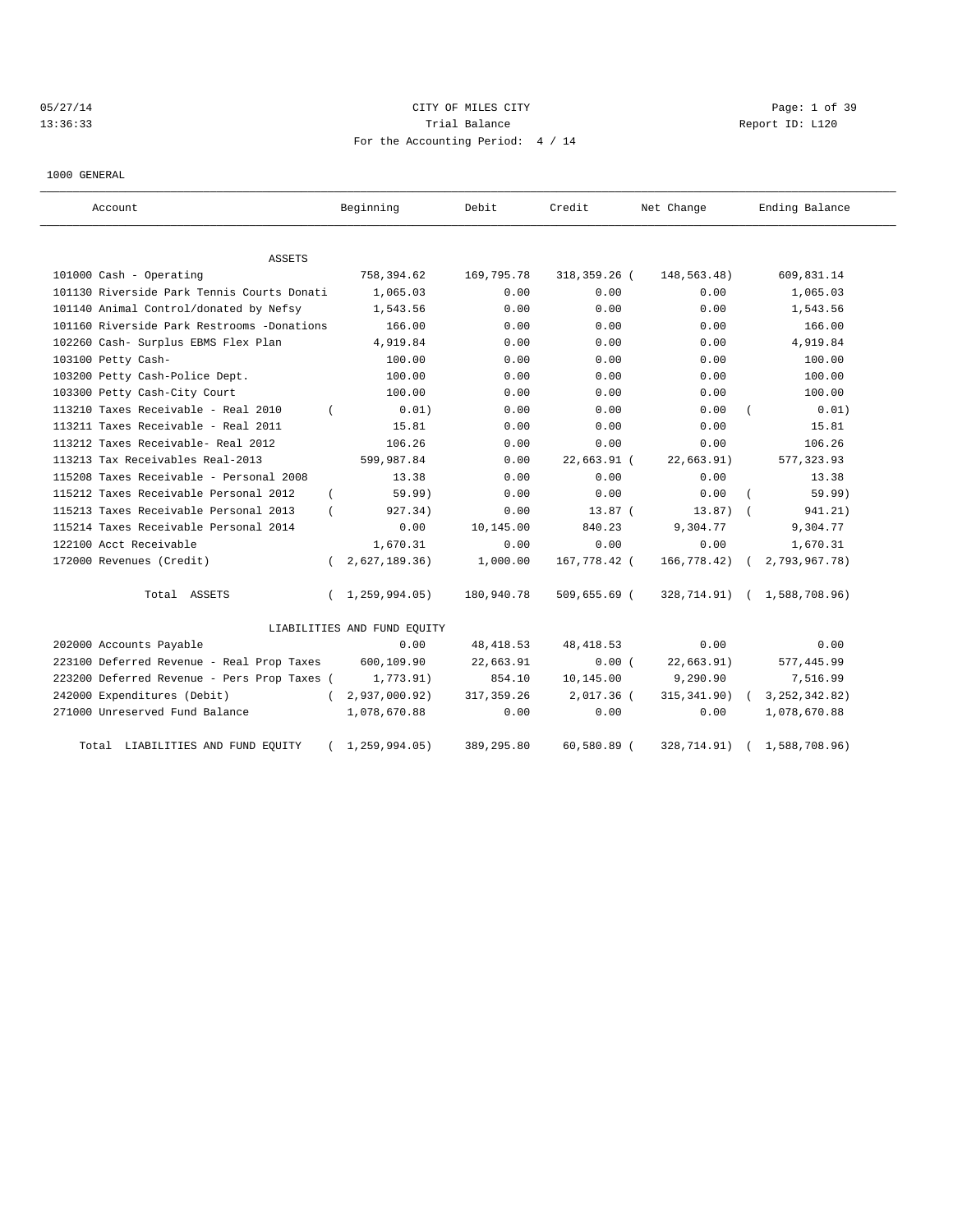# 05/27/14 CITY OF MILES CITY Page: 1 of 39 13:36:33 Trial Balance Trial Balance Report ID: L120 For the Accounting Period: 4 / 14

1000 GENERAL

| Account                                     |            | Beginning                   | Debit       | Credit       | Net Change   | Ending Balance              |
|---------------------------------------------|------------|-----------------------------|-------------|--------------|--------------|-----------------------------|
| <b>ASSETS</b>                               |            |                             |             |              |              |                             |
| 101000 Cash - Operating                     |            | 758,394.62                  | 169,795.78  | 318,359.26 ( | 148,563.48)  | 609,831.14                  |
| 101130 Riverside Park Tennis Courts Donati  |            | 1,065.03                    | 0.00        | 0.00         | 0.00         | 1,065.03                    |
| 101140 Animal Control/donated by Nefsy      |            | 1,543.56                    | 0.00        | 0.00         | 0.00         | 1,543.56                    |
| 101160 Riverside Park Restrooms -Donations  |            | 166.00                      | 0.00        | 0.00         | 0.00         | 166.00                      |
| 102260 Cash- Surplus EBMS Flex Plan         |            | 4,919.84                    | 0.00        | 0.00         | 0.00         | 4,919.84                    |
| 103100 Petty Cash-                          |            | 100.00                      | 0.00        | 0.00         | 0.00         | 100.00                      |
| 103200 Petty Cash-Police Dept.              |            | 100.00                      | 0.00        | 0.00         | 0.00         | 100.00                      |
| 103300 Petty Cash-City Court                |            | 100.00                      | 0.00        | 0.00         | 0.00         | 100.00                      |
| 113210 Taxes Receivable - Real 2010         |            | 0.01)                       | 0.00        | 0.00         | 0.00         | 0.01)                       |
| 113211 Taxes Receivable - Real 2011         |            | 15.81                       | 0.00        | 0.00         | 0.00         | 15.81                       |
| 113212 Taxes Receivable- Real 2012          |            | 106.26                      | 0.00        | 0.00         | 0.00         | 106.26                      |
| 113213 Tax Receivables Real-2013            |            | 599,987.84                  | 0.00        | 22,663.91 (  | 22,663.91)   | 577, 323.93                 |
| 115208 Taxes Receivable - Personal 2008     |            | 13.38                       | 0.00        | 0.00         | 0.00         | 13.38                       |
| 115212 Taxes Receivable Personal 2012       | $\left($   | 59.99)                      | 0.00        | 0.00         | 0.00         | 59.99)                      |
| 115213 Taxes Receivable Personal 2013       |            | 927.34)                     | 0.00        | $13.87$ (    | 13.87)       | 941.21)                     |
| 115214 Taxes Receivable Personal 2014       |            | 0.00                        | 10,145.00   | 840.23       | 9,304.77     | 9,304.77                    |
| 122100 Acct Receivable                      |            | 1,670.31                    | 0.00        | 0.00         | 0.00         | 1,670.31                    |
| 172000 Revenues (Credit)                    |            | 2,627,189.36)               | 1,000.00    | 167,778.42 ( | 166,778.42)  | 2,793,967.78)               |
| Total ASSETS                                | $\sqrt{2}$ | 1,259,994.05)               | 180,940.78  | 509,655.69 ( |              | 328,714.91) ( 1,588,708.96) |
|                                             |            | LIABILITIES AND FUND EQUITY |             |              |              |                             |
| 202000 Accounts Payable                     |            | 0.00                        | 48, 418.53  | 48, 418.53   | 0.00         | 0.00                        |
| 223100 Deferred Revenue - Real Prop Taxes   |            | 600,109.90                  | 22,663.91   | 0.00(        | 22,663.91)   | 577, 445.99                 |
| 223200 Deferred Revenue - Pers Prop Taxes ( |            | 1,773.91)                   | 854.10      | 10,145.00    | 9,290.90     | 7,516.99                    |
| 242000 Expenditures (Debit)                 | $\left($   | 2,937,000.92)               | 317, 359.26 | 2,017.36 (   | 315, 341.90) | 3, 252, 342.82)             |
| 271000 Unreserved Fund Balance              |            | 1,078,670.88                | 0.00        | 0.00         | 0.00         | 1,078,670.88                |
| LIABILITIES AND FUND EQUITY<br>Total        |            | 1,259,994.05)               | 389,295.80  | 60,580.89 (  | 328,714.91)  | 1,588,708.96)               |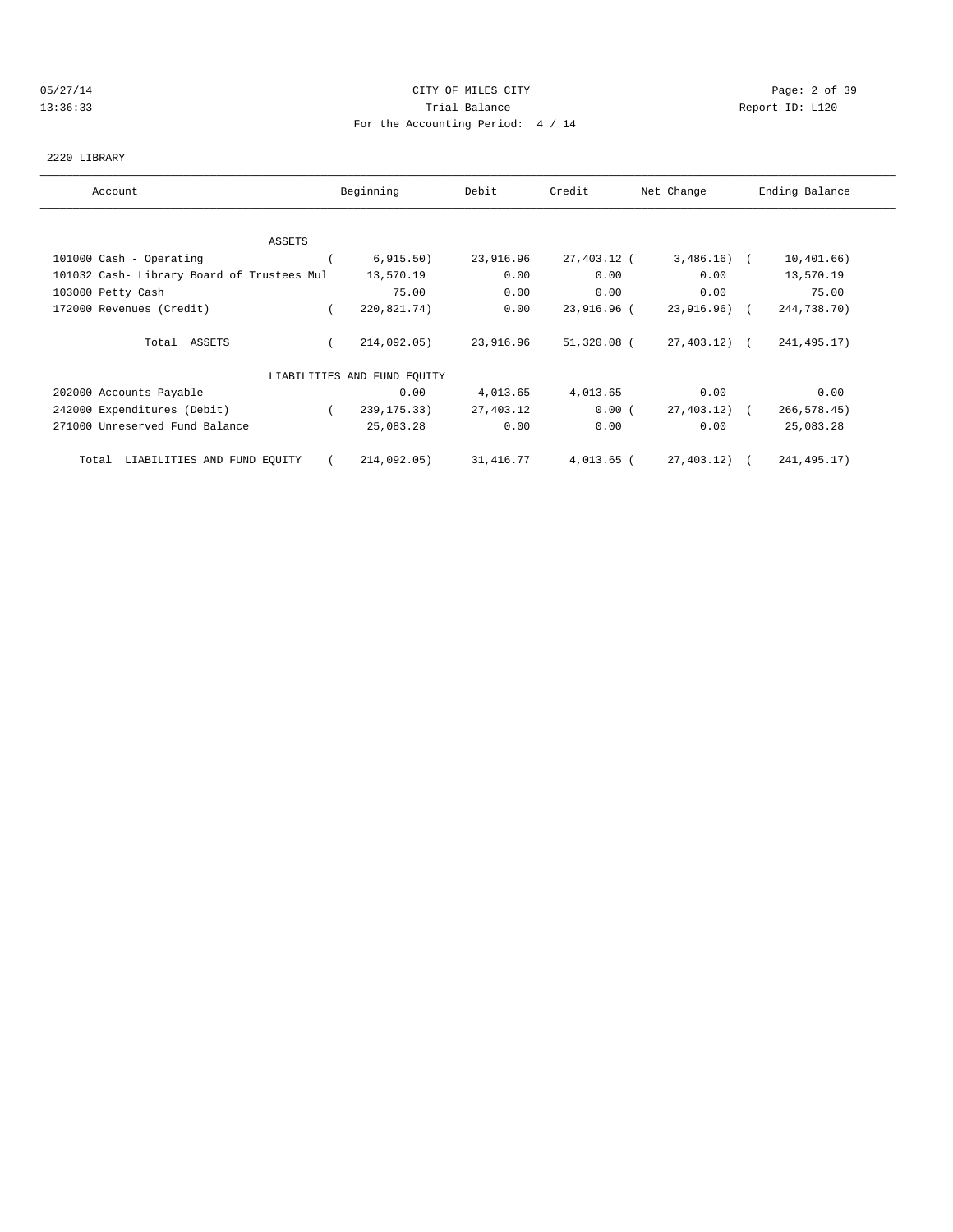### 05/27/14 Page: 2 of 39 13:36:33 Trial Balance Report ID: L120 For the Accounting Period: 4 / 14

#### 2220 LIBRARY

| Account                                    | Beginning                   | Debit     | Credit       | Net Change   | Ending Balance |
|--------------------------------------------|-----------------------------|-----------|--------------|--------------|----------------|
|                                            |                             |           |              |              |                |
| ASSETS                                     |                             |           |              |              |                |
| 101000 Cash - Operating                    | 6, 915.50)                  | 23,916.96 | 27,403.12 (  | $3,486.16$ ( | 10,401.66)     |
| 101032 Cash- Library Board of Trustees Mul | 13,570.19                   | 0.00      | 0.00         | 0.00         | 13,570.19      |
| 103000 Petty Cash                          | 75.00                       | 0.00      | 0.00         | 0.00         | 75.00          |
| 172000 Revenues (Credit)                   | 220,821.74)                 | 0.00      | 23,916.96 (  | 23,916.96) ( | 244,738.70)    |
| Total ASSETS                               | 214,092.05)                 | 23,916.96 | 51,320.08 (  | 27,403.12) ( | 241, 495.17)   |
|                                            | LIABILITIES AND FUND EQUITY |           |              |              |                |
| 202000 Accounts Payable                    | 0.00                        | 4,013.65  | 4,013.65     | 0.00         | 0.00           |
| 242000 Expenditures (Debit)                | 239, 175. 33)               | 27,403.12 | 0.00(        | 27,403.12) ( | 266, 578.45)   |
| 271000 Unreserved Fund Balance             | 25,083.28                   | 0.00      | 0.00         | 0.00         | 25,083.28      |
| LIABILITIES AND FUND EQUITY<br>Total       | 214,092.05)                 | 31,416.77 | $4,013.65$ ( | 27,403.12) ( | 241, 495.17)   |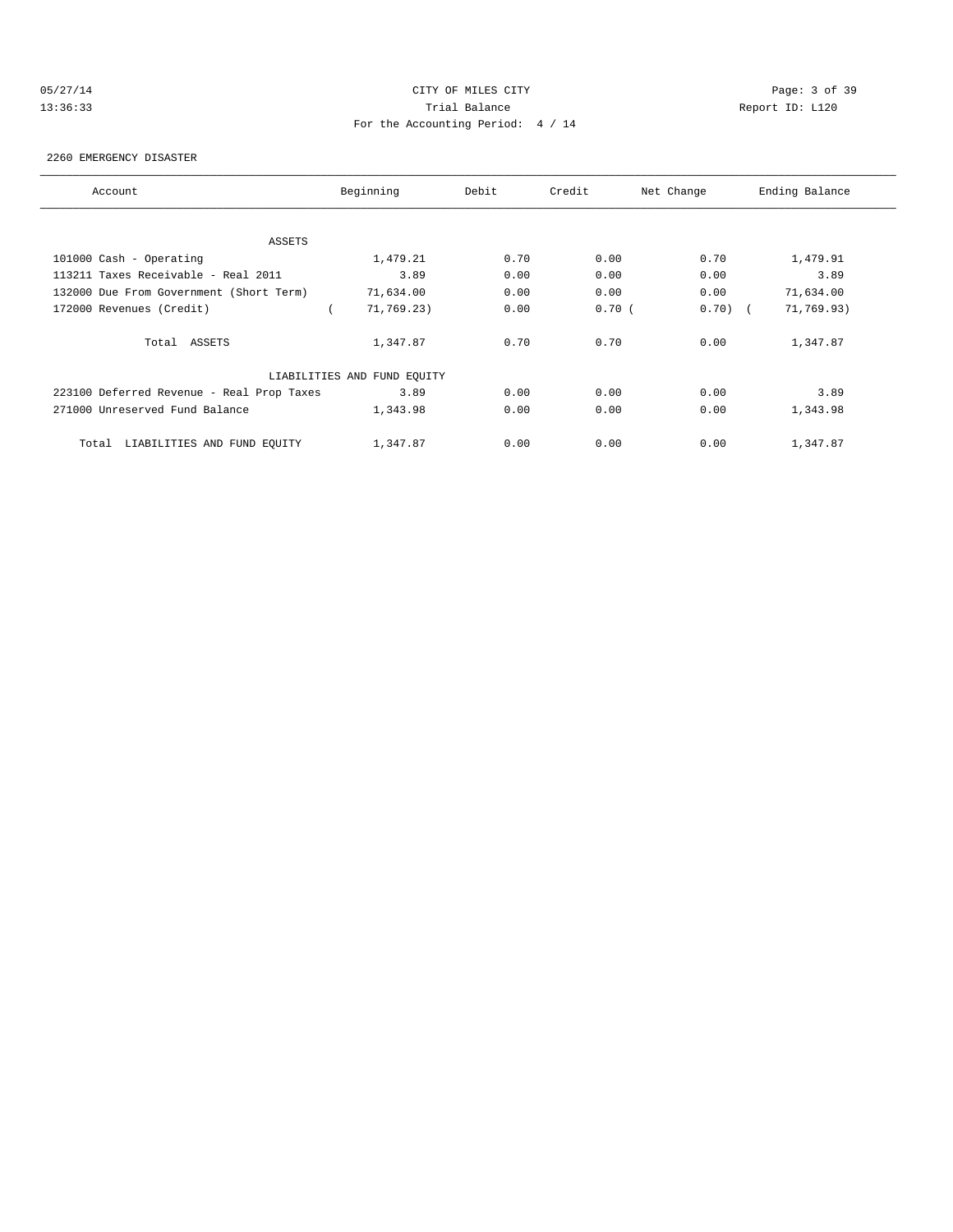# 05/27/14 CITY OF MILES CITY Page: 3 of 39 13:36:33 Trial Balance Report ID: L120 For the Accounting Period: 4 / 14

#### 2260 EMERGENCY DISASTER

| Account                                   | Beginning                   | Debit | Credit | Net Change | Ending Balance |
|-------------------------------------------|-----------------------------|-------|--------|------------|----------------|
| ASSETS                                    |                             |       |        |            |                |
| 101000 Cash - Operating                   | 1,479.21                    | 0.70  | 0.00   | 0.70       | 1,479.91       |
| 113211 Taxes Receivable - Real 2011       | 3.89                        | 0.00  | 0.00   | 0.00       | 3.89           |
| 132000 Due From Government (Short Term)   | 71,634.00                   | 0.00  | 0.00   | 0.00       | 71,634.00      |
| 172000 Revenues (Credit)                  | 71,769.23)                  | 0.00  | 0.70(  | $0.70)$ (  | 71,769.93)     |
| Total ASSETS                              | 1,347.87                    | 0.70  | 0.70   | 0.00       | 1,347.87       |
|                                           | LIABILITIES AND FUND EQUITY |       |        |            |                |
| 223100 Deferred Revenue - Real Prop Taxes | 3.89                        | 0.00  | 0.00   | 0.00       | 3.89           |
| 271000 Unreserved Fund Balance            | 1,343.98                    | 0.00  | 0.00   | 0.00       | 1,343.98       |
| LIABILITIES AND FUND EQUITY<br>Total      | 1,347.87                    | 0.00  | 0.00   | 0.00       | 1,347.87       |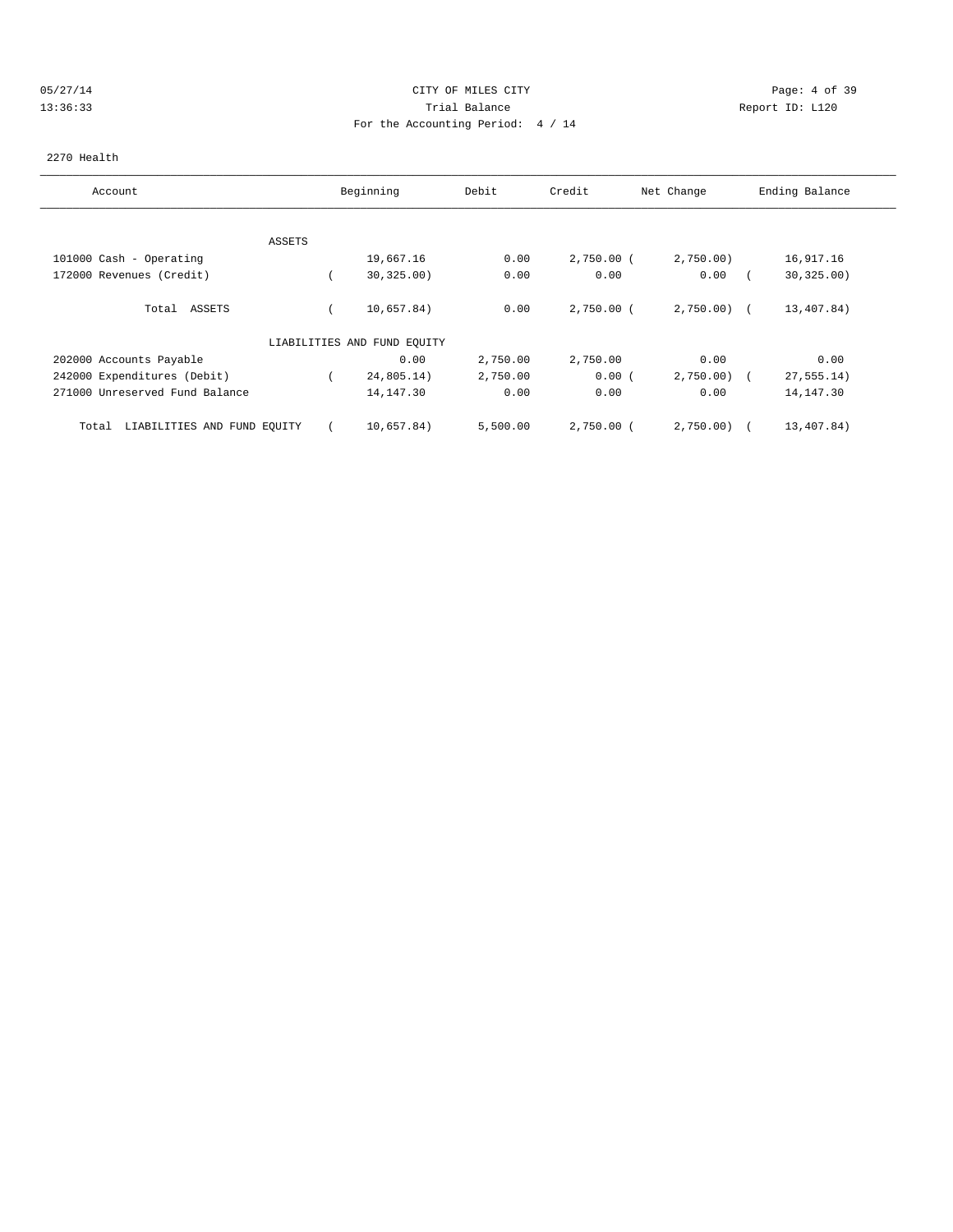### 05/27/14 CITY OF MILES CITY Page: 4 of 39 13:36:33 Trial Balance Report ID: L120 For the Accounting Period: 4 / 14

#### 2270 Health

| Account                              |        | Beginning                   | Debit    | Credit       | Net Change   | Ending Balance |
|--------------------------------------|--------|-----------------------------|----------|--------------|--------------|----------------|
|                                      |        |                             |          |              |              |                |
|                                      | ASSETS |                             |          |              |              |                |
| 101000 Cash - Operating              |        | 19,667.16                   | 0.00     | $2,750.00$ ( | 2,750.00     | 16,917.16      |
| 172000 Revenues (Credit)             |        | 30, 325.00)                 | 0.00     | 0.00         | 0.00         | 30, 325.00     |
| ASSETS<br>Total                      |        | 10,657.84)                  | 0.00     | $2,750.00$ ( | $2,750.00$ ( | 13,407.84)     |
|                                      |        | LIABILITIES AND FUND EQUITY |          |              |              |                |
| 202000 Accounts Payable              |        | 0.00                        | 2,750.00 | 2,750.00     | 0.00         | 0.00           |
| 242000 Expenditures (Debit)          |        | 24,805.14)                  | 2,750.00 | 0.00(        | 2,750.00     | 27, 555.14)    |
| 271000 Unreserved Fund Balance       |        | 14, 147.30                  | 0.00     | 0.00         | 0.00         | 14, 147.30     |
| LIABILITIES AND FUND EQUITY<br>Total |        | 10,657.84)                  | 5,500.00 | $2,750.00$ ( | 2,750.00     | 13,407.84)     |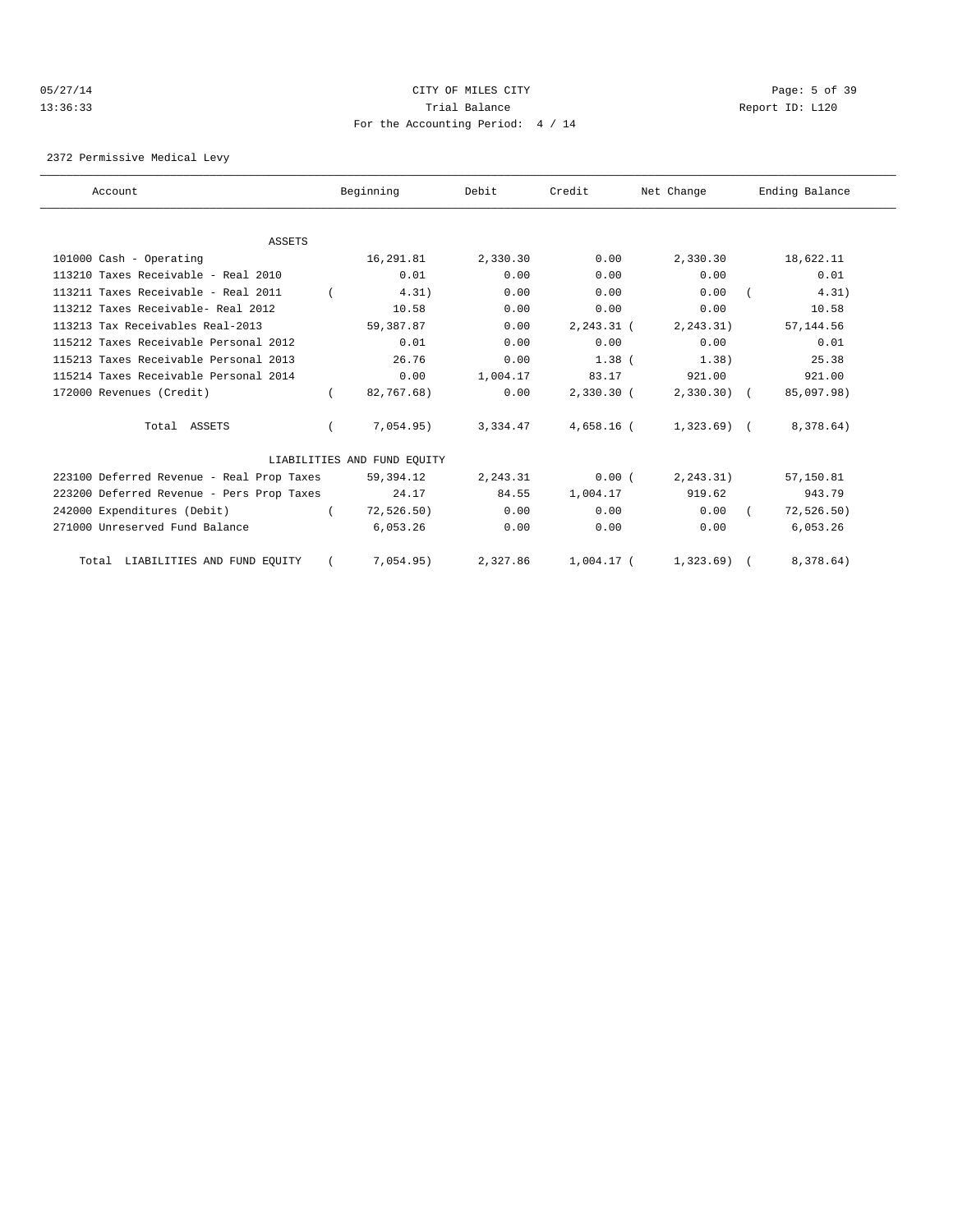### 05/27/14 Page: 5 of 39 13:36:33 Trial Balance Report ID: L120 For the Accounting Period: 4 / 14

2372 Permissive Medical Levy

| Account                                   | Beginning                   | Debit    | Credit        | Net Change    | Ending Balance |  |
|-------------------------------------------|-----------------------------|----------|---------------|---------------|----------------|--|
|                                           |                             |          |               |               |                |  |
| <b>ASSETS</b>                             |                             |          |               |               |                |  |
| 101000 Cash - Operating                   | 16,291.81                   | 2,330.30 | 0.00          | 2,330.30      | 18,622.11      |  |
| 113210 Taxes Receivable - Real 2010       | 0.01                        | 0.00     | 0.00          | 0.00          | 0.01           |  |
| 113211 Taxes Receivable - Real 2011       | 4.31)                       | 0.00     | 0.00          | 0.00          | 4.31)          |  |
| 113212 Taxes Receivable- Real 2012        | 10.58                       | 0.00     | 0.00          | 0.00          | 10.58          |  |
| 113213 Tax Receivables Real-2013          | 59,387.87                   | 0.00     | $2, 243.31$ ( | 2, 243.31)    | 57, 144.56     |  |
| 115212 Taxes Receivable Personal 2012     | 0.01                        | 0.00     | 0.00          | 0.00          | 0.01           |  |
| 115213 Taxes Receivable Personal 2013     | 26.76                       | 0.00     | $1.38$ (      | 1.38)         | 25.38          |  |
| 115214 Taxes Receivable Personal 2014     | 0.00                        | 1,004.17 | 83.17         | 921.00        | 921.00         |  |
| 172000 Revenues (Credit)                  | 82,767.68)                  | 0.00     | $2,330.30$ (  | $2,330.30)$ ( | 85,097.98)     |  |
| Total ASSETS                              | 7,054.95)                   | 3,334.47 | 4,658.16 (    | 1,323.69) (   | 8,378.64)      |  |
|                                           | LIABILITIES AND FUND EOUITY |          |               |               |                |  |
| 223100 Deferred Revenue - Real Prop Taxes | 59,394.12                   | 2,243.31 | 0.00(         | 2, 243.31)    | 57,150.81      |  |
| 223200 Deferred Revenue - Pers Prop Taxes | 24.17                       | 84.55    | 1,004.17      | 919.62        | 943.79         |  |
| 242000 Expenditures (Debit)               | 72, 526.50)                 | 0.00     | 0.00          | 0.00          | 72, 526.50)    |  |
| 271000 Unreserved Fund Balance            | 6,053.26                    | 0.00     | 0.00          | 0.00          | 6,053.26       |  |
| Total LIABILITIES AND FUND EQUITY         | 7,054.95)                   | 2,327.86 | $1,004.17$ (  | 1,323.69)     | 8,378.64)      |  |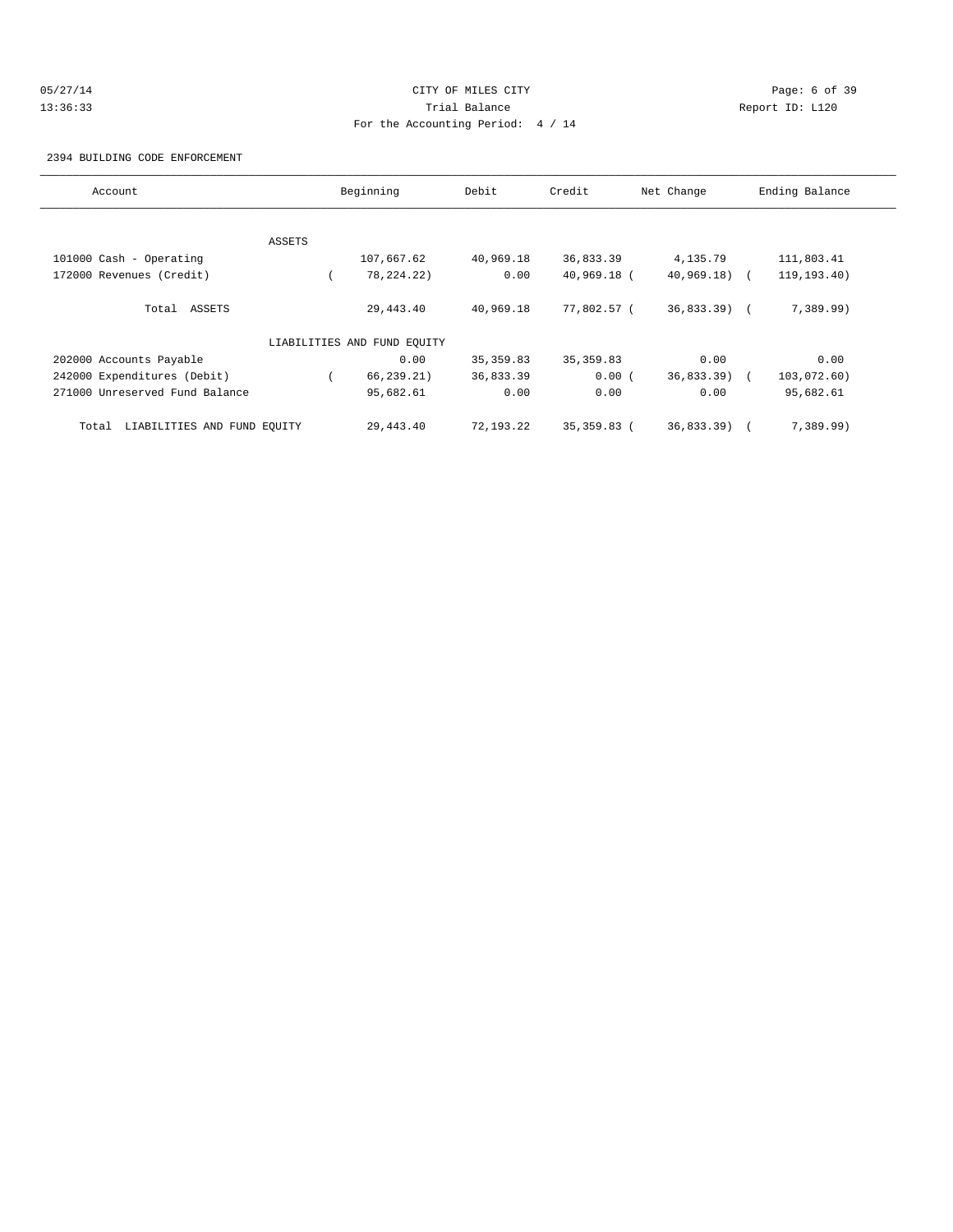# 05/27/14 Page: 6 of 39 13:36:33 Trial Balance Report ID: L120 For the Accounting Period: 4 / 14

#### 2394 BUILDING CODE ENFORCEMENT

| Account                              |        | Beginning                   | Debit      | Credit       | Net Change    | Ending Balance |
|--------------------------------------|--------|-----------------------------|------------|--------------|---------------|----------------|
|                                      |        |                             |            |              |               |                |
|                                      | ASSETS |                             |            |              |               |                |
| 101000 Cash - Operating              |        | 107,667.62                  | 40,969.18  | 36,833.39    | 4,135.79      | 111,803.41     |
| 172000 Revenues (Credit)             |        | 78, 224. 22)                | 0.00       | 40,969.18 (  | $40,969.18$ ( | 119, 193.40)   |
| Total ASSETS                         |        | 29,443.40                   | 40,969.18  | 77,802.57 (  | $36,833.39$ ( | 7,389.99)      |
|                                      |        | LIABILITIES AND FUND EQUITY |            |              |               |                |
| 202000 Accounts Payable              |        | 0.00                        | 35, 359.83 | 35, 359.83   | 0.00          | 0.00           |
| 242000 Expenditures (Debit)          |        | 66, 239.21)                 | 36,833.39  | 0.00(        | 36,833.39)    | 103,072.60)    |
| 271000 Unreserved Fund Balance       |        | 95,682.61                   | 0.00       | 0.00         | 0.00          | 95,682.61      |
| LIABILITIES AND FUND EQUITY<br>Total |        | 29,443.40                   | 72,193.22  | 35, 359.83 ( | 36,833.39)    | 7,389.99)      |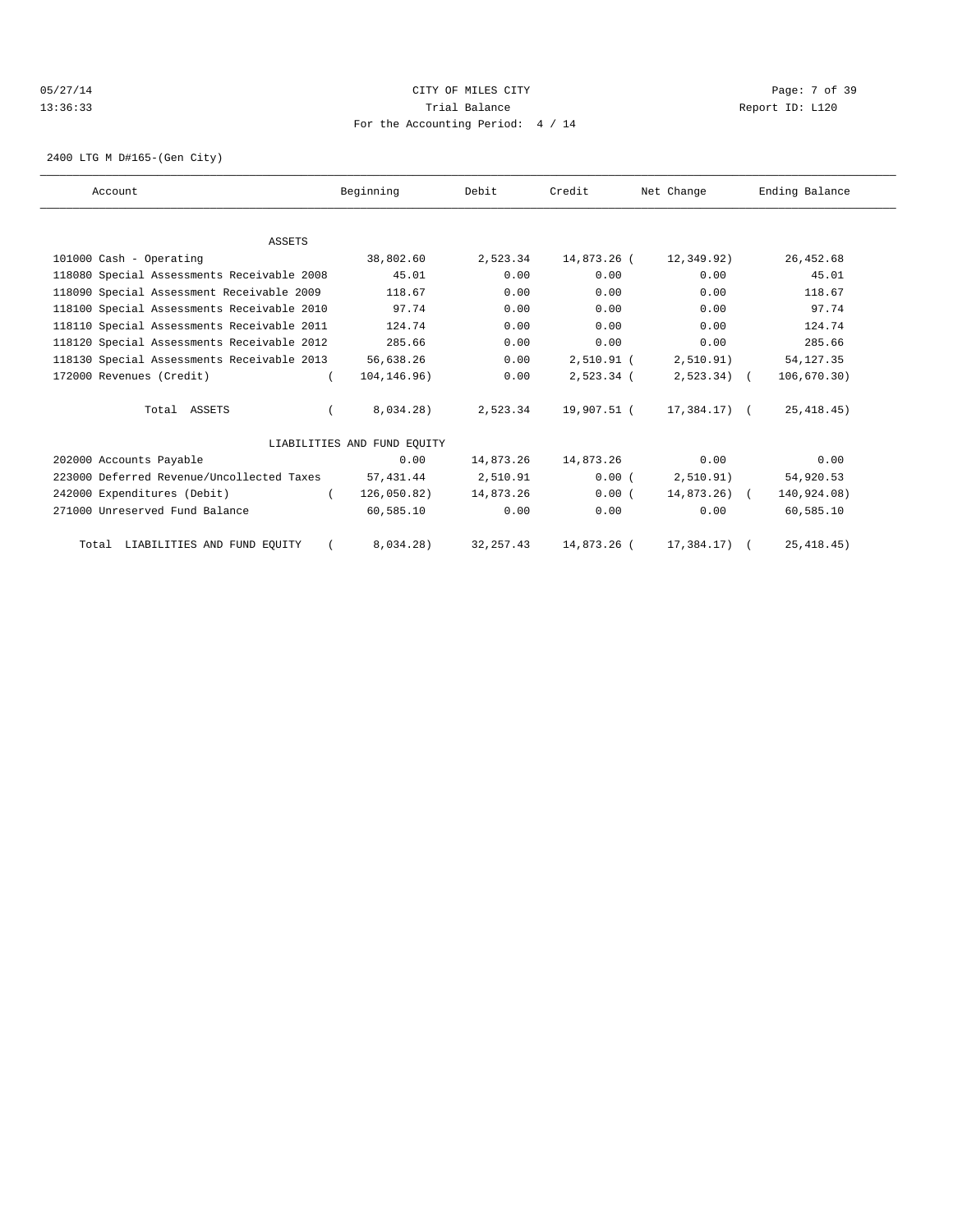### 05/27/14 Page: 7 of 39 13:36:33 Trial Balance Report ID: L120 For the Accounting Period: 4 / 14

2400 LTG M D#165-(Gen City)

| Account                                    | Beginning                   | Debit      | Credit       | Net Change    | Ending Balance |  |
|--------------------------------------------|-----------------------------|------------|--------------|---------------|----------------|--|
|                                            |                             |            |              |               |                |  |
| <b>ASSETS</b>                              |                             |            |              |               |                |  |
| 101000 Cash - Operating                    | 38,802.60                   | 2,523.34   | 14,873.26 (  | 12,349.92)    | 26,452.68      |  |
| 118080 Special Assessments Receivable 2008 | 45.01                       | 0.00       | 0.00         | 0.00          | 45.01          |  |
| 118090 Special Assessment Receivable 2009  | 118.67                      | 0.00       | 0.00         | 0.00          | 118.67         |  |
| 118100 Special Assessments Receivable 2010 | 97.74                       | 0.00       | 0.00         | 0.00          | 97.74          |  |
| 118110 Special Assessments Receivable 2011 | 124.74                      | 0.00       | 0.00         | 0.00          | 124.74         |  |
| 118120 Special Assessments Receivable 2012 | 285.66                      | 0.00       | 0.00         | 0.00          | 285.66         |  |
| 118130 Special Assessments Receivable 2013 | 56,638.26                   | 0.00       | $2,510.91$ ( | 2,510.91)     | 54, 127.35     |  |
| 172000 Revenues (Credit)                   | 104, 146. 96)               | 0.00       | 2,523.34 (   | $2,523.34$ (  | 106, 670.30)   |  |
| Total ASSETS                               | $8,034.28$ )                | 2,523.34   | 19,907.51 (  | 17,384.17) (  | 25, 418.45)    |  |
|                                            | LIABILITIES AND FUND EOUITY |            |              |               |                |  |
| 202000 Accounts Payable                    | 0.00                        | 14,873.26  | 14,873.26    | 0.00          | 0.00           |  |
| 223000 Deferred Revenue/Uncollected Taxes  | 57,431.44                   | 2,510.91   | 0.00(        | 2,510.91)     | 54,920.53      |  |
| 242000 Expenditures (Debit)                | 126,050.82)                 | 14,873.26  | 0.00(        | $14,873,26$ ( | 140,924.08)    |  |
| 271000 Unreserved Fund Balance             | 60,585.10                   | 0.00       | 0.00         | 0.00          | 60,585.10      |  |
| Total LIABILITIES AND FUND EQUITY          | 8,034.28)                   | 32, 257.43 | 14,873.26 (  | 17,384.17)    | 25, 418.45)    |  |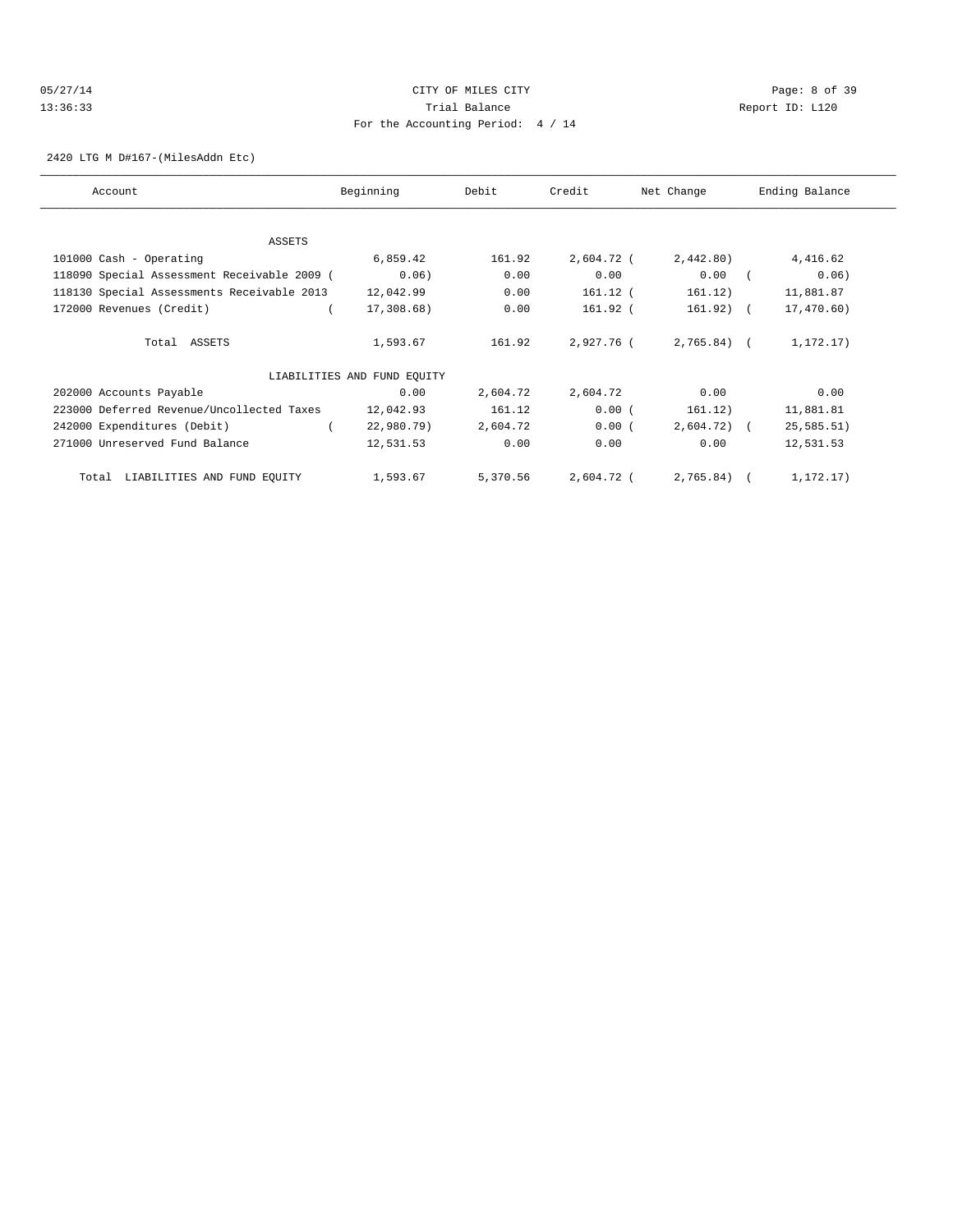### 05/27/14 CITY OF MILES CITY Page: 8 of 39 13:36:33 Trial Balance Report ID: L120 For the Accounting Period: 4 / 14

2420 LTG M D#167-(MilesAddn Etc)

| Account                                     | Beginning                   | Debit    | Credit     | Net Change   | Ending Balance |
|---------------------------------------------|-----------------------------|----------|------------|--------------|----------------|
| ASSETS                                      |                             |          |            |              |                |
| 101000 Cash - Operating                     | 6,859.42                    | 161.92   | 2,604.72 ( | 2,442.80)    | 4,416.62       |
| 118090 Special Assessment Receivable 2009 ( | 0.06)                       | 0.00     | 0.00       | 0.00         | 0.06)          |
| 118130 Special Assessments Receivable 2013  | 12,042.99                   | 0.00     | 161.12 (   | 161.12)      | 11,881.87      |
| 172000 Revenues (Credit)                    | 17,308.68)                  | 0.00     | 161.92 (   | 161.92)      | 17,470.60)     |
| Total ASSETS                                | 1,593.67                    | 161.92   | 2,927.76 ( | $2,765.84$ ( | 1,172.17)      |
|                                             | LIABILITIES AND FUND EQUITY |          |            |              |                |
| 202000 Accounts Payable                     | 0.00                        | 2,604.72 | 2,604.72   | 0.00         | 0.00           |
| 223000 Deferred Revenue/Uncollected Taxes   | 12,042.93                   | 161.12   | 0.00(      | 161.12)      | 11,881.81      |
| 242000 Expenditures (Debit)                 | 22,980.79)                  | 2,604.72 | 0.00(      | $2,604.72$ ( | 25, 585.51)    |
| 271000 Unreserved Fund Balance              | 12,531.53                   | 0.00     | 0.00       | 0.00         | 12,531.53      |
| LIABILITIES AND FUND EQUITY<br>Total        | 1,593.67                    | 5,370.56 | 2,604.72 ( | $2,765.84$ ( | 1,172.17)      |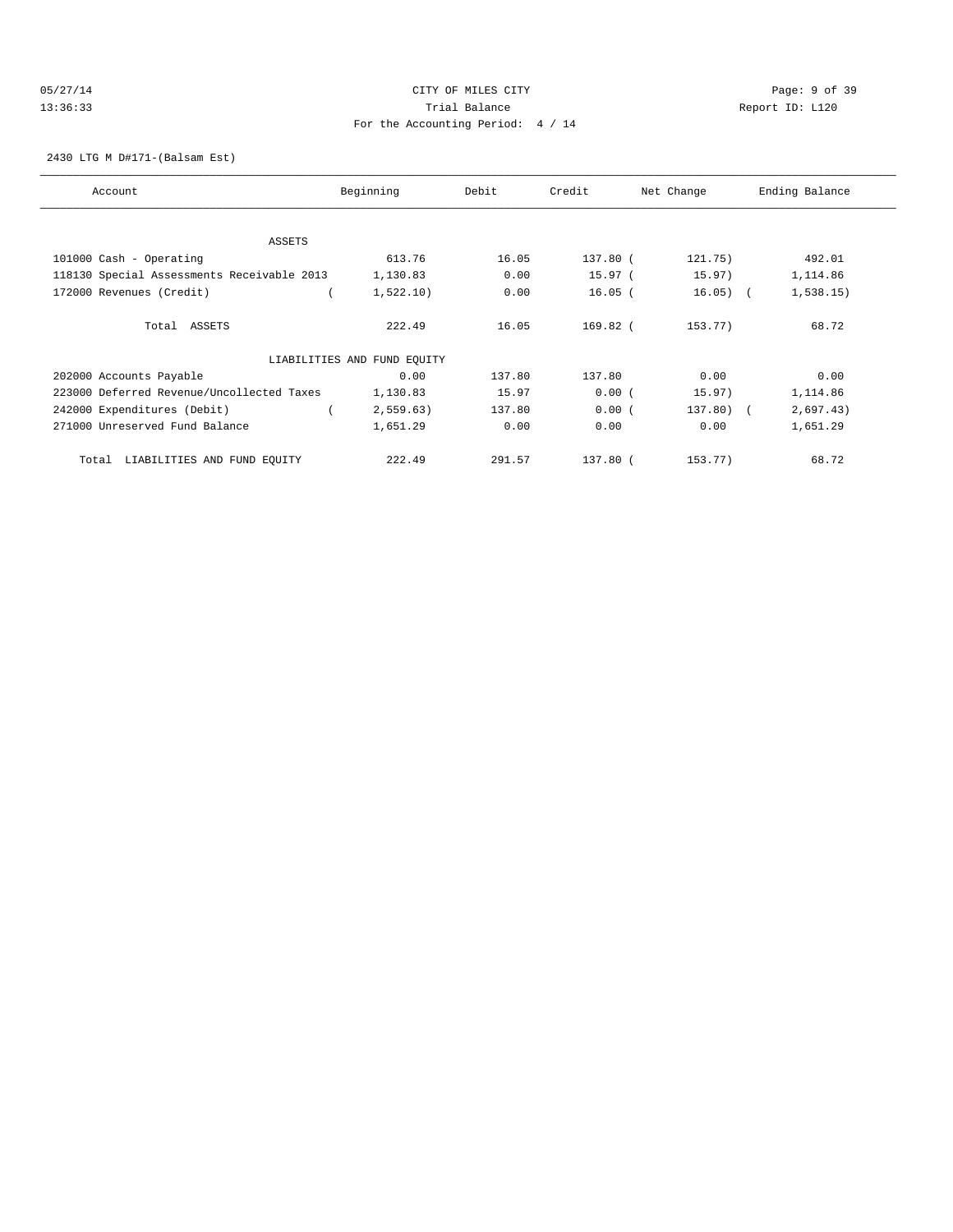### 05/27/14 CITY OF MILES CITY Page: 9 of 39 13:36:33 Trial Balance Report ID: L120 For the Accounting Period: 4 / 14

#### 2430 LTG M D#171-(Balsam Est)

| Account                                    | Beginning                   | Debit  | Credit     | Net Change | Ending Balance |
|--------------------------------------------|-----------------------------|--------|------------|------------|----------------|
|                                            |                             |        |            |            |                |
| ASSETS                                     |                             |        |            |            |                |
| 101000 Cash - Operating                    | 613.76                      | 16.05  | 137.80 (   | 121.75)    | 492.01         |
| 118130 Special Assessments Receivable 2013 | 1,130.83                    | 0.00   | 15.97(     | 15.97)     | 1,114.86       |
| 172000 Revenues (Credit)                   | 1,522.10)                   | 0.00   | $16.05$ (  | $16.05)$ ( | 1,538.15)      |
| Total ASSETS                               | 222.49                      | 16.05  | $169.82$ ( | 153.77)    | 68.72          |
|                                            | LIABILITIES AND FUND EQUITY |        |            |            |                |
| 202000 Accounts Payable                    | 0.00                        | 137.80 | 137.80     | 0.00       | 0.00           |
| 223000 Deferred Revenue/Uncollected Taxes  | 1,130.83                    | 15.97  | 0.00(      | 15.97)     | 1,114.86       |
| 242000 Expenditures (Debit)                | 2,559.63)                   | 137.80 | 0.00(      | 137.80) (  | 2,697.43)      |
| 271000 Unreserved Fund Balance             | 1,651.29                    | 0.00   | 0.00       | 0.00       | 1,651.29       |
| LIABILITIES AND FUND EQUITY<br>Total       | 222.49                      | 291.57 | 137.80 (   | 153.77)    | 68.72          |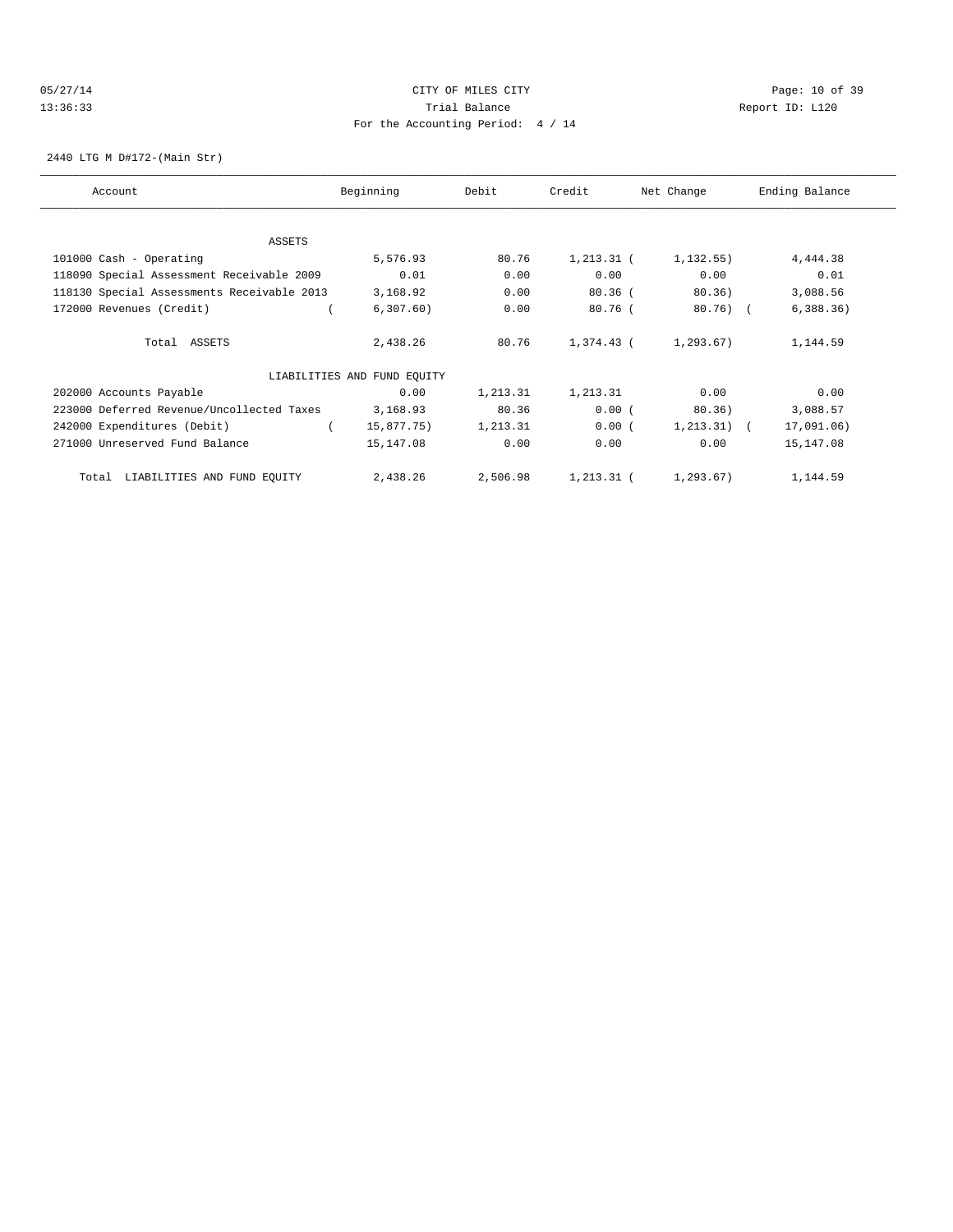# 05/27/14 Page: 10 of 39 13:36:33 Trial Balance Report ID: L120 For the Accounting Period: 4 / 14

2440 LTG M D#172-(Main Str)

| Account                                    | Beginning                   | Debit    | Credit        | Net Change     | Ending Balance |
|--------------------------------------------|-----------------------------|----------|---------------|----------------|----------------|
| ASSETS                                     |                             |          |               |                |                |
| 101000 Cash - Operating                    | 5,576.93                    | 80.76    | $1, 213.31$ ( | 1, 132, 55)    | 4,444.38       |
| 118090 Special Assessment Receivable 2009  | 0.01                        | 0.00     | 0.00          | 0.00           | 0.01           |
| 118130 Special Assessments Receivable 2013 | 3,168.92                    | 0.00     | $80.36$ (     | 80.36)         | 3,088.56       |
| 172000 Revenues (Credit)                   | 6, 307.60)                  | 0.00     | $80.76$ (     | $80.76$ (      | 6,388.36)      |
| Total ASSETS                               | 2,438.26                    | 80.76    | 1,374.43 (    | 1,293.67)      | 1,144.59       |
|                                            | LIABILITIES AND FUND EQUITY |          |               |                |                |
| 202000 Accounts Payable                    | 0.00                        | 1,213.31 | 1,213.31      | 0.00           | 0.00           |
| 223000 Deferred Revenue/Uncollected Taxes  | 3,168.93                    | 80.36    | 0.00(         | 80.36)         | 3,088.57       |
| 242000 Expenditures (Debit)                | 15,877.75)                  | 1,213.31 | 0.00(         | $1, 213.31)$ ( | 17,091.06)     |
| 271000 Unreserved Fund Balance             | 15,147.08                   | 0.00     | 0.00          | 0.00           | 15,147.08      |
| LIABILITIES AND FUND EQUITY<br>Total       | 2,438.26                    | 2,506.98 | 1,213.31 (    | 1,293.67)      | 1,144.59       |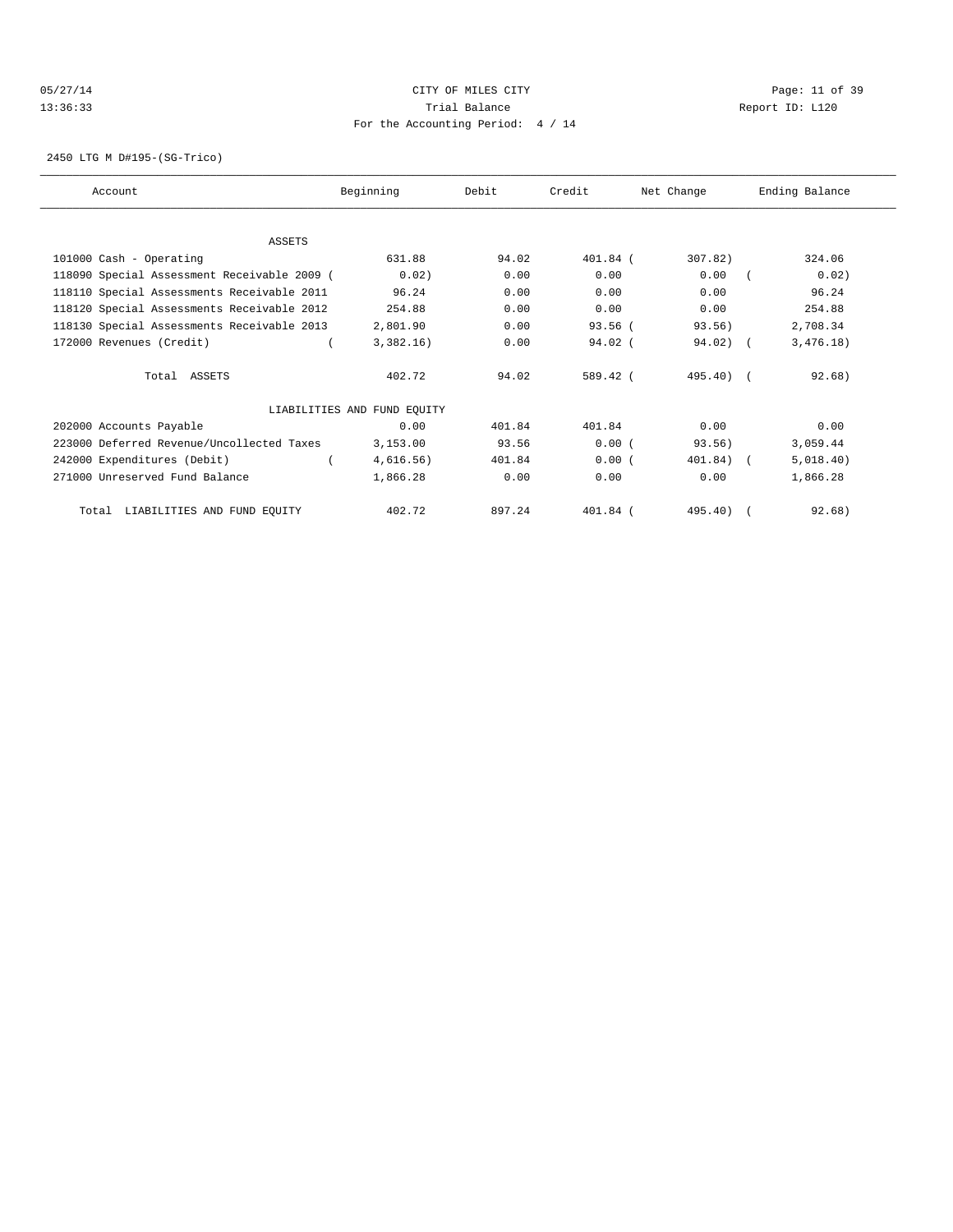# 05/27/14 Page: 11 of 39 13:36:33 Trial Balance Report ID: L120 For the Accounting Period: 4 / 14

2450 LTG M D#195-(SG-Trico)

| Account                                     | Beginning                   | Debit  | Credit     | Net Change  | Ending Balance |
|---------------------------------------------|-----------------------------|--------|------------|-------------|----------------|
|                                             |                             |        |            |             |                |
| <b>ASSETS</b>                               |                             |        |            |             |                |
| 101000 Cash - Operating                     | 631.88                      | 94.02  | $401.84$ ( | 307.82)     | 324.06         |
| 118090 Special Assessment Receivable 2009 ( | 0.02)                       | 0.00   | 0.00       | 0.00        | 0.02)          |
| 118110 Special Assessments Receivable 2011  | 96.24                       | 0.00   | 0.00       | 0.00        | 96.24          |
| 118120 Special Assessments Receivable 2012  | 254.88                      | 0.00   | 0.00       | 0.00        | 254.88         |
| 118130 Special Assessments Receivable 2013  | 2,801.90                    | 0.00   | $93.56$ (  | 93.56)      | 2,708.34       |
| 172000 Revenues (Credit)                    | 3,382.16)                   | 0.00   | $94.02$ (  | $94.02$ ) ( | 3,476.18)      |
| Total ASSETS                                | 402.72                      | 94.02  | 589.42 (   | $495.40$ (  | 92.68)         |
|                                             | LIABILITIES AND FUND EQUITY |        |            |             |                |
| 202000 Accounts Payable                     | 0.00                        | 401.84 | 401.84     | 0.00        | 0.00           |
| 223000 Deferred Revenue/Uncollected Taxes   | 3,153.00                    | 93.56  | 0.00(      | 93.56)      | 3,059.44       |
| 242000 Expenditures (Debit)                 | 4,616.56)                   | 401.84 | 0.00(      | 401.84)     | 5,018.40)      |
| 271000 Unreserved Fund Balance              | 1,866.28                    | 0.00   | 0.00       | 0.00        | 1,866.28       |
| Total LIABILITIES AND FUND EQUITY           | 402.72                      | 897.24 | $401.84$ ( | $495.40$ )  | 92.68)         |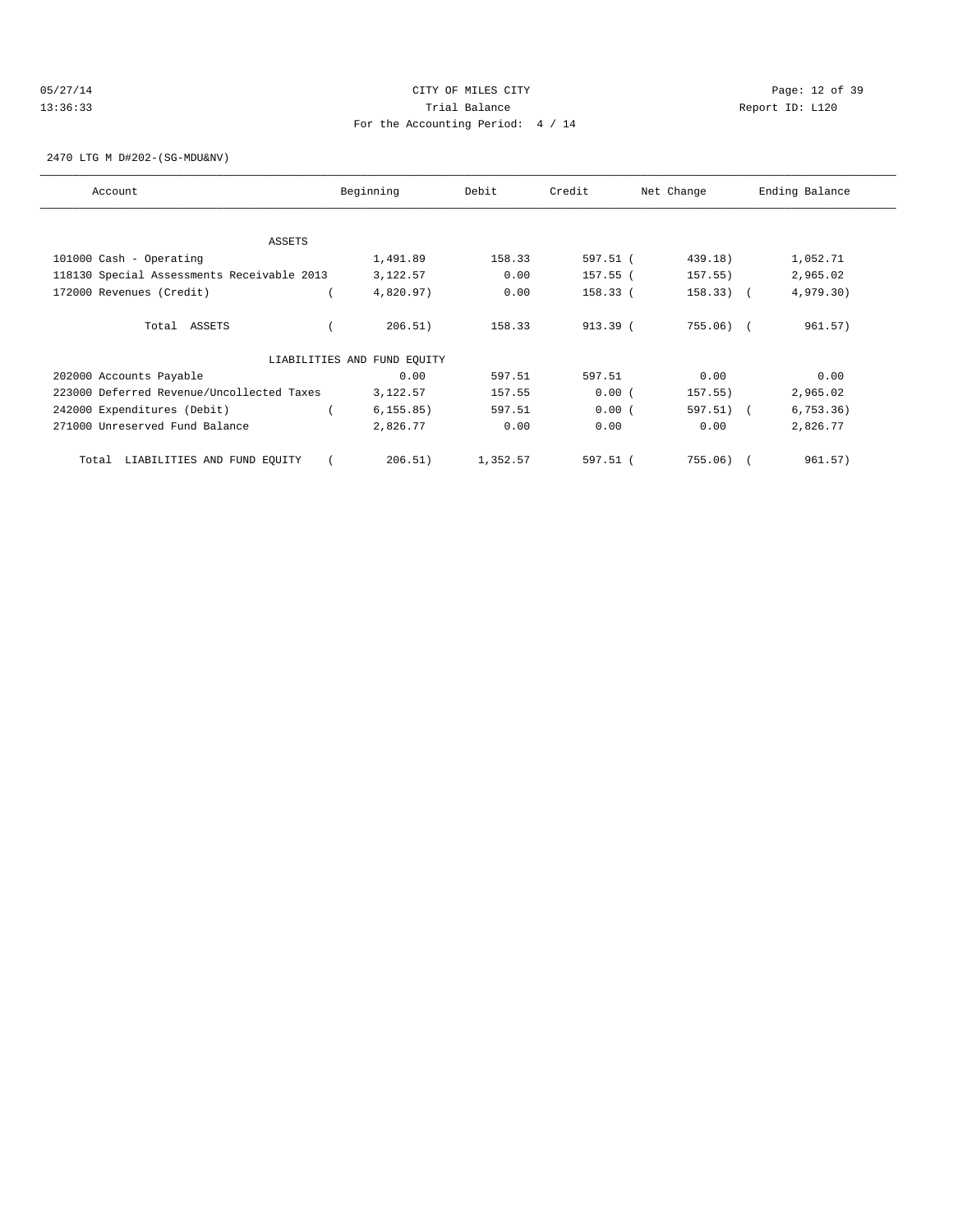### 05/27/14 Page: 12 of 39 13:36:33 Trial Balance Report ID: L120 For the Accounting Period: 4 / 14

2470 LTG M D#202-(SG-MDU&NV)

| Account                                    | Beginning                   | Debit    | Credit   | Net Change  | Ending Balance |
|--------------------------------------------|-----------------------------|----------|----------|-------------|----------------|
| ASSETS                                     |                             |          |          |             |                |
| 101000 Cash - Operating                    | 1,491.89                    | 158.33   | 597.51 ( | 439.18)     | 1,052.71       |
|                                            |                             |          |          |             |                |
| 118130 Special Assessments Receivable 2013 | 3,122.57                    | 0.00     | 157.55 ( | 157.55)     | 2,965.02       |
| 172000 Revenues (Credit)                   | 4,820.97)                   | 0.00     | 158.33 ( | $158.33)$ ( | 4,979.30)      |
| Total ASSETS                               | 206.51)                     | 158.33   | 913.39 ( | $755.06$ (  | 961.57)        |
|                                            | LIABILITIES AND FUND EQUITY |          |          |             |                |
| 202000 Accounts Payable                    | 0.00                        | 597.51   | 597.51   | 0.00        | 0.00           |
| 223000 Deferred Revenue/Uncollected Taxes  | 3,122.57                    | 157.55   | 0.00(    | 157.55)     | 2,965.02       |
| 242000 Expenditures (Debit)                | 6, 155.85)                  | 597.51   | 0.00(    | 597.51) (   | 6, 753.36)     |
| 271000 Unreserved Fund Balance             | 2,826.77                    | 0.00     | 0.00     | 0.00        | 2,826.77       |
| LIABILITIES AND FUND EQUITY<br>Total       | 206.51)                     | 1,352.57 | 597.51 ( | 755.06)     | 961.57)        |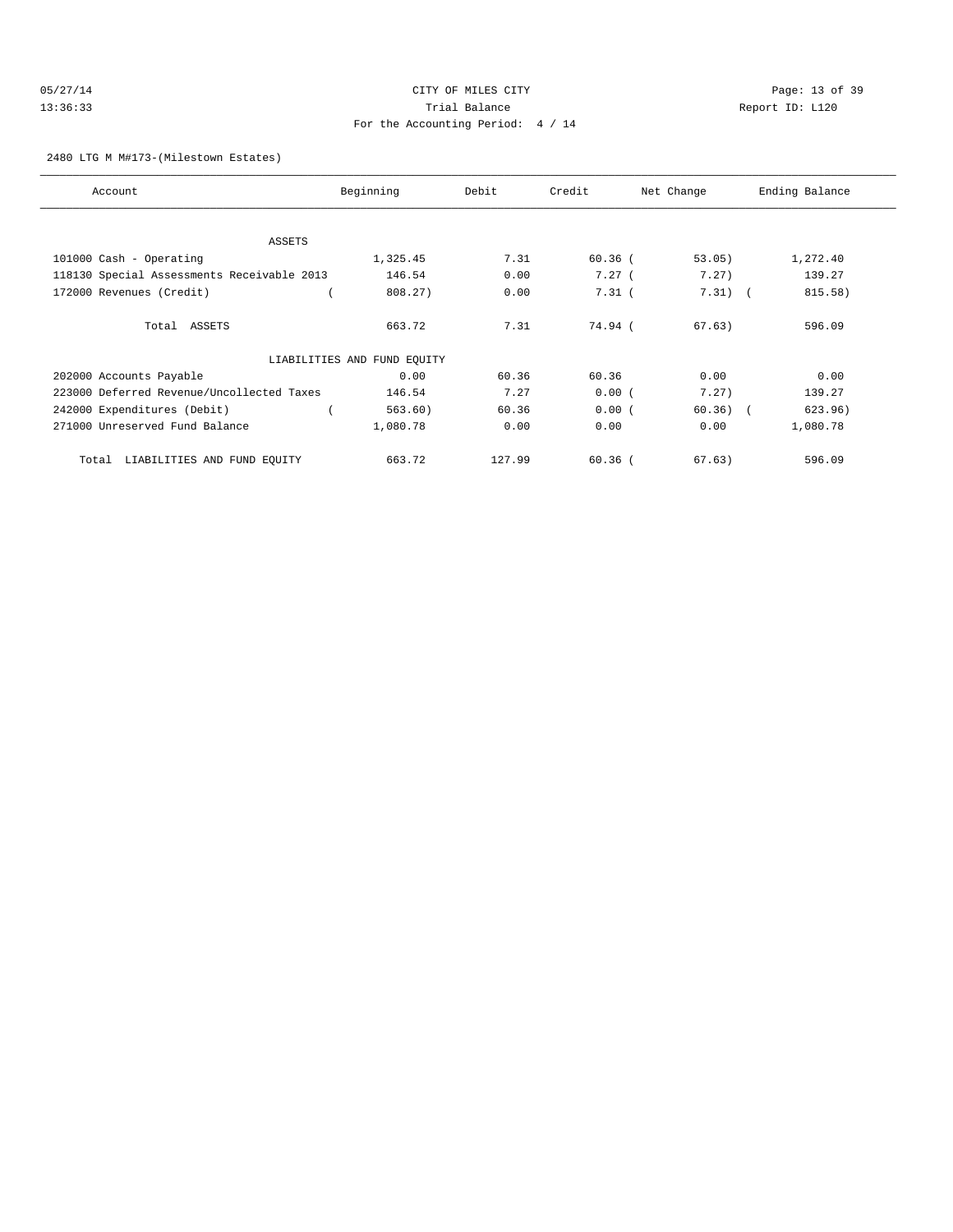# 05/27/14 Page: 13 of 39 13:36:33 Trial Balance Report ID: L120 For the Accounting Period: 4 / 14

#### 2480 LTG M M#173-(Milestown Estates)

| Account                                    | Beginning                   | Debit  | Credit    | Net Change | Ending Balance |
|--------------------------------------------|-----------------------------|--------|-----------|------------|----------------|
|                                            |                             |        |           |            |                |
| ASSETS                                     |                             |        |           |            |                |
| 101000 Cash - Operating                    | 1,325.45                    | 7.31   | $60.36$ ( | 53.05)     | 1,272.40       |
| 118130 Special Assessments Receivable 2013 | 146.54                      | 0.00   | 7.27(     | 7.27)      | 139.27         |
| 172000 Revenues (Credit)                   | 808.27)                     | 0.00   | $7.31$ (  | $7.31)$ (  | 815.58)        |
| Total ASSETS                               | 663.72                      | 7.31   | 74.94 (   | 67.63)     | 596.09         |
|                                            | LIABILITIES AND FUND EQUITY |        |           |            |                |
| 202000 Accounts Payable                    | 0.00                        | 60.36  | 60.36     | 0.00       | 0.00           |
| 223000 Deferred Revenue/Uncollected Taxes  | 146.54                      | 7.27   | 0.00(     | 7.27)      | 139.27         |
| 242000 Expenditures (Debit)                | 563.60)                     | 60.36  | 0.00(     | $60.36)$ ( | 623.96)        |
| 271000 Unreserved Fund Balance             | 1,080.78                    | 0.00   | 0.00      | 0.00       | 1,080.78       |
| LIABILITIES AND FUND EQUITY<br>Total       | 663.72                      | 127.99 | $60.36$ ( | 67.63)     | 596.09         |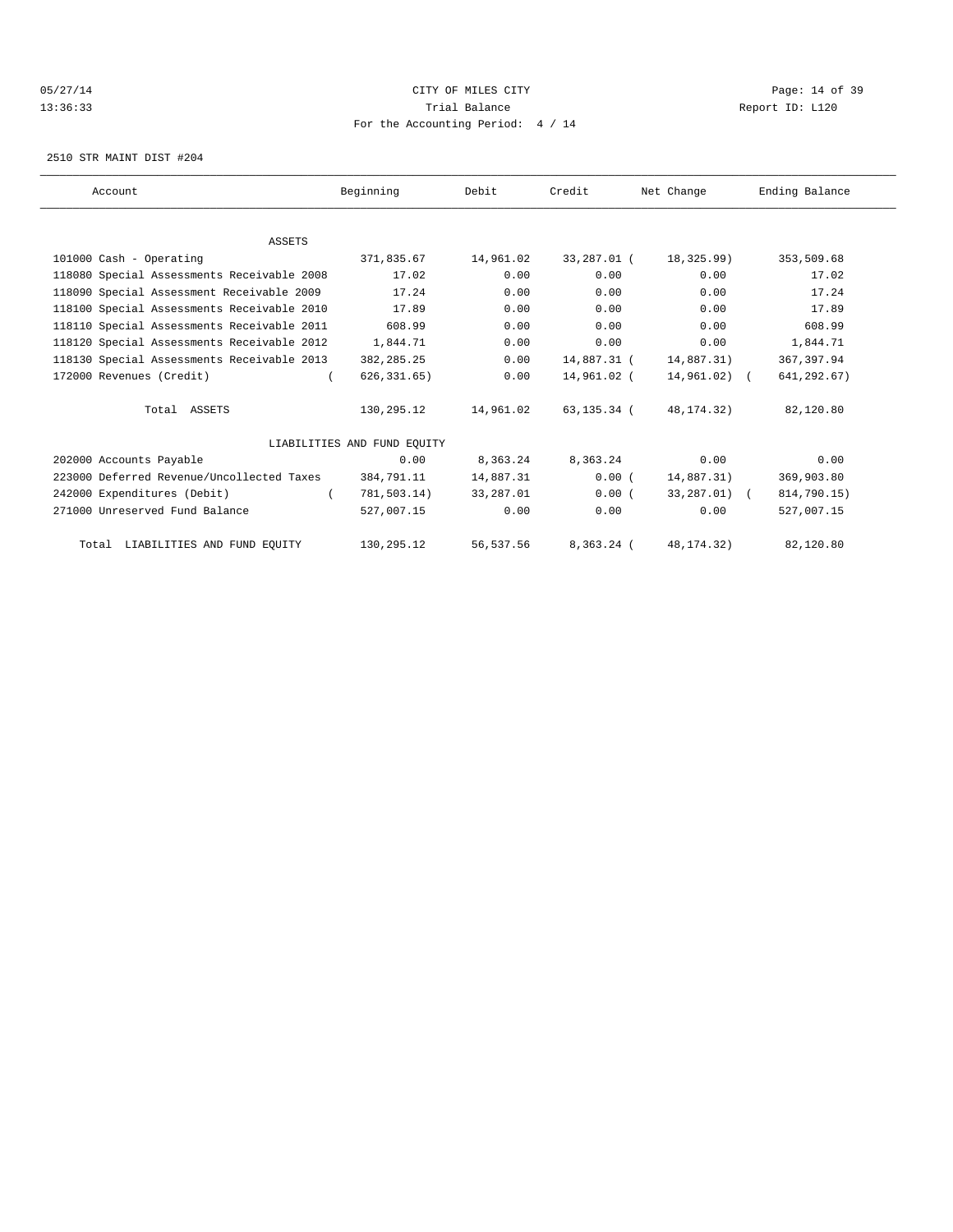### 05/27/14 Page: 14 of 39 13:36:33 Trial Balance Report ID: L120 For the Accounting Period: 4 / 14

2510 STR MAINT DIST #204

| Account                                    | Beginning                   | Debit     | Credit       | Net Change   | Ending Balance |
|--------------------------------------------|-----------------------------|-----------|--------------|--------------|----------------|
|                                            |                             |           |              |              |                |
| <b>ASSETS</b>                              |                             |           |              |              |                |
| 101000 Cash - Operating                    | 371,835.67                  | 14,961.02 | 33,287.01 (  | 18,325.99)   | 353,509.68     |
| 118080 Special Assessments Receivable 2008 | 17.02                       | 0.00      | 0.00         | 0.00         | 17.02          |
| 118090 Special Assessment Receivable 2009  | 17.24                       | 0.00      | 0.00         | 0.00         | 17.24          |
| 118100 Special Assessments Receivable 2010 | 17.89                       | 0.00      | 0.00         | 0.00         | 17.89          |
| 118110 Special Assessments Receivable 2011 | 608.99                      | 0.00      | 0.00         | 0.00         | 608.99         |
| 118120 Special Assessments Receivable 2012 | 1,844.71                    | 0.00      | 0.00         | 0.00         | 1,844.71       |
| 118130 Special Assessments Receivable 2013 | 382, 285. 25                | 0.00      | 14,887.31 (  | 14,887.31)   | 367, 397.94    |
| 172000 Revenues (Credit)                   | 626, 331.65)                | 0.00      | 14,961.02 (  | 14,961.02) ( | 641,292.67)    |
| Total ASSETS                               | 130,295.12                  | 14,961.02 | 63,135.34 (  | 48, 174. 32) | 82,120.80      |
|                                            | LIABILITIES AND FUND EQUITY |           |              |              |                |
| 202000 Accounts Payable                    | 0.00                        | 8,363.24  | 8,363.24     | 0.00         | 0.00           |
| 223000 Deferred Revenue/Uncollected Taxes  | 384,791.11                  | 14,887.31 | 0.00(        | 14,887.31)   | 369,903.80     |
| 242000 Expenditures (Debit)                | 781,503.14)                 | 33,287.01 | 0.00(        | 33,287.01) ( | 814,790.15)    |
| 271000 Unreserved Fund Balance             | 527,007.15                  | 0.00      | 0.00         | 0.00         | 527,007.15     |
| Total LIABILITIES AND FUND EQUITY          | 130,295.12                  | 56,537.56 | $8.363.24$ ( | 48, 174, 32) | 82,120.80      |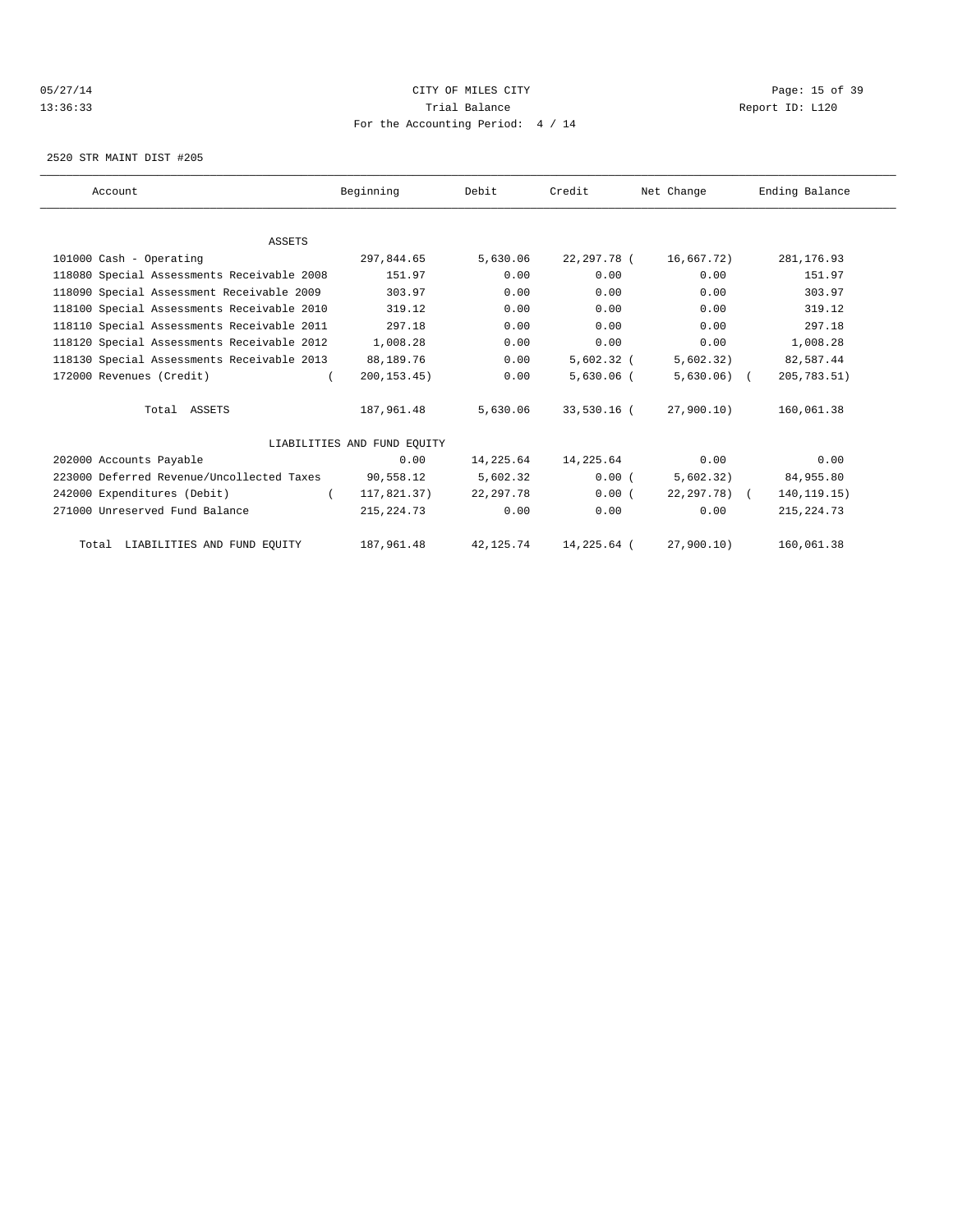### 05/27/14 Page: 15 of 39 13:36:33 Trial Balance Report ID: L120 For the Accounting Period: 4 / 14

2520 STR MAINT DIST #205

| Account                                    | Beginning                   | Debit      | Credit       | Net Change      | Ending Balance |  |
|--------------------------------------------|-----------------------------|------------|--------------|-----------------|----------------|--|
|                                            |                             |            |              |                 |                |  |
| ASSETS                                     |                             |            |              |                 |                |  |
| 101000 Cash - Operating                    | 297,844.65                  | 5,630.06   | 22,297.78 (  | 16,667.72)      | 281, 176.93    |  |
| 118080 Special Assessments Receivable 2008 | 151.97                      | 0.00       | 0.00         | 0.00            | 151.97         |  |
| 118090 Special Assessment Receivable 2009  | 303.97                      | 0.00       | 0.00         | 0.00            | 303.97         |  |
| 118100 Special Assessments Receivable 2010 | 319.12                      | 0.00       | 0.00         | 0.00            | 319.12         |  |
| 118110 Special Assessments Receivable 2011 | 297.18                      | 0.00       | 0.00         | 0.00            | 297.18         |  |
| 118120 Special Assessments Receivable 2012 | 1,008.28                    | 0.00       | 0.00         | 0.00            | 1,008.28       |  |
| 118130 Special Assessments Receivable 2013 | 88,189.76                   | 0.00       | $5,602.32$ ( | 5,602.32)       | 82,587.44      |  |
| 172000 Revenues (Credit)                   | 200, 153.45)                | 0.00       | $5,630.06$ ( | $5,630.06$ (    | 205,783.51)    |  |
| Total ASSETS                               | 187,961.48                  | 5,630.06   | 33,530.16 (  | 27,900.10)      | 160,061.38     |  |
|                                            | LIABILITIES AND FUND EOUITY |            |              |                 |                |  |
| 202000 Accounts Payable                    | 0.00                        | 14,225.64  | 14,225.64    | 0.00            | 0.00           |  |
| 223000 Deferred Revenue/Uncollected Taxes  | 90,558.12                   | 5,602.32   | 0.00(        | 5,602.32)       | 84,955.80      |  |
| 242000 Expenditures (Debit)                | 117,821.37)<br>$\sqrt{2}$   | 22, 297.78 | 0.00(        | $22, 297, 78$ ( | 140, 119. 15)  |  |
| 271000 Unreserved Fund Balance             | 215, 224. 73                | 0.00       | 0.00         | 0.00            | 215, 224.73    |  |
| Total LIABILITIES AND FUND EQUITY          | 187,961.48                  | 42, 125.74 | 14,225.64 (  | 27,900.10)      | 160,061.38     |  |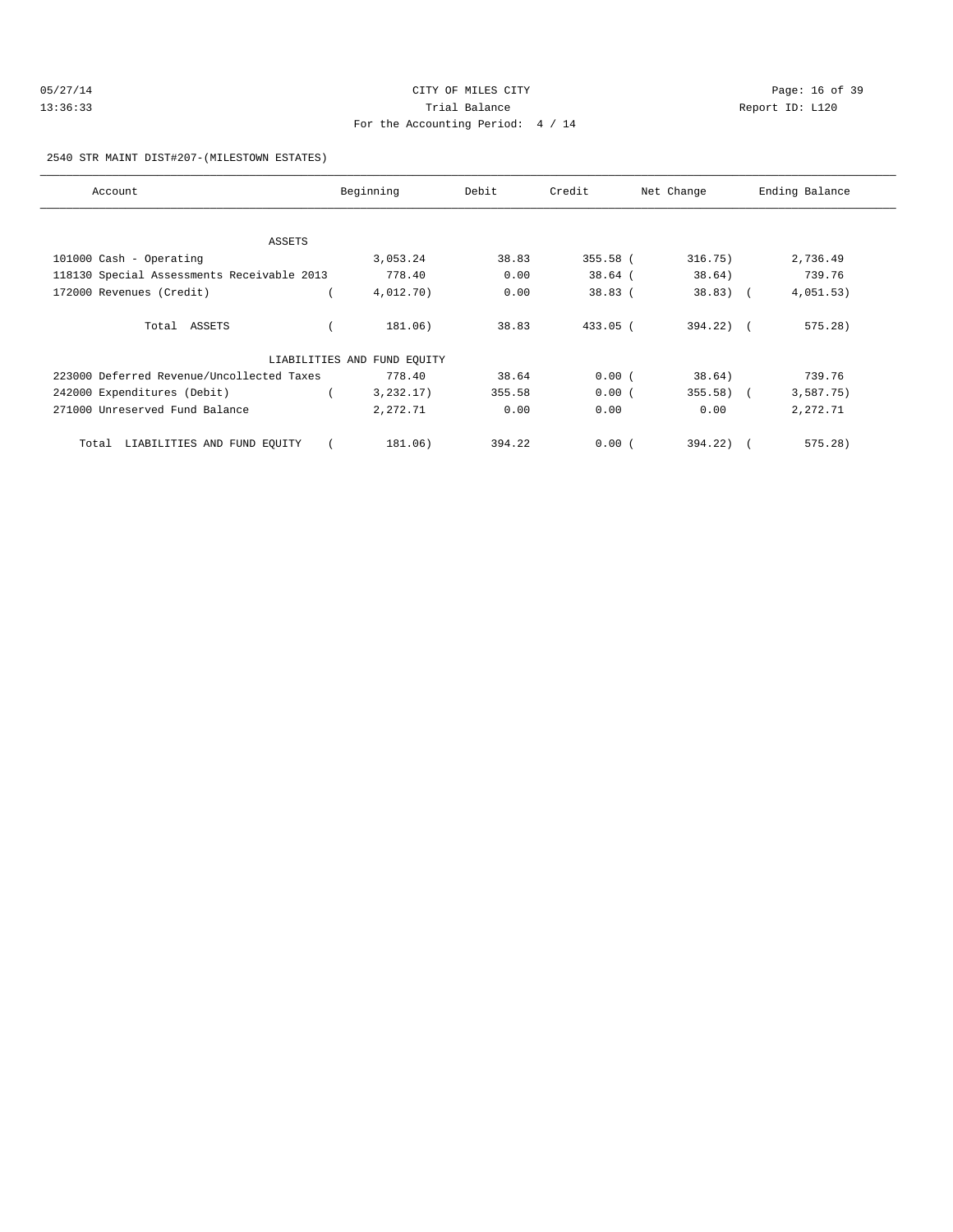| 05/27/14 | CITY OF MILES CITY                | Page: 16 of 39  |
|----------|-----------------------------------|-----------------|
| 13:36:33 | Trial Balance                     | Report ID: L120 |
|          | For the Accounting Period: 4 / 14 |                 |

2540 STR MAINT DIST#207-(MILESTOWN ESTATES)

| Account                                    | Beginning                   | Debit  | Credit     | Net Change     | Ending Balance |
|--------------------------------------------|-----------------------------|--------|------------|----------------|----------------|
|                                            |                             |        |            |                |                |
| ASSETS                                     |                             |        |            |                |                |
| 101000 Cash - Operating                    | 3,053.24                    | 38.83  | 355.58 (   | 316.75)        | 2,736.49       |
| 118130 Special Assessments Receivable 2013 | 778.40                      | 0.00   | $38.64$ (  | 38.64)         | 739.76         |
| 172000 Revenues (Credit)                   | 4,012.70)                   | 0.00   | 38.83(     | $38.83)$ (     | 4,051.53)      |
| Total ASSETS                               | 181.06)                     | 38.83  | $433.05$ ( | $394.22$ ) $($ | 575.28)        |
|                                            | LIABILITIES AND FUND EQUITY |        |            |                |                |
| 223000 Deferred Revenue/Uncollected Taxes  | 778.40                      | 38.64  | 0.00(      | 38.64)         | 739.76         |
| 242000 Expenditures (Debit)                | 3,232.17)                   | 355.58 | 0.00(      | $355.58$ (     | 3,587.75)      |
| 271000 Unreserved Fund Balance             | 2,272.71                    | 0.00   | 0.00       | 0.00           | 2,272.71       |
| Total LIABILITIES AND FUND EQUITY          | 181.06)                     | 394.22 | 0.00(      | 394.22)        | 575.28)        |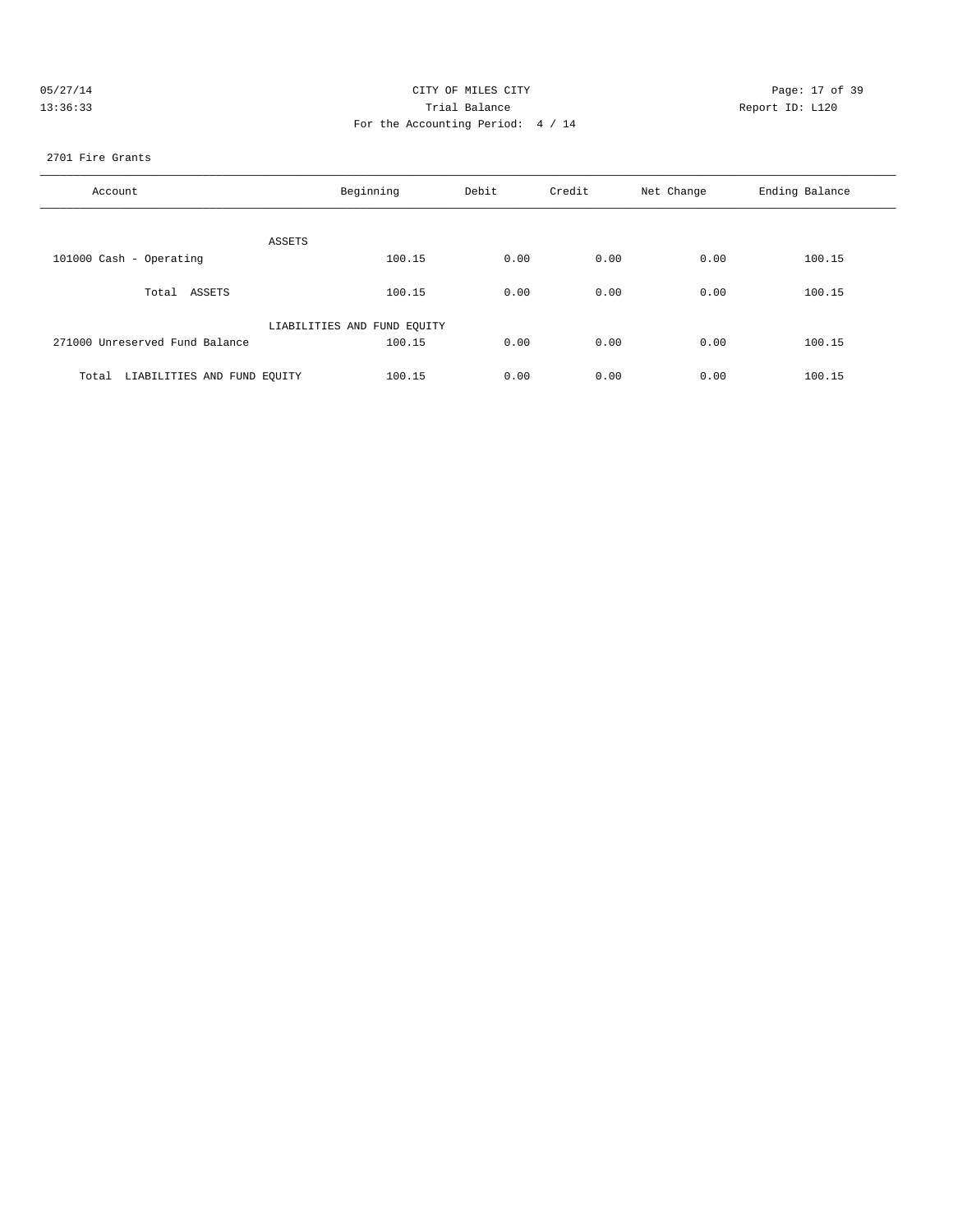| 05/27/14 | CITY OF MILES CITY                | Page: 17 of 39  |
|----------|-----------------------------------|-----------------|
| 13:36:33 | Trial Balance                     | Report ID: L120 |
|          | For the Accounting Period: 4 / 14 |                 |

#### 2701 Fire Grants

| Account                           | Beginning                   | Debit | Credit | Net Change | Ending Balance |
|-----------------------------------|-----------------------------|-------|--------|------------|----------------|
| ASSETS                            |                             |       |        |            |                |
| 101000 Cash - Operating           | 100.15                      | 0.00  | 0.00   | 0.00       | 100.15         |
| Total ASSETS                      | 100.15                      | 0.00  | 0.00   | 0.00       | 100.15         |
|                                   | LIABILITIES AND FUND EQUITY |       |        |            |                |
| 271000 Unreserved Fund Balance    | 100.15                      | 0.00  | 0.00   | 0.00       | 100.15         |
| Total LIABILITIES AND FUND EQUITY | 100.15                      | 0.00  | 0.00   | 0.00       | 100.15         |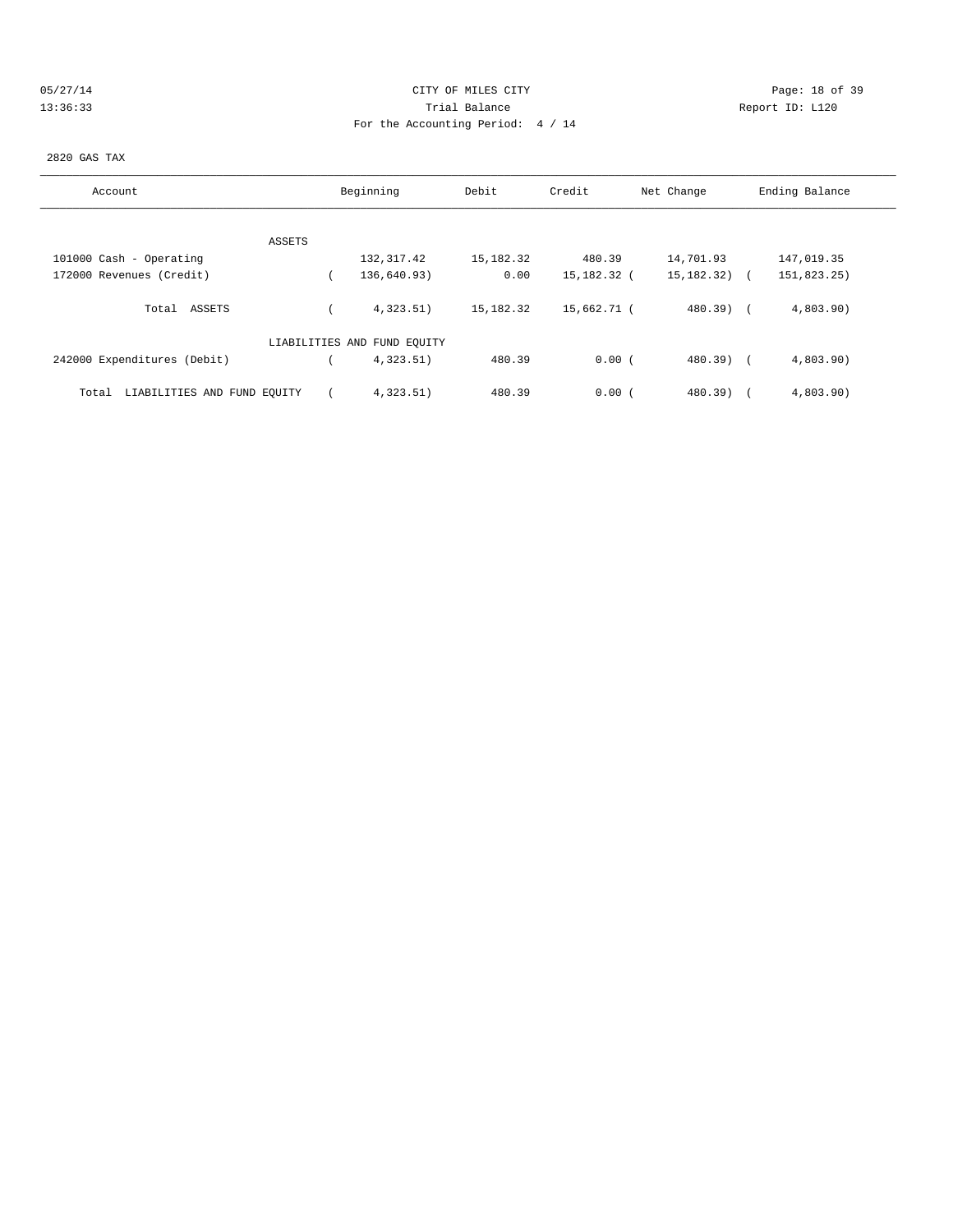| 05/27/1 |   |  |  |  |
|---------|---|--|--|--|
|         | 2 |  |  |  |

# CITY OF MILES CITY CONTROL CONTROL CONTROL CONTROL CITY 13:36:33 Trial Balance Report ID: L120 For the Accounting Period: 4 / 14

### 2820 GAS TAX

| Account                              | Beginning                   | Debit       | Credit      | Net Change   | Ending Balance |
|--------------------------------------|-----------------------------|-------------|-------------|--------------|----------------|
|                                      |                             |             |             |              |                |
| ASSETS                               |                             |             |             |              |                |
| 101000 Cash - Operating              | 132,317.42                  | 15,182.32   | 480.39      | 14,701.93    | 147,019.35     |
| 172000 Revenues (Credit)             | 136,640.93)                 | 0.00        | 15,182.32 ( | 15, 182. 32) | 151,823.25)    |
| Total ASSETS                         | 4.323.51                    | 15, 182. 32 | 15,662.71 ( | 480.39) (    | 4,803.90       |
|                                      | LIABILITIES AND FUND EQUITY |             |             |              |                |
| 242000 Expenditures (Debit)          | 4,323.51)                   | 480.39      | 0.00(       | $480.39$ (   | 4,803.90       |
| LIABILITIES AND FUND EOUITY<br>Total | 4,323.51)                   | 480.39      | 0.00(       | $480.39$ )   | 4,803.90)      |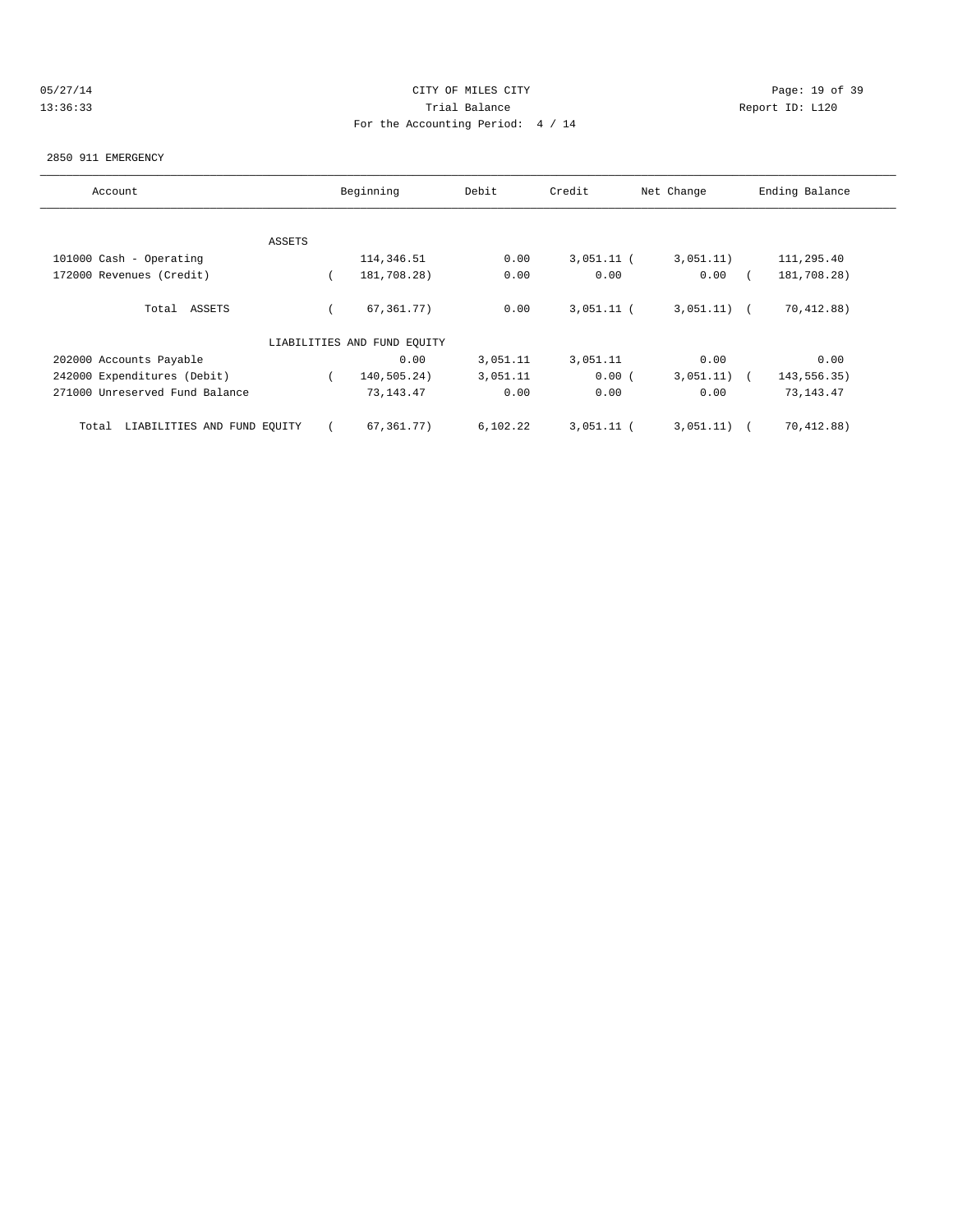# 05/27/14 Page: 19 of 39 13:36:33 Trial Balance Report ID: L120 For the Accounting Period: 4 / 14

#### 2850 911 EMERGENCY

| Account                              |        | Beginning                   | Debit    | Credit       | Net Change | Ending Balance |
|--------------------------------------|--------|-----------------------------|----------|--------------|------------|----------------|
|                                      |        |                             |          |              |            |                |
|                                      | ASSETS |                             |          |              |            |                |
| 101000 Cash - Operating              |        | 114,346.51                  | 0.00     | $3,051.11$ ( | 3,051.11)  | 111,295.40     |
| 172000 Revenues (Credit)             |        | 181,708.28)                 | 0.00     | 0.00         | 0.00       | 181,708.28)    |
| Total ASSETS                         |        | 67, 361, 77)                | 0.00     | $3,051.11$ ( | 3,051.11)  | 70,412.88)     |
|                                      |        | LIABILITIES AND FUND EQUITY |          |              |            |                |
| 202000 Accounts Payable              |        | 0.00                        | 3,051.11 | 3,051.11     | 0.00       | 0.00           |
| 242000 Expenditures (Debit)          |        | 140,505.24)                 | 3,051.11 | 0.00(        | 3,051.11)  | 143,556.35)    |
| 271000 Unreserved Fund Balance       |        | 73, 143. 47                 | 0.00     | 0.00         | 0.00       | 73, 143. 47    |
| LIABILITIES AND FUND EQUITY<br>Total |        | 67,361.77)                  | 6,102.22 | $3,051.11$ ( | 3,051.11)  | 70,412.88)     |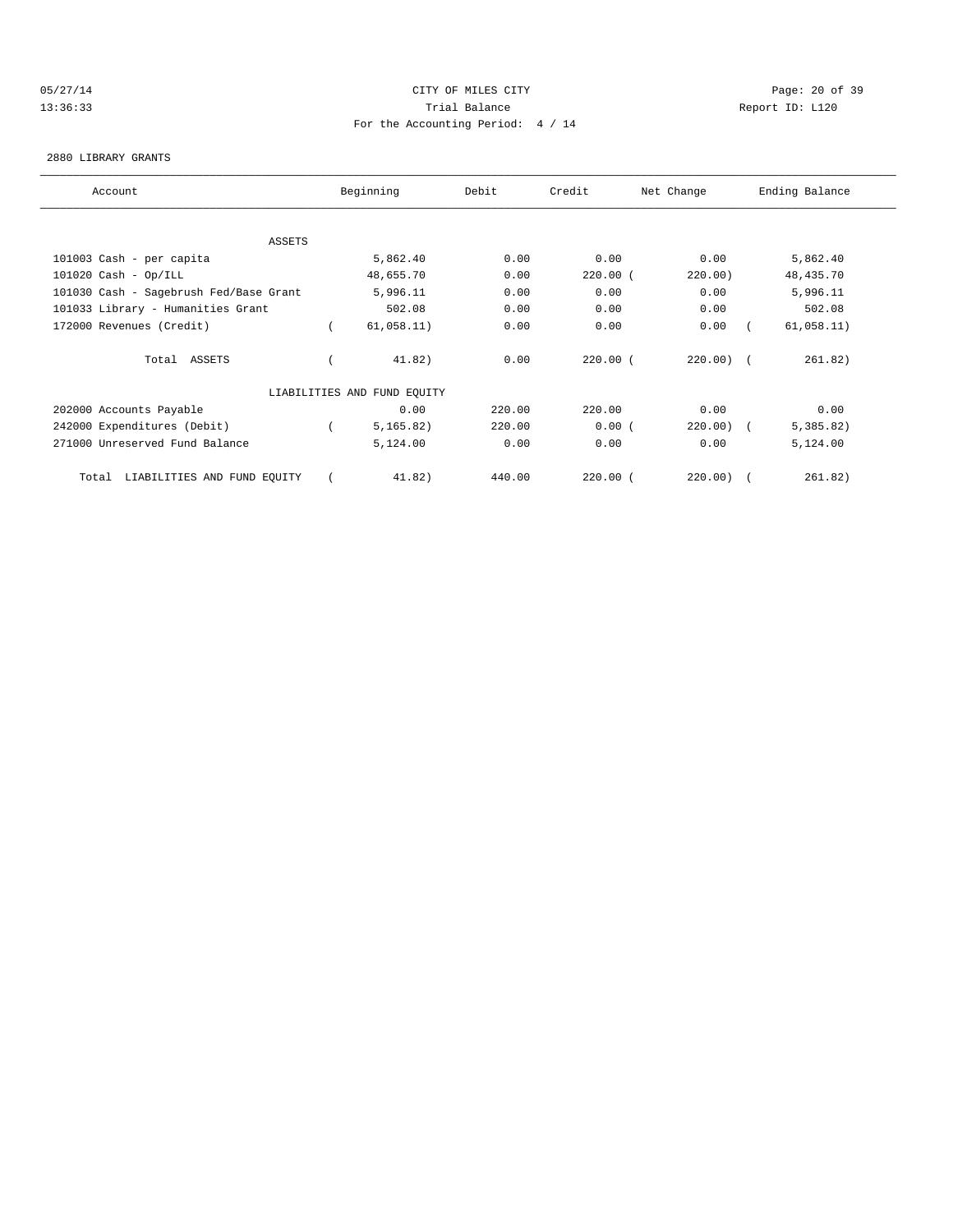# 05/27/14 Page: 20 of 39 13:36:33 Trial Balance Report ID: L120 For the Accounting Period: 4 / 14

#### 2880 LIBRARY GRANTS

| Account                                | Beginning                   | Debit  | Credit     | Net Change  | Ending Balance |  |
|----------------------------------------|-----------------------------|--------|------------|-------------|----------------|--|
|                                        |                             |        |            |             |                |  |
| ASSETS                                 |                             |        |            |             |                |  |
| 101003 Cash - per capita               | 5,862.40                    | 0.00   | 0.00       | 0.00        | 5,862.40       |  |
| $101020$ Cash - Op/ILL                 | 48,655.70                   | 0.00   | $220.00$ ( | 220.00)     | 48, 435.70     |  |
| 101030 Cash - Sagebrush Fed/Base Grant | 5,996.11                    | 0.00   | 0.00       | 0.00        | 5,996.11       |  |
| 101033 Library - Humanities Grant      | 502.08                      | 0.00   | 0.00       | 0.00        | 502.08         |  |
| 172000 Revenues (Credit)               | 61,058.11)                  | 0.00   | 0.00       | 0.00        | 61,058.11)     |  |
| Total ASSETS                           | 41.82)                      | 0.00   | $220.00$ ( | $220.00)$ ( | 261.82)        |  |
|                                        | LIABILITIES AND FUND EQUITY |        |            |             |                |  |
| 202000 Accounts Payable                | 0.00                        | 220.00 | 220.00     | 0.00        | 0.00           |  |
| 242000 Expenditures (Debit)            | 5, 165.82)                  | 220.00 | 0.00(      | $220.00)$ ( | 5,385.82)      |  |
| 271000 Unreserved Fund Balance         | 5,124.00                    | 0.00   | 0.00       | 0.00        | 5,124.00       |  |
| LIABILITIES AND FUND EQUITY<br>Total   | 41.82)                      | 440.00 | $220.00$ ( | 220.00)     | 261.82)        |  |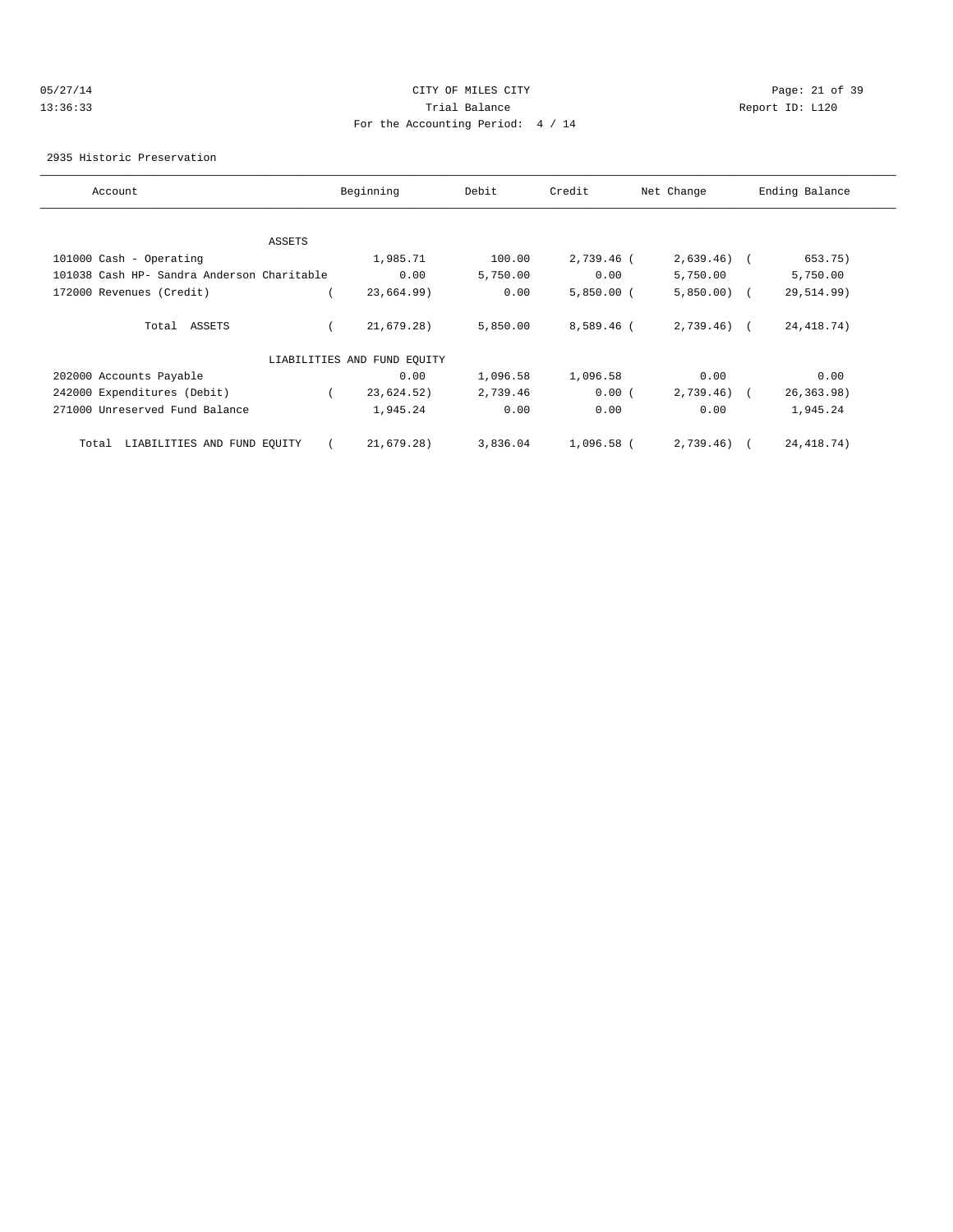### 05/27/14 Page: 21 of 39 13:36:33 Trial Balance Report ID: L120 For the Accounting Period: 4 / 14

2935 Historic Preservation

| Account                                    | Beginning                   | Debit    | Credit       | Net Change   | Ending Balance |
|--------------------------------------------|-----------------------------|----------|--------------|--------------|----------------|
|                                            |                             |          |              |              |                |
| ASSETS                                     |                             |          |              |              |                |
| 101000 Cash - Operating                    | 1,985.71                    | 100.00   | 2,739.46 (   | $2,639.46$ ( | 653.75)        |
| 101038 Cash HP- Sandra Anderson Charitable | 0.00                        | 5,750.00 | 0.00         | 5,750.00     | 5,750.00       |
| 172000 Revenues (Credit)                   | 23,664.99)                  | 0.00     | $5,850.00$ ( | $5,850.00$ ( | 29,514.99)     |
|                                            |                             |          |              |              |                |
| Total ASSETS                               | 21,679.28)                  | 5,850.00 | 8,589.46 (   | $2,739.46$ ( | 24, 418.74)    |
|                                            |                             |          |              |              |                |
|                                            | LIABILITIES AND FUND EQUITY |          |              |              |                |
| 202000 Accounts Payable                    | 0.00                        | 1,096.58 | 1,096.58     | 0.00         | 0.00           |
| 242000 Expenditures (Debit)                | 23,624.52)                  | 2,739.46 | 0.00(        | $2,739.46$ ( | 26, 363.98)    |
| 271000 Unreserved Fund Balance             | 1,945.24                    | 0.00     | 0.00         | 0.00         | 1,945.24       |
|                                            |                             |          |              |              |                |
| LIABILITIES AND FUND EQUITY<br>Total       | 21,679.28)                  | 3,836.04 | 1,096.58 (   | $2,739.46$ ( | 24, 418.74)    |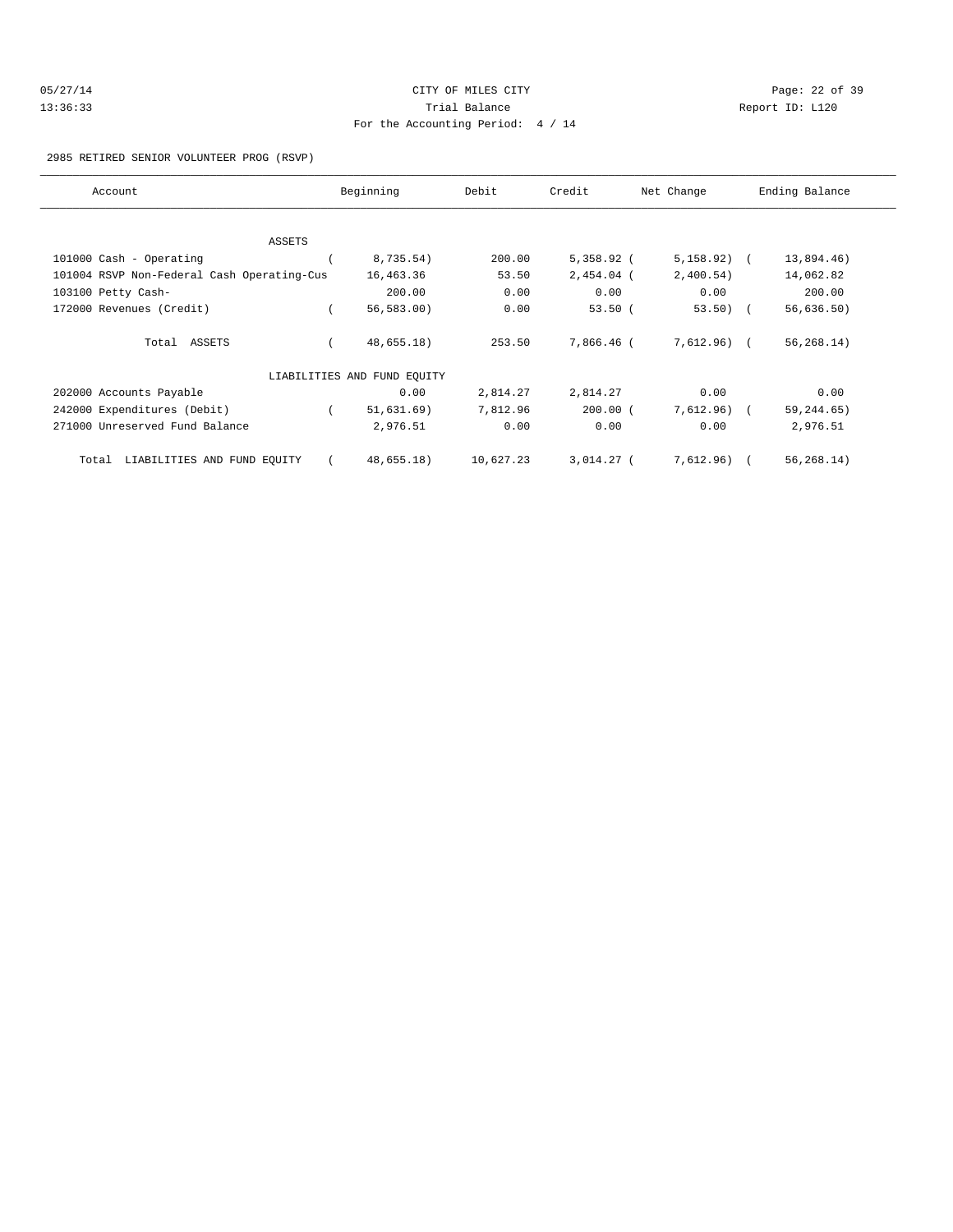| 05/27/14 | CITY OF MILES CITY                | Page: 22 of 39 |  |
|----------|-----------------------------------|----------------|--|
| 13:36:33 | Trial Balance<br>Report ID: L120  |                |  |
|          | For the Accounting Period: 4 / 14 |                |  |

#### 2985 RETIRED SENIOR VOLUNTEER PROG (RSVP)

| Account                                    | Beginning                   | Debit     | Credit       | Net Change    | Ending Balance |
|--------------------------------------------|-----------------------------|-----------|--------------|---------------|----------------|
|                                            |                             |           |              |               |                |
| ASSETS                                     |                             |           |              |               |                |
| 101000 Cash - Operating                    | 8,735.54)                   | 200.00    | $5,358.92$ ( | $5,158.92)$ ( | 13,894.46)     |
| 101004 RSVP Non-Federal Cash Operating-Cus | 16,463.36                   | 53.50     | 2,454.04 (   | 2,400.54)     | 14,062.82      |
| 103100 Petty Cash-                         | 200.00                      | 0.00      | 0.00         | 0.00          | 200.00         |
| 172000 Revenues (Credit)                   | 56, 583.00                  | 0.00      | 53.50(       | $53.50$ (     | 56,636.50)     |
| Total ASSETS                               | 48,655.18)                  | 253.50    | 7,866.46 (   | 7,612.96) (   | 56, 268.14)    |
|                                            | LIABILITIES AND FUND EQUITY |           |              |               |                |
| 202000 Accounts Payable                    | 0.00                        | 2,814.27  | 2,814.27     | 0.00          | 0.00           |
| 242000 Expenditures (Debit)                | 51,631.69)                  | 7,812.96  | $200.00$ (   | 7,612.96) (   | 59, 244.65)    |
| 271000 Unreserved Fund Balance             | 2,976.51                    | 0.00      | 0.00         | 0.00          | 2,976.51       |
| LIABILITIES AND FUND EQUITY<br>Total       | 48,655.18)                  | 10,627.23 | $3,014.27$ ( | 7,612.96) (   | 56, 268.14)    |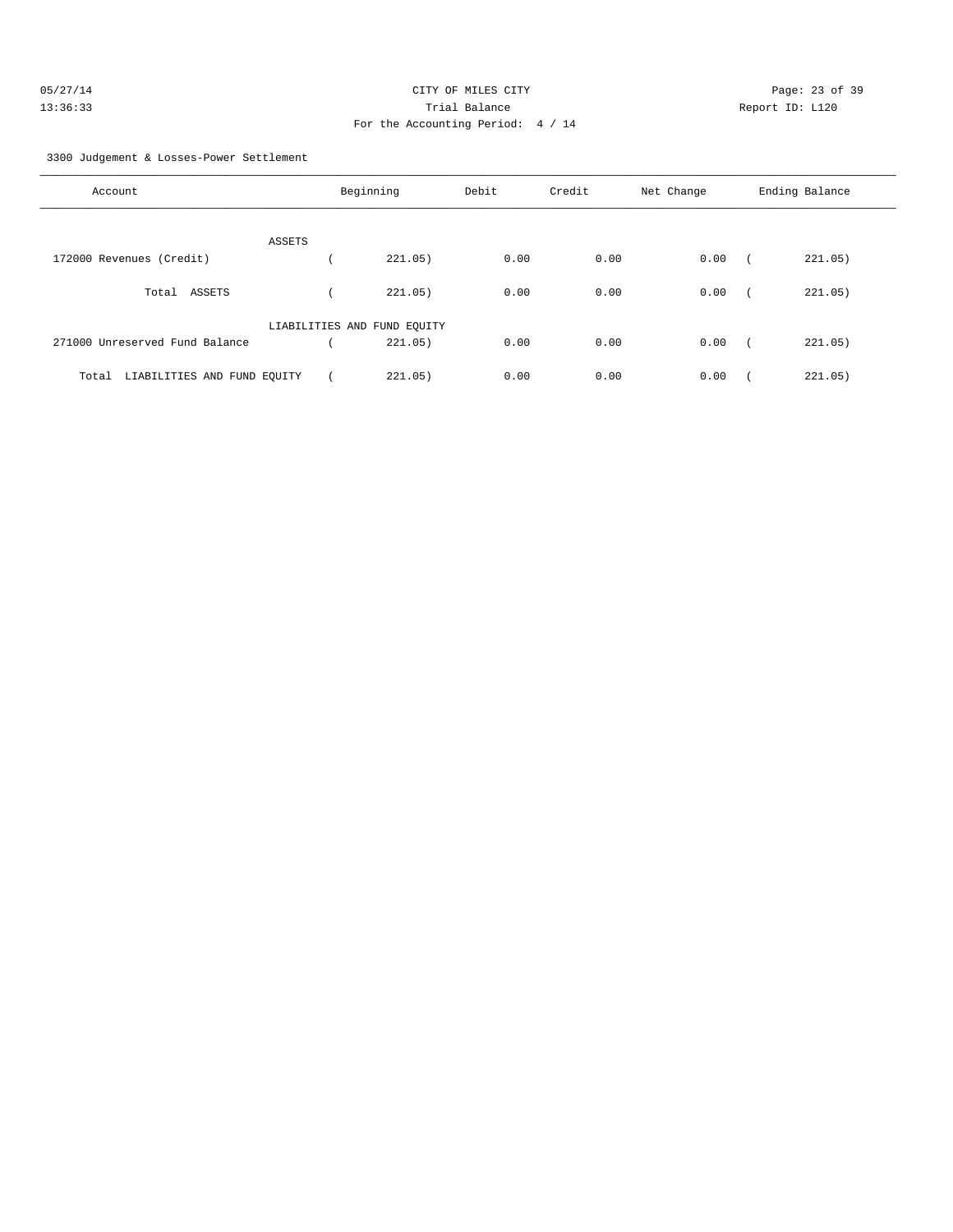| 05/27/14 | CITY OF MILES CITY                | Page: 23 of 39 |  |
|----------|-----------------------------------|----------------|--|
| 13:36:33 | Trial Balance<br>Report ID: L120  |                |  |
|          | For the Accounting Period: 4 / 14 |                |  |

3300 Judgement & Losses-Power Settlement

| Account                              |        | Beginning                   | Debit | Credit | Net Change | Ending Balance |
|--------------------------------------|--------|-----------------------------|-------|--------|------------|----------------|
|                                      | ASSETS |                             |       |        |            |                |
| 172000 Revenues (Credit)             |        | 221.05)                     | 0.00  | 0.00   | 0.00       | 221.05)        |
| ASSETS<br>Total                      |        | 221.05)                     | 0.00  | 0.00   | 0.00       | 221.05)        |
|                                      |        | LIABILITIES AND FUND EQUITY |       |        |            |                |
| 271000 Unreserved Fund Balance       |        | 221.05)                     | 0.00  | 0.00   | 0.00       | 221.05)        |
| LIABILITIES AND FUND EQUITY<br>Total |        | 221.05)                     | 0.00  | 0.00   | 0.00       | 221.05)        |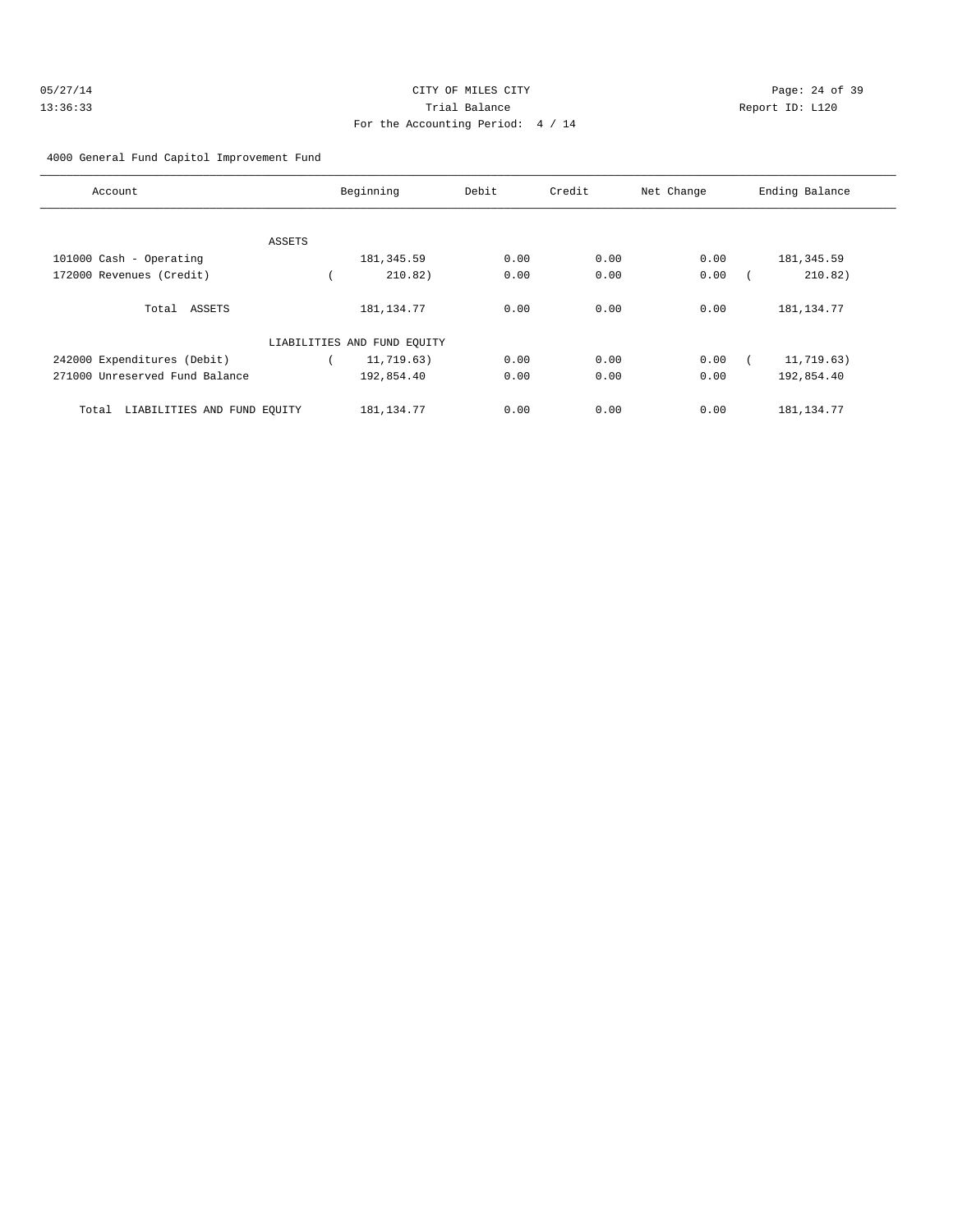| 05/27/14 | CITY OF MILES CITY                | Page: 24 of 39  |  |
|----------|-----------------------------------|-----------------|--|
| 13:36:33 | Trial Balance                     | Report ID: L120 |  |
|          | For the Accounting Period: 4 / 14 |                 |  |

4000 General Fund Capitol Improvement Fund

| Account                              |        | Beginning                   | Debit | Credit | Net Change | Ending Balance |
|--------------------------------------|--------|-----------------------------|-------|--------|------------|----------------|
|                                      |        |                             |       |        |            |                |
|                                      | ASSETS |                             |       |        |            |                |
| 101000 Cash - Operating              |        | 181, 345.59                 | 0.00  | 0.00   | 0.00       | 181, 345.59    |
| 172000 Revenues (Credit)             |        | 210.82)                     | 0.00  | 0.00   | 0.00       | 210.82)        |
| Total ASSETS                         |        | 181, 134. 77                | 0.00  | 0.00   | 0.00       | 181, 134.77    |
|                                      |        | LIABILITIES AND FUND EQUITY |       |        |            |                |
| 242000 Expenditures (Debit)          |        | 11,719.63)                  | 0.00  | 0.00   | 0.00       | 11,719.63)     |
| 271000 Unreserved Fund Balance       |        | 192,854.40                  | 0.00  | 0.00   | 0.00       | 192,854.40     |
| LIABILITIES AND FUND EOUITY<br>Total |        | 181, 134. 77                | 0.00  | 0.00   | 0.00       | 181, 134. 77   |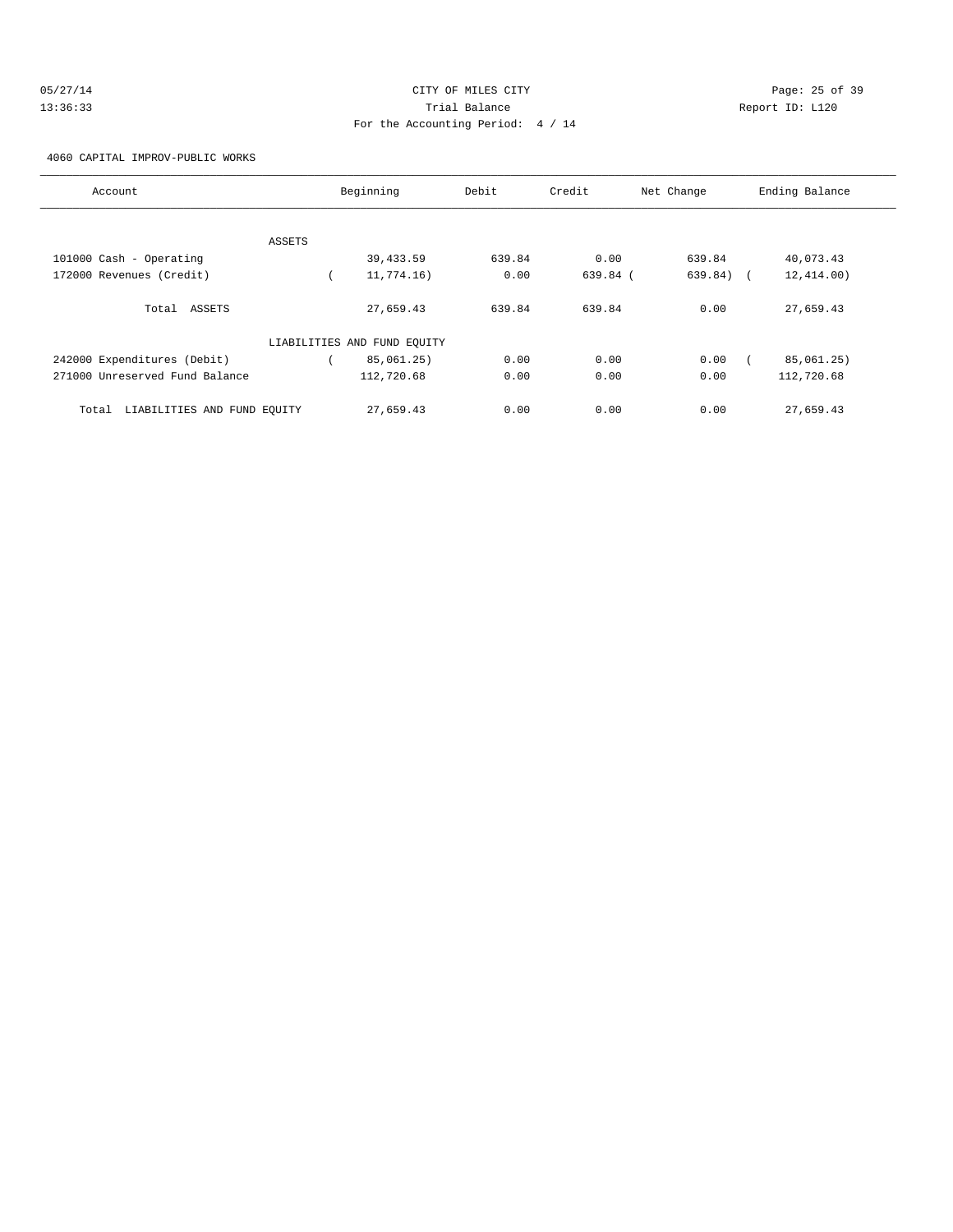| 05/27/14 | CITY OF MILES CITY                | Page: 25 of 39  |
|----------|-----------------------------------|-----------------|
| 13:36:33 | Trial Balance                     | Report ID: L120 |
|          | For the Accounting Period: 4 / 14 |                 |

4060 CAPITAL IMPROV-PUBLIC WORKS

| Account                              |        | Beginning                   | Debit  | Credit     | Net Change  | Ending Balance |
|--------------------------------------|--------|-----------------------------|--------|------------|-------------|----------------|
|                                      |        |                             |        |            |             |                |
|                                      | ASSETS |                             |        |            |             |                |
| 101000 Cash - Operating              |        | 39,433.59                   | 639.84 | 0.00       | 639.84      | 40,073.43      |
| 172000 Revenues (Credit)             |        | 11,774.16)                  | 0.00   | $639.84$ ( | $639.84)$ ( | 12, 414.00)    |
| Total ASSETS                         |        | 27,659.43                   | 639.84 | 639.84     | 0.00        | 27,659.43      |
|                                      |        | LIABILITIES AND FUND EQUITY |        |            |             |                |
| 242000 Expenditures (Debit)          |        | 85,061.25)                  | 0.00   | 0.00       | 0.00        | 85,061.25)     |
| 271000 Unreserved Fund Balance       |        | 112,720.68                  | 0.00   | 0.00       | 0.00        | 112,720.68     |
| LIABILITIES AND FUND EOUITY<br>Total |        | 27,659.43                   | 0.00   | 0.00       | 0.00        | 27,659.43      |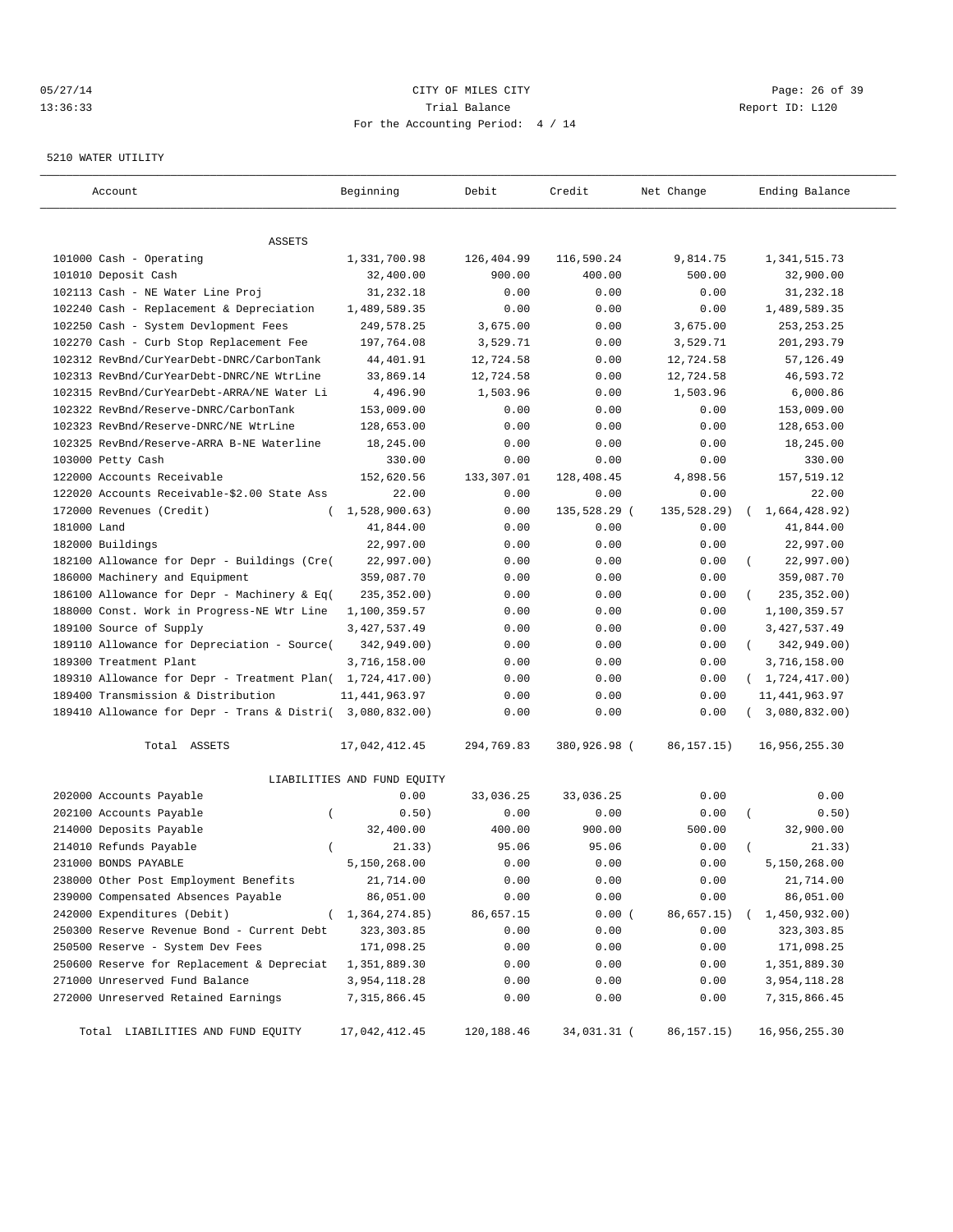### 05/27/14 Page: 26 of 39 13:36:33 Trial Balance Report ID: L120 For the Accounting Period: 4 / 14

#### 5210 WATER UTILITY

| Account                                                   | Beginning                   | Debit      | Credit       | Net Change   | Ending Balance          |
|-----------------------------------------------------------|-----------------------------|------------|--------------|--------------|-------------------------|
| ASSETS                                                    |                             |            |              |              |                         |
| 101000 Cash - Operating                                   | 1,331,700.98                | 126,404.99 | 116,590.24   | 9,814.75     | 1, 341, 515.73          |
| 101010 Deposit Cash                                       | 32,400.00                   | 900.00     | 400.00       | 500.00       | 32,900.00               |
| 102113 Cash - NE Water Line Proj                          | 31,232.18                   | 0.00       | 0.00         | 0.00         | 31,232.18               |
| 102240 Cash - Replacement & Depreciation                  | 1,489,589.35                | 0.00       | 0.00         | 0.00         | 1,489,589.35            |
| 102250 Cash - System Devlopment Fees                      | 249,578.25                  | 3,675.00   | 0.00         | 3,675.00     | 253, 253. 25            |
| 102270 Cash - Curb Stop Replacement Fee                   | 197,764.08                  | 3,529.71   | 0.00         | 3,529.71     | 201,293.79              |
| 102312 RevBnd/CurYearDebt-DNRC/CarbonTank                 | 44,401.91                   | 12,724.58  | 0.00         | 12,724.58    | 57,126.49               |
| 102313 RevBnd/CurYearDebt-DNRC/NE WtrLine                 | 33,869.14                   | 12,724.58  | 0.00         | 12,724.58    | 46,593.72               |
| 102315 RevBnd/CurYearDebt-ARRA/NE Water Li                | 4,496.90                    | 1,503.96   | 0.00         | 1,503.96     | 6,000.86                |
| 102322 RevBnd/Reserve-DNRC/CarbonTank                     | 153,009.00                  | 0.00       | 0.00         | 0.00         | 153,009.00              |
| 102323 RevBnd/Reserve-DNRC/NE WtrLine                     | 128,653.00                  | 0.00       | 0.00         | 0.00         | 128,653.00              |
| 102325 RevBnd/Reserve-ARRA B-NE Waterline                 | 18,245.00                   | 0.00       | 0.00         | 0.00         | 18,245.00               |
| 103000 Petty Cash                                         | 330.00                      | 0.00       | 0.00         | 0.00         | 330.00                  |
| 122000 Accounts Receivable                                | 152,620.56                  | 133,307.01 | 128,408.45   | 4,898.56     | 157,519.12              |
| 122020 Accounts Receivable-\$2.00 State Ass               | 22.00                       | 0.00       | 0.00         | 0.00         | 22.00                   |
| 172000 Revenues (Credit)                                  | 1,528,900.63)               | 0.00       | 135,528.29 ( | 135,528.29)  | 1,664,428.92)           |
| 181000 Land                                               | 41,844.00                   | 0.00       | 0.00         | 0.00         | 41,844.00               |
| 182000 Buildings                                          | 22,997.00                   | 0.00       | 0.00         | 0.00         | 22,997.00               |
| 182100 Allowance for Depr - Buildings (Cre(               | 22,997.00)                  | 0.00       | 0.00         | 0.00         | 22,997.00)              |
| 186000 Machinery and Equipment                            | 359,087.70                  | 0.00       | 0.00         | 0.00         | 359,087.70              |
| 186100 Allowance for Depr - Machinery & Eq(               | 235, 352.00)                | 0.00       | 0.00         | 0.00         | 235, 352.00)            |
| 188000 Const. Work in Progress-NE Wtr Line                | 1,100,359.57                | 0.00       | 0.00         | 0.00         | 1,100,359.57            |
| 189100 Source of Supply                                   | 3, 427, 537.49              | 0.00       | 0.00         | 0.00         | 3, 427, 537.49          |
| 189110 Allowance for Depreciation - Source(               | 342,949.00)                 | 0.00       | 0.00         | 0.00         | 342,949.00)<br>$\left($ |
| 189300 Treatment Plant                                    | 3,716,158.00                | 0.00       | 0.00         | 0.00         | 3,716,158.00            |
| 189310 Allowance for Depr - Treatment Plan( 1,724,417.00) |                             | 0.00       | 0.00         | 0.00         | (1, 724, 417.00)        |
| 189400 Transmission & Distribution                        | 11, 441, 963.97             | 0.00       | 0.00         | 0.00         | 11, 441, 963.97         |
| 189410 Allowance for Depr - Trans & Distri( 3,080,832.00) |                             | 0.00       | 0.00         | 0.00         | 3,080,832.00)           |
| Total ASSETS                                              | 17,042,412.45               | 294,769.83 | 380,926.98 ( | 86, 157. 15) | 16,956,255.30           |
|                                                           | LIABILITIES AND FUND EQUITY |            |              |              |                         |
| 202000 Accounts Payable                                   | 0.00                        | 33,036.25  | 33,036.25    | 0.00         | 0.00                    |
| 202100 Accounts Payable<br>$\overline{(\ }$               | 0.50)                       | 0.00       | 0.00         | 0.00         | 0.50)                   |
| 214000 Deposits Payable                                   | 32,400.00                   | 400.00     | 900.00       | 500.00       | 32,900.00               |
| 214010 Refunds Payable                                    | 21.33)                      | 95.06      | 95.06        | 0.00         | 21.33)                  |
| 231000 BONDS PAYABLE                                      | 5,150,268.00                | 0.00       | 0.00         | 0.00         | 5,150,268.00            |
| 238000 Other Post Employment Benefits                     | 21,714.00                   | 0.00       | 0.00         | 0.00         | 21,714.00               |
| 239000 Compensated Absences Payable                       | 86,051.00                   | 0.00       | 0.00         | 0.00         | 86,051.00               |
| 242000 Expenditures (Debit)                               | 1,364,274.85)               | 86,657.15  | 0.00(        | 86,657.15)   | 1,450,932.00)           |
| 250300 Reserve Revenue Bond - Current Debt                | 323, 303.85                 | 0.00       | 0.00         | 0.00         | 323, 303.85             |
| 250500 Reserve - System Dev Fees                          | 171,098.25                  | 0.00       | 0.00         | 0.00         | 171,098.25              |
| 250600 Reserve for Replacement & Depreciat                | 1,351,889.30                | 0.00       | 0.00         | 0.00         | 1,351,889.30            |
| 271000 Unreserved Fund Balance                            | 3,954,118.28                | 0.00       | 0.00         | 0.00         | 3,954,118.28            |
| 272000 Unreserved Retained Earnings                       | 7, 315, 866.45              | 0.00       | 0.00         | 0.00         | 7, 315, 866.45          |
| Total LIABILITIES AND FUND EQUITY                         | 17,042,412.45               | 120,188.46 | 34,031.31 (  | 86, 157. 15) | 16,956,255.30           |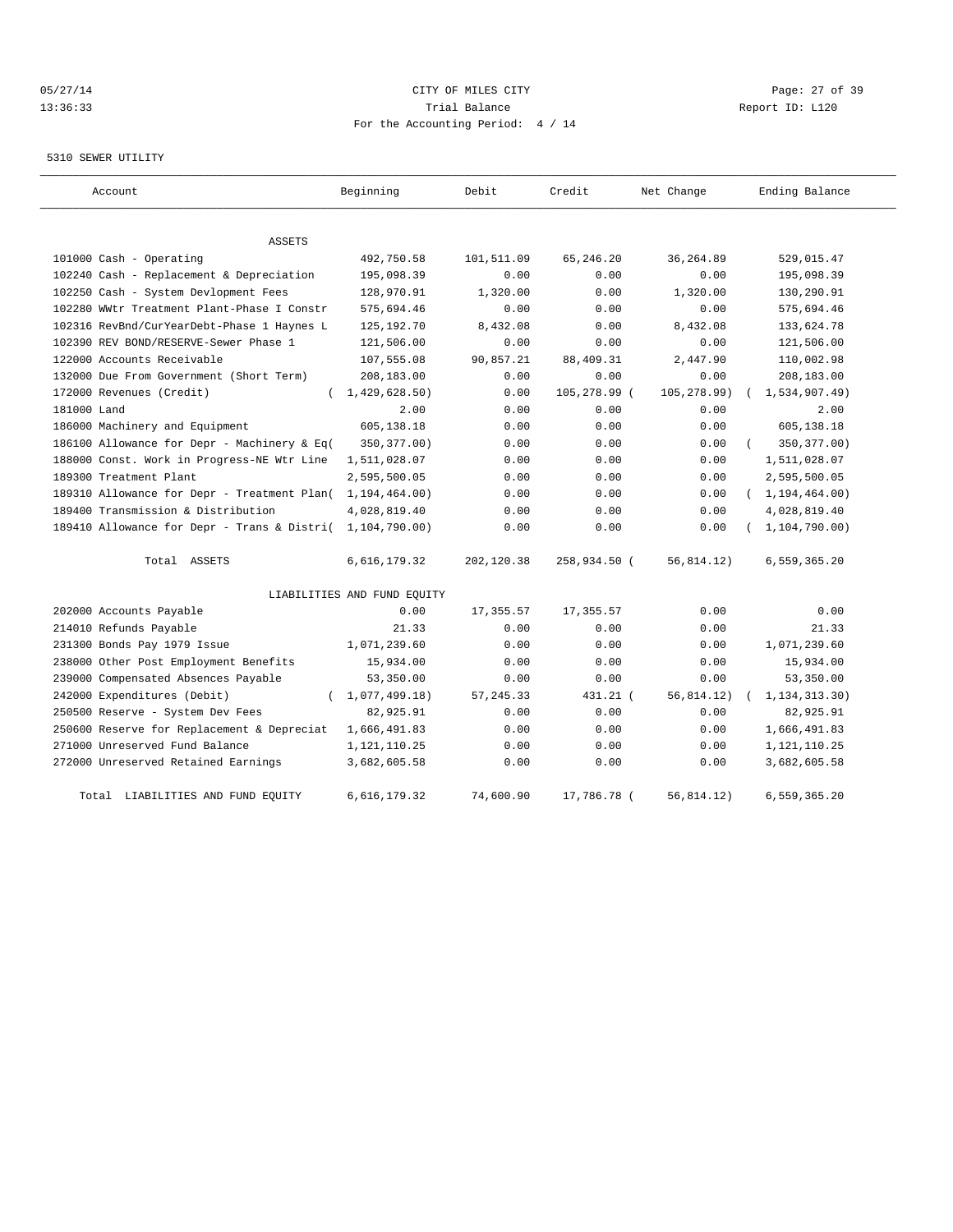# 05/27/14 Page: 27 of 39 13:36:33 Trial Balance Report ID: L120 For the Accounting Period: 4 / 14

#### 5310 SEWER UTILITY

| Account                                                   | Beginning                   | Debit      | Credit       | Net Change  | Ending Balance   |
|-----------------------------------------------------------|-----------------------------|------------|--------------|-------------|------------------|
| <b>ASSETS</b>                                             |                             |            |              |             |                  |
| 101000 Cash - Operating                                   | 492,750.58                  | 101,511.09 | 65, 246. 20  | 36, 264.89  | 529,015.47       |
| 102240 Cash - Replacement & Depreciation                  | 195,098.39                  | 0.00       | 0.00         | 0.00        | 195,098.39       |
| 102250 Cash - System Devlopment Fees                      | 128,970.91                  | 1,320.00   | 0.00         | 1,320.00    | 130,290.91       |
| 102280 WWtr Treatment Plant-Phase I Constr                | 575,694.46                  | 0.00       | 0.00         | 0.00        | 575,694.46       |
| 102316 RevBnd/CurYearDebt-Phase 1 Haynes L                | 125, 192. 70                | 8,432.08   | 0.00         | 8,432.08    | 133,624.78       |
| 102390 REV BOND/RESERVE-Sewer Phase 1                     | 121,506.00                  | 0.00       | 0.00         | 0.00        | 121,506.00       |
| 122000 Accounts Receivable                                | 107,555.08                  | 90,857.21  | 88,409.31    | 2,447.90    | 110,002.98       |
| 132000 Due From Government (Short Term)                   | 208,183.00                  | 0.00       | 0.00         | 0.00        | 208,183.00       |
| 172000 Revenues (Credit)<br>$\left($                      | 1,429,628.50)               | 0.00       | 105,278.99 ( | 105,278.99) | 1,534,907.49     |
| 181000 Land                                               | 2.00                        | 0.00       | 0.00         | 0.00        | 2.00             |
| 186000 Machinery and Equipment                            | 605,138.18                  | 0.00       | 0.00         | 0.00        | 605,138.18       |
| 186100 Allowance for Depr - Machinery & Eq(               | 350, 377.00)                | 0.00       | 0.00         | 0.00        | 350, 377.00)     |
| 188000 Const. Work in Progress-NE Wtr Line                | 1,511,028.07                | 0.00       | 0.00         | 0.00        | 1,511,028.07     |
| 189300 Treatment Plant                                    | 2,595,500.05                | 0.00       | 0.00         | 0.00        | 2,595,500.05     |
| 189310 Allowance for Depr - Treatment Plan(               | 1,194,464.00)               | 0.00       | 0.00         | 0.00        | (1, 194, 464.00) |
| 189400 Transmission & Distribution                        | 4,028,819.40                | 0.00       | 0.00         | 0.00        | 4,028,819.40     |
| 189410 Allowance for Depr - Trans & Distri( 1,104,790.00) |                             | 0.00       | 0.00         | 0.00        | 1, 104, 790.00)  |
| Total ASSETS                                              | 6,616,179.32                | 202,120.38 | 258,934.50 ( | 56,814.12)  | 6,559,365.20     |
|                                                           | LIABILITIES AND FUND EQUITY |            |              |             |                  |
| 202000 Accounts Payable                                   | 0.00                        | 17,355.57  | 17,355.57    | 0.00        | 0.00             |
| 214010 Refunds Payable                                    | 21.33                       | 0.00       | 0.00         | 0.00        | 21.33            |
| 231300 Bonds Pay 1979 Issue                               | 1,071,239.60                | 0.00       | 0.00         | 0.00        | 1,071,239.60     |
| 238000 Other Post Employment Benefits                     | 15,934.00                   | 0.00       | 0.00         | 0.00        | 15,934.00        |
| 239000 Compensated Absences Payable                       | 53,350.00                   | 0.00       | 0.00         | 0.00        | 53,350.00        |
| 242000 Expenditures (Debit)<br>$\left($                   | 1,077,499.18)               | 57, 245.33 | 431.21 (     | 56,814.12)  | 1, 134, 313. 30) |
| 250500 Reserve - System Dev Fees                          | 82,925.91                   | 0.00       | 0.00         | 0.00        | 82,925.91        |
| 250600 Reserve for Replacement & Depreciat                | 1,666,491.83                | 0.00       | 0.00         | 0.00        | 1,666,491.83     |
| 271000 Unreserved Fund Balance                            | 1,121,110.25                | 0.00       | 0.00         | 0.00        | 1, 121, 110.25   |
| 272000 Unreserved Retained Earnings                       | 3,682,605.58                | 0.00       | 0.00         | 0.00        | 3,682,605.58     |
| Total LIABILITIES AND FUND EQUITY                         | 6,616,179.32                | 74,600.90  | 17,786.78 (  | 56,814.12)  | 6,559,365.20     |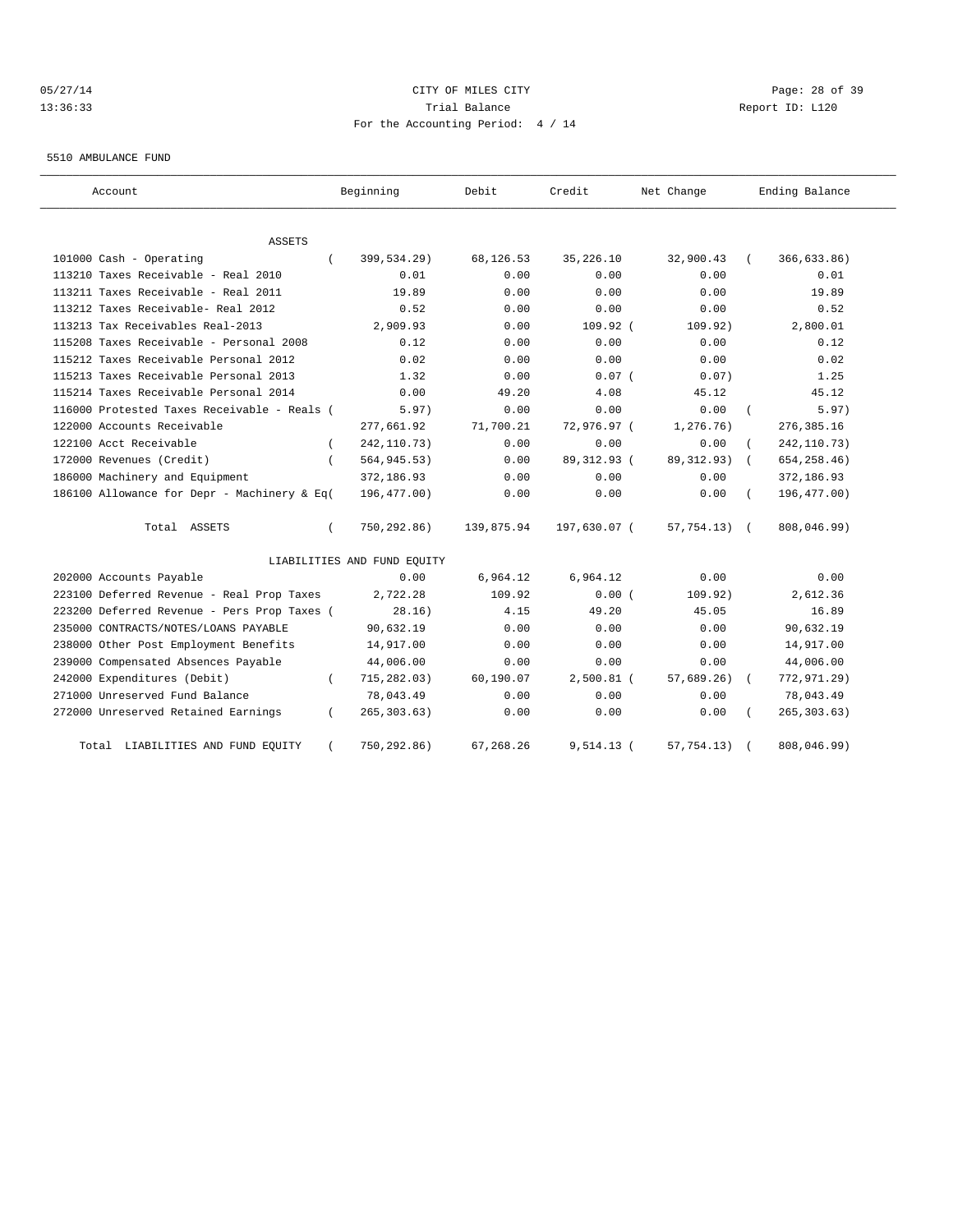# 05/27/14 Page: 28 of 39 13:36:33 Trial Balance Report ID: L120 For the Accounting Period: 4 / 14

5510 AMBULANCE FUND

| Account                                     |          | Beginning                   | Debit      | Credit        | Net Change      |            | Ending Balance |
|---------------------------------------------|----------|-----------------------------|------------|---------------|-----------------|------------|----------------|
| ASSETS                                      |          |                             |            |               |                 |            |                |
| 101000 Cash - Operating                     |          | 399,534.29)                 | 68,126.53  | 35, 226.10    | 32,900.43       |            | 366,633.86)    |
| 113210 Taxes Receivable - Real 2010         |          | 0.01                        | 0.00       | 0.00          | 0.00            |            | 0.01           |
| 113211 Taxes Receivable - Real 2011         |          | 19.89                       | 0.00       | 0.00          | 0.00            |            | 19.89          |
| 113212 Taxes Receivable- Real 2012          |          | 0.52                        | 0.00       | 0.00          | 0.00            |            | 0.52           |
| 113213 Tax Receivables Real-2013            |          | 2,909.93                    | 0.00       | $109.92$ (    | 109.92)         |            | 2,800.01       |
| 115208 Taxes Receivable - Personal 2008     |          | 0.12                        | 0.00       | 0.00          | 0.00            |            | 0.12           |
| 115212 Taxes Receivable Personal 2012       |          | 0.02                        | 0.00       | 0.00          | 0.00            |            | 0.02           |
| 115213 Taxes Receivable Personal 2013       |          | 1.32                        | 0.00       | $0.07$ (      | 0.07)           |            | 1.25           |
| 115214 Taxes Receivable Personal 2014       |          | 0.00                        | 49.20      | 4.08          | 45.12           |            | 45.12          |
| 116000 Protested Taxes Receivable - Reals ( |          | 5.97)                       | 0.00       | 0.00          | 0.00            |            | 5.97)          |
| 122000 Accounts Receivable                  |          | 277,661.92                  | 71,700.21  | 72,976.97 (   | 1,276.76)       |            | 276, 385.16    |
| 122100 Acct Receivable                      |          | 242, 110.73)                | 0.00       | 0.00          | 0.00            |            | 242, 110.73)   |
| 172000 Revenues (Credit)                    |          | 564, 945. 53)               | 0.00       | 89, 312. 93 ( | 89, 312.93)     | $\sqrt{2}$ | 654, 258.46)   |
| 186000 Machinery and Equipment              |          | 372,186.93                  | 0.00       | 0.00          | 0.00            |            | 372,186.93     |
| 186100 Allowance for Depr - Machinery & Eq( |          | 196,477.00)                 | 0.00       | 0.00          | 0.00            |            | 196,477.00)    |
| Total ASSETS                                |          | 750,292.86)                 | 139,875.94 | 197,630.07 (  | $57,754.13$ ) ( |            | 808,046.99)    |
|                                             |          | LIABILITIES AND FUND EQUITY |            |               |                 |            |                |
| 202000 Accounts Payable                     |          | 0.00                        | 6,964.12   | 6,964.12      | 0.00            |            | 0.00           |
| 223100 Deferred Revenue - Real Prop Taxes   |          | 2,722.28                    | 109.92     | 0.00(         | 109.92)         |            | 2,612.36       |
| 223200 Deferred Revenue - Pers Prop Taxes ( |          | 28.16)                      | 4.15       | 49.20         | 45.05           |            | 16.89          |
| 235000 CONTRACTS/NOTES/LOANS PAYABLE        |          | 90,632.19                   | 0.00       | 0.00          | 0.00            |            | 90,632.19      |
| 238000 Other Post Employment Benefits       |          | 14,917.00                   | 0.00       | 0.00          | 0.00            |            | 14,917.00      |
| 239000 Compensated Absences Payable         |          | 44,006.00                   | 0.00       | 0.00          | 0.00            |            | 44,006.00      |
| 242000 Expenditures (Debit)                 |          | 715,282.03)                 | 60,190.07  | $2,500.81$ (  | 57,689.26)      |            | 772,971.29)    |
| 271000 Unreserved Fund Balance              |          | 78,043.49                   | 0.00       | 0.00          | 0.00            |            | 78,043.49      |
| 272000 Unreserved Retained Earnings         | $\left($ | 265, 303.63)                | 0.00       | 0.00          | 0.00            |            | 265, 303.63)   |
| Total LIABILITIES AND FUND EQUITY           |          | 750,292.86)                 | 67,268.26  | $9,514.13$ (  | 57, 754.13)     |            | 808,046.99)    |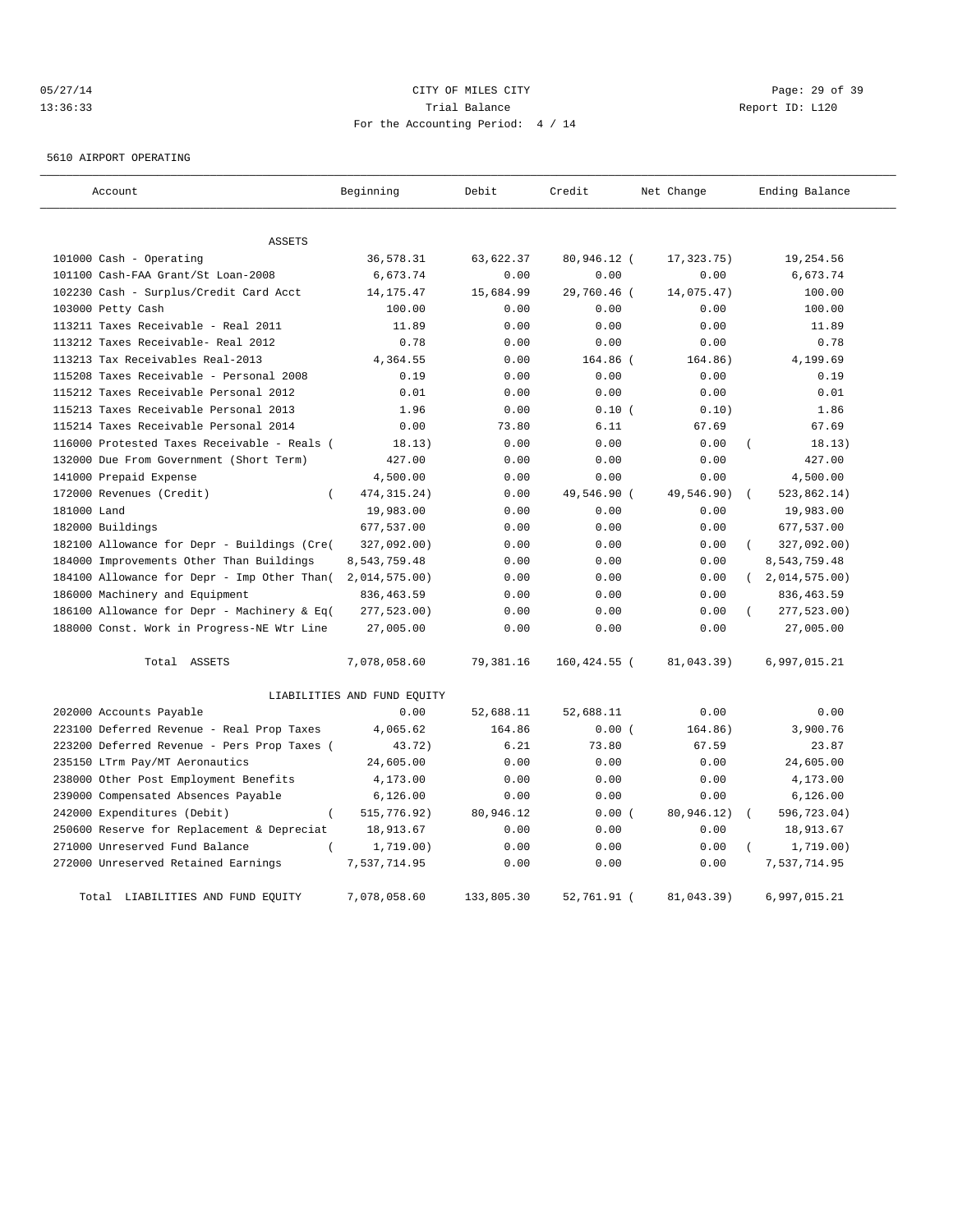# 05/27/14 Page: 29 of 39 13:36:33 Trial Balance Report ID: L120 For the Accounting Period: 4 / 14

5610 AIRPORT OPERATING

| Account                                      | Beginning                   | Debit      | Credit       | Net Change | Ending Balance             |
|----------------------------------------------|-----------------------------|------------|--------------|------------|----------------------------|
| <b>ASSETS</b>                                |                             |            |              |            |                            |
| 101000 Cash - Operating                      | 36,578.31                   | 63,622.37  | 80,946.12 (  | 17,323.75) | 19,254.56                  |
| 101100 Cash-FAA Grant/St Loan-2008           | 6,673.74                    | 0.00       | 0.00         | 0.00       | 6,673.74                   |
| 102230 Cash - Surplus/Credit Card Acct       | 14, 175. 47                 | 15,684.99  | 29,760.46 (  | 14,075.47) | 100.00                     |
| 103000 Petty Cash                            | 100.00                      | 0.00       | 0.00         | 0.00       | 100.00                     |
| 113211 Taxes Receivable - Real 2011          | 11.89                       | 0.00       | 0.00         | 0.00       | 11.89                      |
| 113212 Taxes Receivable- Real 2012           | 0.78                        | 0.00       | 0.00         | 0.00       | 0.78                       |
| 113213 Tax Receivables Real-2013             | 4,364.55                    | 0.00       | 164.86 (     | 164.86)    | 4,199.69                   |
| 115208 Taxes Receivable - Personal 2008      | 0.19                        | 0.00       | 0.00         | 0.00       | 0.19                       |
| 115212 Taxes Receivable Personal 2012        | 0.01                        | 0.00       | 0.00         | 0.00       | 0.01                       |
| 115213 Taxes Receivable Personal 2013        | 1.96                        | 0.00       | 0.10(        | 0.10)      | 1.86                       |
| 115214 Taxes Receivable Personal 2014        | 0.00                        | 73.80      | 6.11         | 67.69      | 67.69                      |
| 116000 Protested Taxes Receivable - Reals (  | 18.13)                      | 0.00       | 0.00         | 0.00       | 18.13)<br>$\left($         |
| 132000 Due From Government (Short Term)      | 427.00                      | 0.00       | 0.00         | 0.00       | 427.00                     |
| 141000 Prepaid Expense                       | 4,500.00                    | 0.00       | 0.00         | 0.00       | 4,500.00                   |
| 172000 Revenues (Credit)<br>$\left($         | 474, 315. 24)               | 0.00       | 49,546.90 (  | 49,546.90) | 523, 862.14)<br>$\sqrt{ }$ |
| 181000 Land                                  | 19,983.00                   | 0.00       | 0.00         | 0.00       | 19,983.00                  |
| 182000 Buildings                             | 677,537.00                  | 0.00       | 0.00         | 0.00       | 677,537.00                 |
| 182100 Allowance for Depr - Buildings (Cre(  | 327,092.00)                 | 0.00       | 0.00         | 0.00       | 327,092.00)<br>$\left($    |
| 184000 Improvements Other Than Buildings     | 8,543,759.48                | 0.00       | 0.00         | 0.00       | 8,543,759.48               |
| 184100 Allowance for Depr - Imp Other Than ( | 2,014,575.00)               | 0.00       | 0.00         | 0.00       | (2,014,575.00)             |
| 186000 Machinery and Equipment               | 836, 463.59                 | 0.00       | 0.00         | 0.00       | 836, 463.59                |
| 186100 Allowance for Depr - Machinery & Eq(  | 277,523.00)                 | 0.00       | 0.00         | 0.00       | 277,523.00)                |
| 188000 Const. Work in Progress-NE Wtr Line   | 27,005.00                   | 0.00       | 0.00         | 0.00       | 27,005.00                  |
| Total ASSETS                                 | 7,078,058.60                | 79,381.16  | 160,424.55 ( | 81,043.39) | 6,997,015.21               |
|                                              | LIABILITIES AND FUND EQUITY |            |              |            |                            |
| 202000 Accounts Payable                      | 0.00                        | 52,688.11  | 52,688.11    | 0.00       | 0.00                       |
| 223100 Deferred Revenue - Real Prop Taxes    | 4,065.62                    | 164.86     | 0.00(        | 164.86)    | 3,900.76                   |
| 223200 Deferred Revenue - Pers Prop Taxes (  | 43.72)                      | 6.21       | 73.80        | 67.59      | 23.87                      |
| 235150 LTrm Pay/MT Aeronautics               | 24,605.00                   | 0.00       | 0.00         | 0.00       | 24,605.00                  |
| 238000 Other Post Employment Benefits        | 4,173.00                    | 0.00       | 0.00         | 0.00       | 4,173.00                   |
| 239000 Compensated Absences Payable          | 6, 126.00                   | 0.00       | 0.00         | 0.00       | 6, 126.00                  |
| 242000 Expenditures (Debit)<br>$\left($      | 515,776.92)                 | 80,946.12  | 0.00(        | 80,946.12) | 596,723.04)                |
| 250600 Reserve for Replacement & Depreciat   | 18,913.67                   | 0.00       | 0.00         | 0.00       | 18,913.67                  |
| 271000 Unreserved Fund Balance               | 1,719.00)                   | 0.00       | 0.00         | 0.00       | 1,719.00)                  |
| 272000 Unreserved Retained Earnings          | 7,537,714.95                | 0.00       | 0.00         | 0.00       | 7,537,714.95               |
| Total LIABILITIES AND FUND EQUITY            | 7,078,058.60                | 133,805.30 | 52,761.91 (  | 81,043.39) | 6,997,015.21               |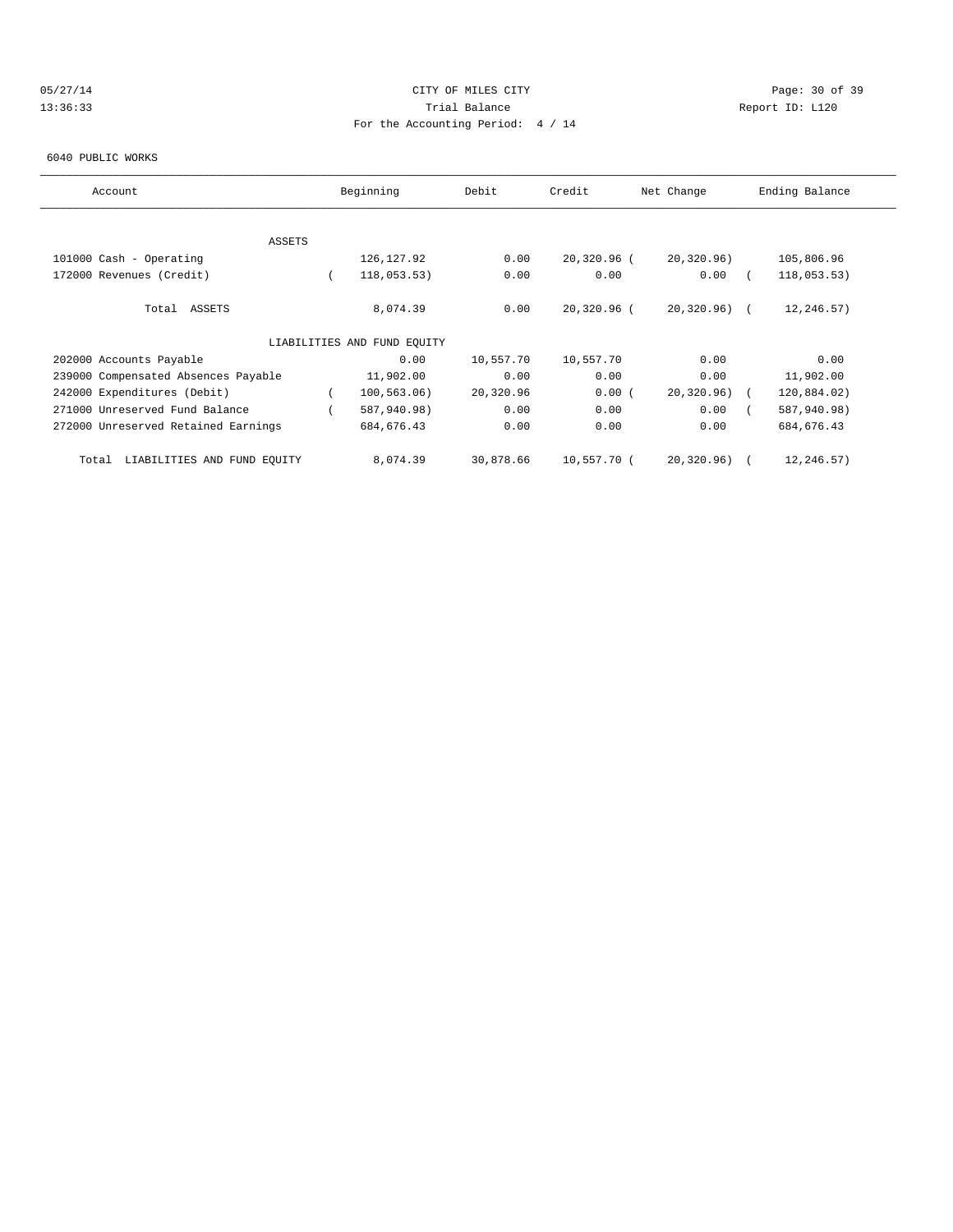# 05/27/14 Page: 30 of 39 13:36:33 Trial Balance Report ID: L120 For the Accounting Period: 4 / 14

#### 6040 PUBLIC WORKS

| Account                              | Beginning                   | Debit     | Credit      | Net Change    | Ending Balance |
|--------------------------------------|-----------------------------|-----------|-------------|---------------|----------------|
|                                      |                             |           |             |               |                |
| ASSETS                               |                             |           |             |               |                |
| 101000 Cash - Operating              | 126, 127.92                 | 0.00      | 20,320.96 ( | 20, 320.96)   | 105,806.96     |
| 172000 Revenues (Credit)             | 118,053.53)                 | 0.00      | 0.00        | 0.00          | 118,053.53)    |
| Total ASSETS                         | 8,074.39                    | 0.00      | 20,320.96 ( | $20,320.96$ ( | 12,246.57)     |
|                                      | LIABILITIES AND FUND EQUITY |           |             |               |                |
| 202000 Accounts Payable              | 0.00                        | 10,557.70 | 10,557.70   | 0.00          | 0.00           |
| 239000 Compensated Absences Payable  | 11,902.00                   | 0.00      | 0.00        | 0.00          | 11,902.00      |
| 242000 Expenditures (Debit)          | 100, 563.06)                | 20,320.96 | 0.00(       | 20, 320.96)   | 120,884.02)    |
| 271000 Unreserved Fund Balance       | 587,940.98)                 | 0.00      | 0.00        | 0.00          | 587,940.98)    |
| 272000 Unreserved Retained Earnings  | 684, 676.43                 | 0.00      | 0.00        | 0.00          | 684, 676.43    |
| LIABILITIES AND FUND EQUITY<br>Total | 8,074.39                    | 30,878.66 | 10,557.70 ( | 20,320.96)    | 12,246.57)     |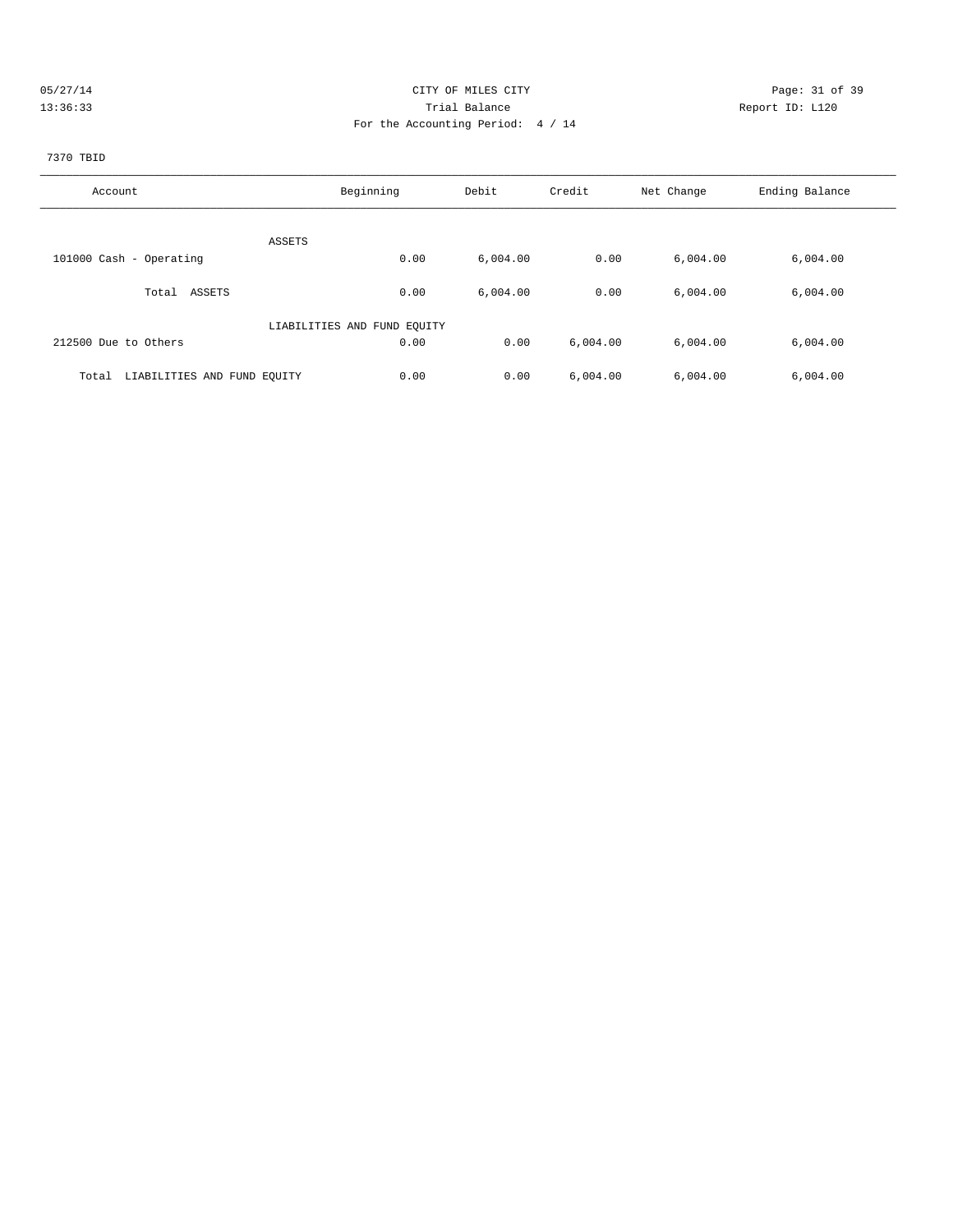| 0.5/277 |  |
|---------|--|
|         |  |

# CITY OF MILES CITY CONTROL CONTROL CONTROL CONTROL CITY 13:36:33 Trial Balance Report ID: L120 For the Accounting Period: 4 / 14

# 7370 TBID

| Account                              | Beginning                   | Debit    | Credit   | Net Change | Ending Balance |
|--------------------------------------|-----------------------------|----------|----------|------------|----------------|
| ASSETS                               |                             |          |          |            |                |
| 101000 Cash - Operating              | 0.00                        | 6,004.00 | 0.00     | 6,004.00   | 6,004.00       |
| ASSETS<br>Total                      | 0.00                        | 6,004.00 | 0.00     | 6,004.00   | 6,004.00       |
|                                      | LIABILITIES AND FUND EQUITY |          |          |            |                |
| 212500 Due to Others                 | 0.00                        | 0.00     | 6,004.00 | 6.004.00   | 6,004.00       |
| LIABILITIES AND FUND EQUITY<br>Total | 0.00                        | 0.00     | 6,004.00 | 6.004.00   | 6,004.00       |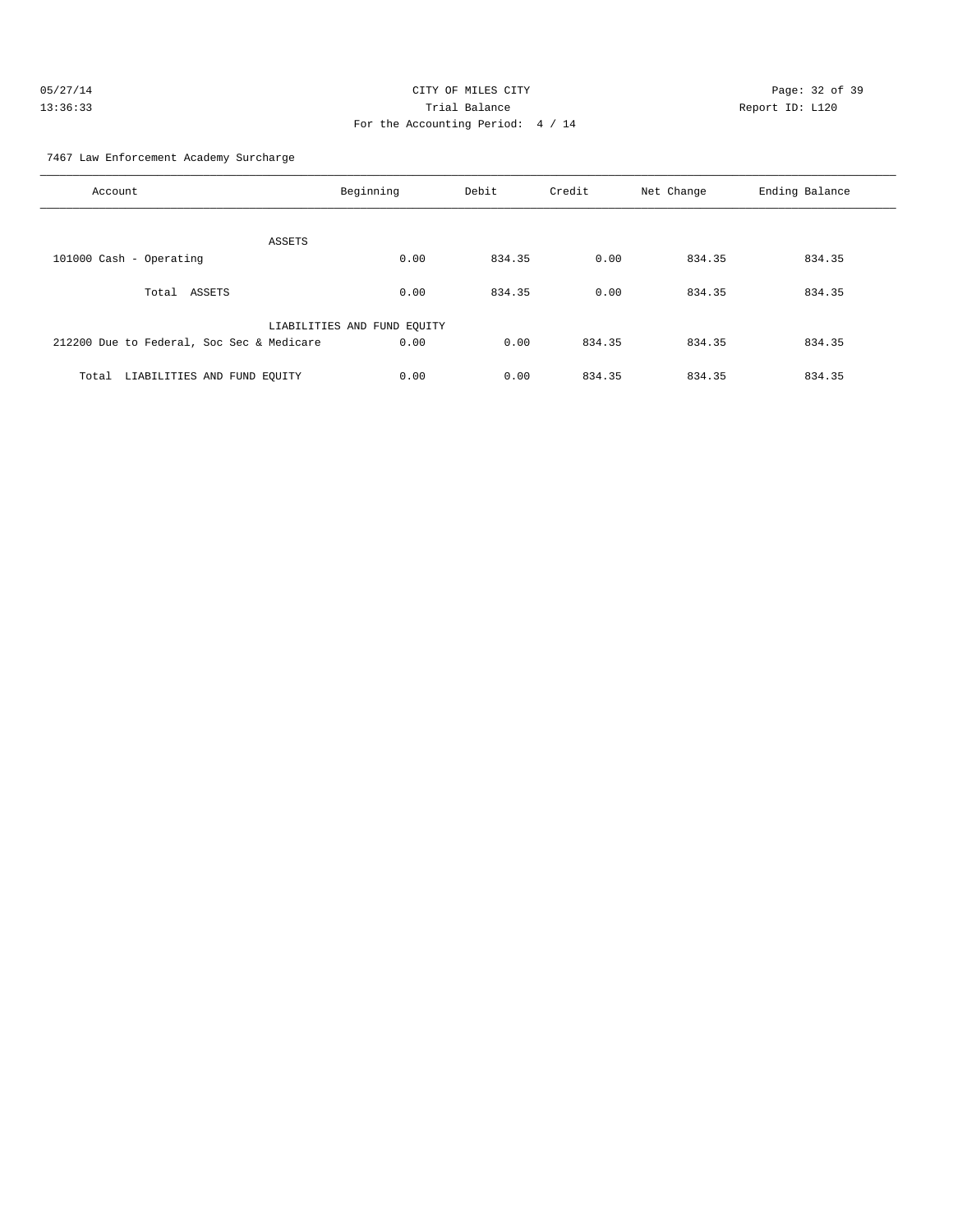| 05/27/14 | CITY OF MILES CITY                | Page: 32 of 39  |
|----------|-----------------------------------|-----------------|
| 13:36:33 | Trial Balance                     | Report ID: L120 |
|          | For the Accounting Period: 4 / 14 |                 |

7467 Law Enforcement Academy Surcharge

| Account                                   | Beginning                   | Debit  | Credit | Net Change | Ending Balance |
|-------------------------------------------|-----------------------------|--------|--------|------------|----------------|
| ASSETS                                    |                             |        |        |            |                |
| 101000 Cash - Operating                   | 0.00                        | 834.35 | 0.00   | 834.35     | 834.35         |
| Total<br>ASSETS                           | 0.00                        | 834.35 | 0.00   | 834.35     | 834.35         |
|                                           | LIABILITIES AND FUND EQUITY |        |        |            |                |
| 212200 Due to Federal, Soc Sec & Medicare | 0.00                        | 0.00   | 834.35 | 834.35     | 834.35         |
| LIABILITIES AND FUND EQUITY<br>Total      | 0.00                        | 0.00   | 834.35 | 834.35     | 834.35         |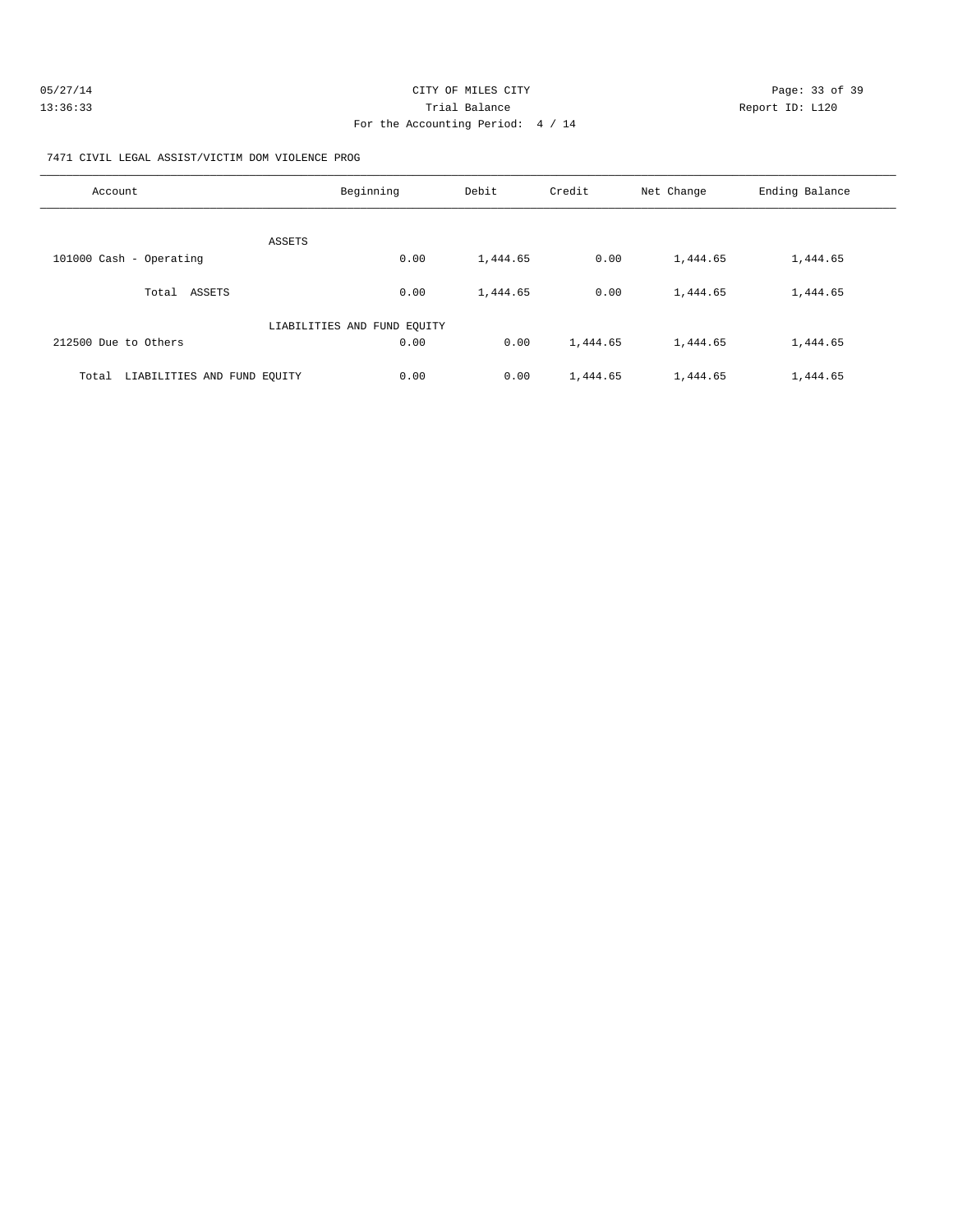| 05/27/14 | CITY OF MILES CITY                | Page: 33 of 39  |
|----------|-----------------------------------|-----------------|
| 13:36:33 | Trial Balance                     | Report ID: L120 |
|          | For the Accounting Period: 4 / 14 |                 |

7471 CIVIL LEGAL ASSIST/VICTIM DOM VIOLENCE PROG

| Account                              | Beginning                   | Debit    | Credit   | Net Change | Ending Balance |
|--------------------------------------|-----------------------------|----------|----------|------------|----------------|
| ASSETS                               |                             |          |          |            |                |
| 101000 Cash - Operating              | 0.00                        | 1,444.65 | 0.00     | 1,444.65   | 1,444.65       |
| ASSETS<br>Total                      | 0.00                        | 1,444.65 | 0.00     | 1,444.65   | 1,444.65       |
|                                      | LIABILITIES AND FUND EQUITY |          |          |            |                |
| 212500 Due to Others                 | 0.00                        | 0.00     | 1,444.65 | 1,444.65   | 1,444.65       |
| LIABILITIES AND FUND EOUITY<br>Total | 0.00                        | 0.00     | 1,444.65 | 1,444.65   | 1,444.65       |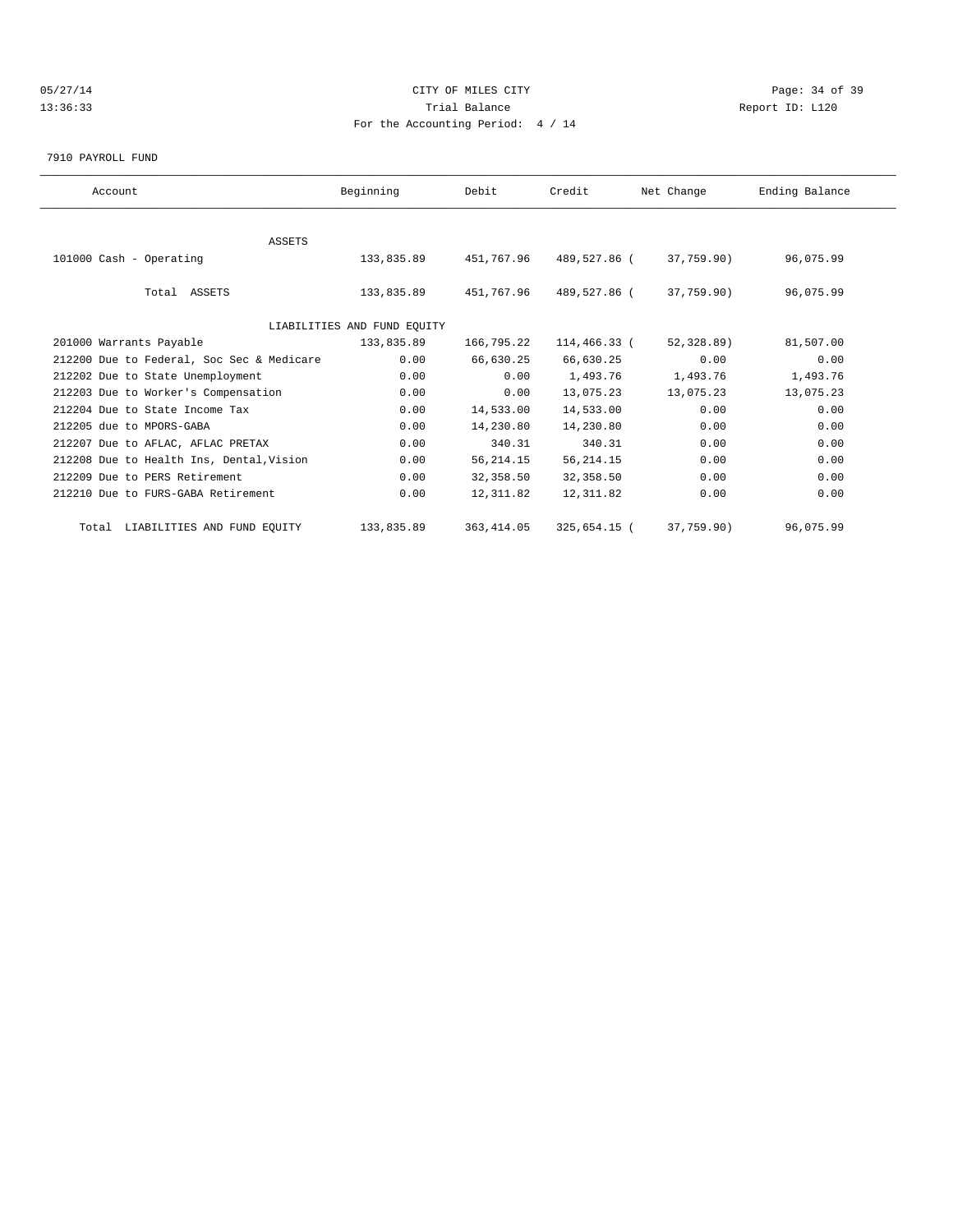# 05/27/14 Page: 34 of 39 13:36:33 Trial Balance Report ID: L120 For the Accounting Period: 4 / 14

7910 PAYROLL FUND

| Account                                   | Beginning                   | Debit       | Credit       | Net Change | Ending Balance |  |
|-------------------------------------------|-----------------------------|-------------|--------------|------------|----------------|--|
|                                           |                             |             |              |            |                |  |
| <b>ASSETS</b>                             |                             |             |              |            |                |  |
| 101000 Cash - Operating                   | 133,835.89                  | 451,767.96  | 489,527.86 ( | 37,759.90) | 96,075.99      |  |
|                                           |                             |             |              |            |                |  |
| Total ASSETS                              | 133,835.89                  | 451,767.96  | 489,527.86 ( | 37,759.90) | 96,075.99      |  |
|                                           |                             |             |              |            |                |  |
|                                           | LIABILITIES AND FUND EQUITY |             |              |            |                |  |
| 201000 Warrants Payable                   | 133,835.89                  | 166,795.22  | 114,466.33 ( | 52,328.89) | 81,507.00      |  |
| 212200 Due to Federal, Soc Sec & Medicare | 0.00                        | 66,630.25   | 66,630.25    | 0.00       | 0.00           |  |
| 212202 Due to State Unemployment          | 0.00                        | 0.00        | 1,493.76     | 1,493.76   | 1,493.76       |  |
| 212203 Due to Worker's Compensation       | 0.00                        | 0.00        | 13,075.23    | 13,075.23  | 13,075.23      |  |
| 212204 Due to State Income Tax            | 0.00                        | 14,533.00   | 14,533.00    | 0.00       | 0.00           |  |
| 212205 due to MPORS-GABA                  | 0.00                        | 14,230.80   | 14,230.80    | 0.00       | 0.00           |  |
| 212207 Due to AFLAC, AFLAC PRETAX         | 0.00                        | 340.31      | 340.31       | 0.00       | 0.00           |  |
| 212208 Due to Health Ins, Dental, Vision  | 0.00                        | 56, 214.15  | 56, 214.15   | 0.00       | 0.00           |  |
| 212209 Due to PERS Retirement             | 0.00                        | 32,358.50   | 32,358.50    | 0.00       | 0.00           |  |
| 212210 Due to FURS-GABA Retirement        | 0.00                        | 12,311.82   | 12,311.82    | 0.00       | 0.00           |  |
| Total LIABILITIES AND FUND EQUITY         | 133,835.89                  | 363, 414.05 | 325,654.15 ( | 37,759.90) | 96,075.99      |  |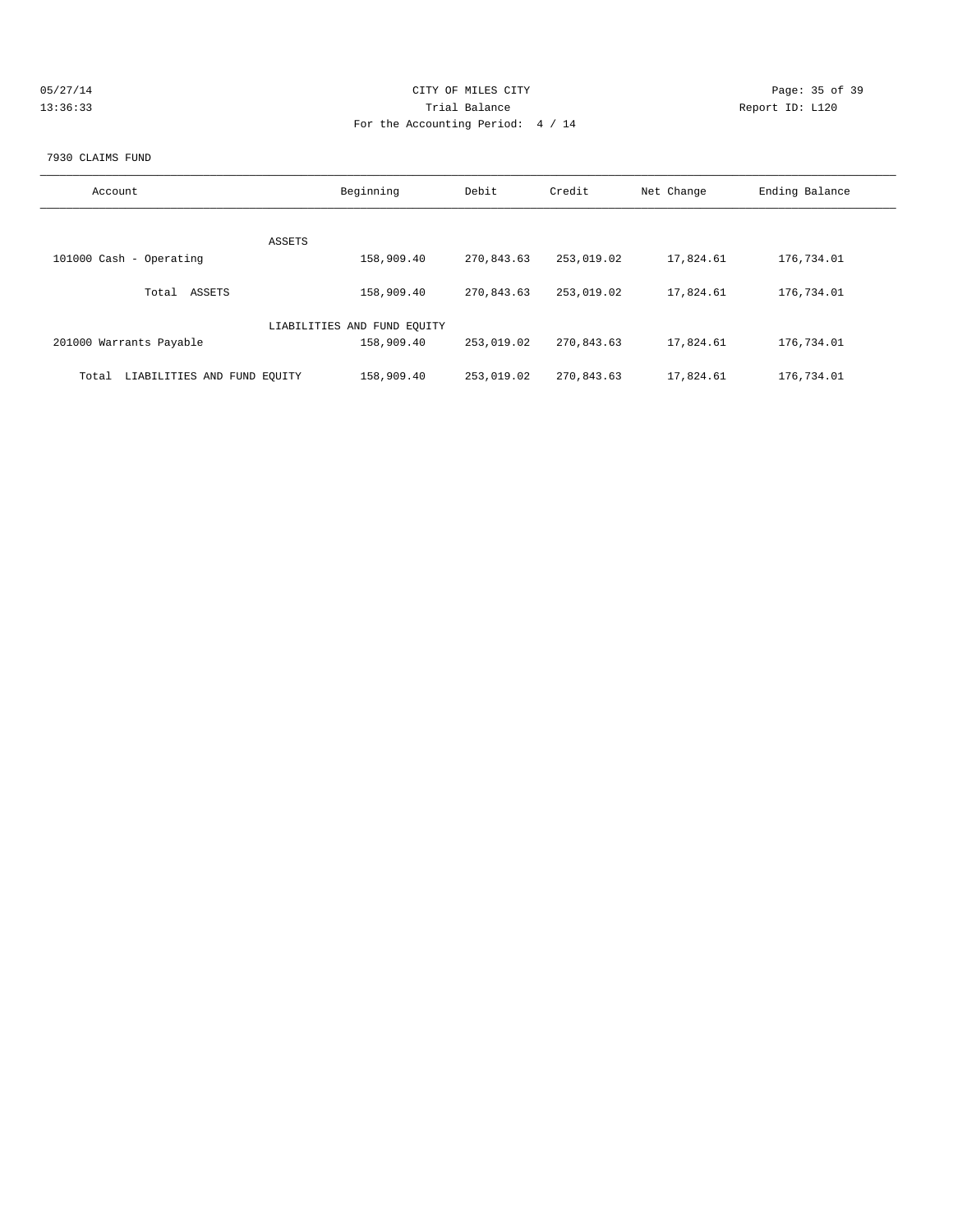| 05/27/14 | CITY OF MILES CITY                | Page: 35 of 39  |
|----------|-----------------------------------|-----------------|
| 13:36:33 | Trial Balance                     | Report ID: L120 |
|          | For the Accounting Period: 4 / 14 |                 |

#### 7930 CLAIMS FUND

| Account                              | Beginning                   | Debit      | Credit     | Net Change | Ending Balance |
|--------------------------------------|-----------------------------|------------|------------|------------|----------------|
| ASSETS                               |                             |            |            |            |                |
| 101000 Cash - Operating              | 158,909.40                  | 270,843.63 | 253,019.02 | 17,824.61  | 176,734.01     |
| ASSETS<br>Total                      | 158,909.40                  | 270.843.63 | 253,019.02 | 17,824.61  | 176,734.01     |
|                                      | LIABILITIES AND FUND EOUITY |            |            |            |                |
| 201000 Warrants Payable              | 158,909.40                  | 253,019.02 | 270,843.63 | 17,824.61  | 176,734.01     |
| LIABILITIES AND FUND EQUITY<br>Total | 158,909.40                  | 253,019.02 | 270,843.63 | 17,824.61  | 176,734.01     |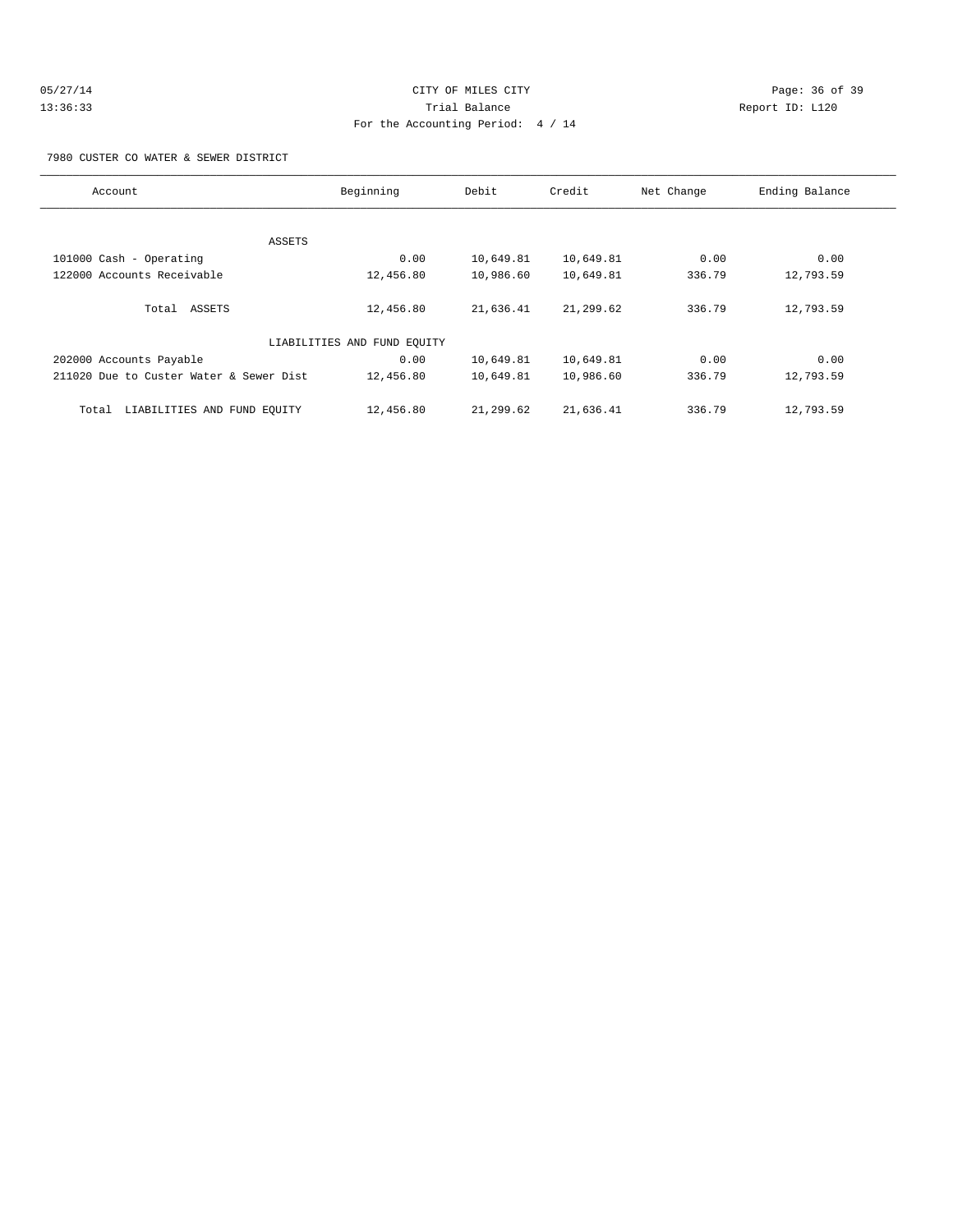| 05/27/14 |  |
|----------|--|
| 13:36:33 |  |

# CITY OF MILES CITY CONTROL CONTROL CONTROL CONTROL CONTROL PAGE: 36 of 39 Trial Balance **13:33** Report ID: L120 For the Accounting Period: 4 / 14

7980 CUSTER CO WATER & SEWER DISTRICT

| Account                                 | Beginning                   | Debit     | Credit    | Net Change | Ending Balance |
|-----------------------------------------|-----------------------------|-----------|-----------|------------|----------------|
|                                         |                             |           |           |            |                |
|                                         | ASSETS                      |           |           |            |                |
| 101000 Cash - Operating                 | 0.00                        | 10,649.81 | 10,649.81 | 0.00       | 0.00           |
| 122000 Accounts Receivable              | 12,456.80                   | 10,986.60 | 10,649.81 | 336.79     | 12,793.59      |
|                                         |                             |           |           |            |                |
| Total ASSETS                            | 12,456.80                   | 21,636.41 | 21,299.62 | 336.79     | 12,793.59      |
|                                         |                             |           |           |            |                |
|                                         | LIABILITIES AND FUND EQUITY |           |           |            |                |
| 202000 Accounts Payable                 | 0.00                        | 10,649.81 | 10,649.81 | 0.00       | 0.00           |
| 211020 Due to Custer Water & Sewer Dist | 12,456.80                   | 10,649.81 | 10,986.60 | 336.79     | 12,793.59      |
|                                         |                             |           |           |            |                |
| LIABILITIES AND FUND EQUITY<br>Total    | 12,456.80                   | 21,299.62 | 21,636.41 | 336.79     | 12,793.59      |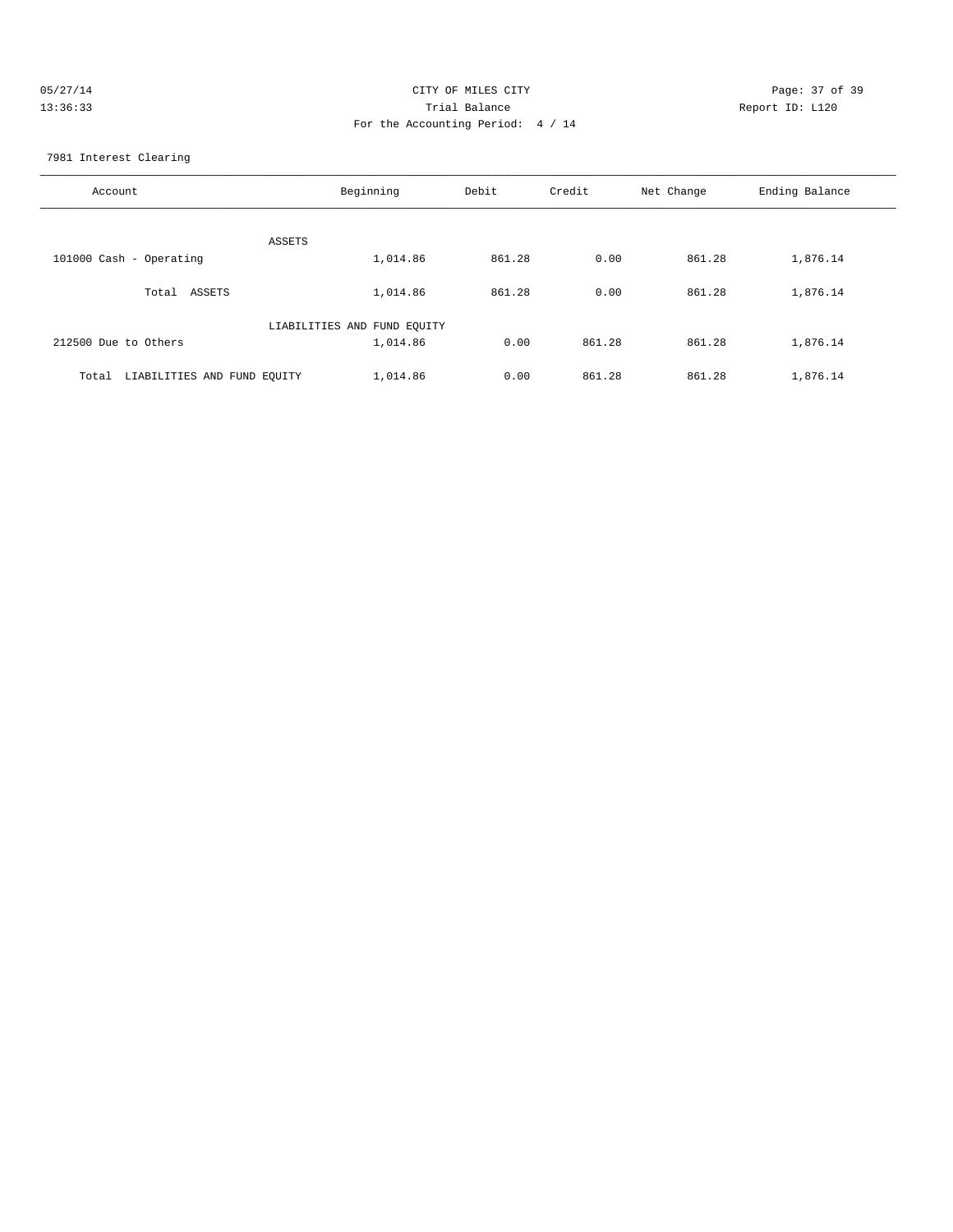| 05/27/14 | CITY OF MILES CITY                | Page: 37 of 39  |
|----------|-----------------------------------|-----------------|
| 13:36:33 | Trial Balance                     | Report ID: L120 |
|          | For the Accounting Period: 4 / 14 |                 |

7981 Interest Clearing

| Account                              | Beginning                   | Debit  | Credit | Net Change | Ending Balance |
|--------------------------------------|-----------------------------|--------|--------|------------|----------------|
| ASSETS                               |                             |        |        |            |                |
| 101000 Cash - Operating              | 1,014.86                    | 861.28 | 0.00   | 861.28     | 1,876.14       |
| Total ASSETS                         | 1,014.86                    | 861.28 | 0.00   | 861.28     | 1,876.14       |
|                                      | LIABILITIES AND FUND EQUITY |        |        |            |                |
| 212500 Due to Others                 | 1,014.86                    | 0.00   | 861.28 | 861.28     | 1,876.14       |
| LIABILITIES AND FUND EQUITY<br>Total | 1,014.86                    | 0.00   | 861.28 | 861.28     | 1,876.14       |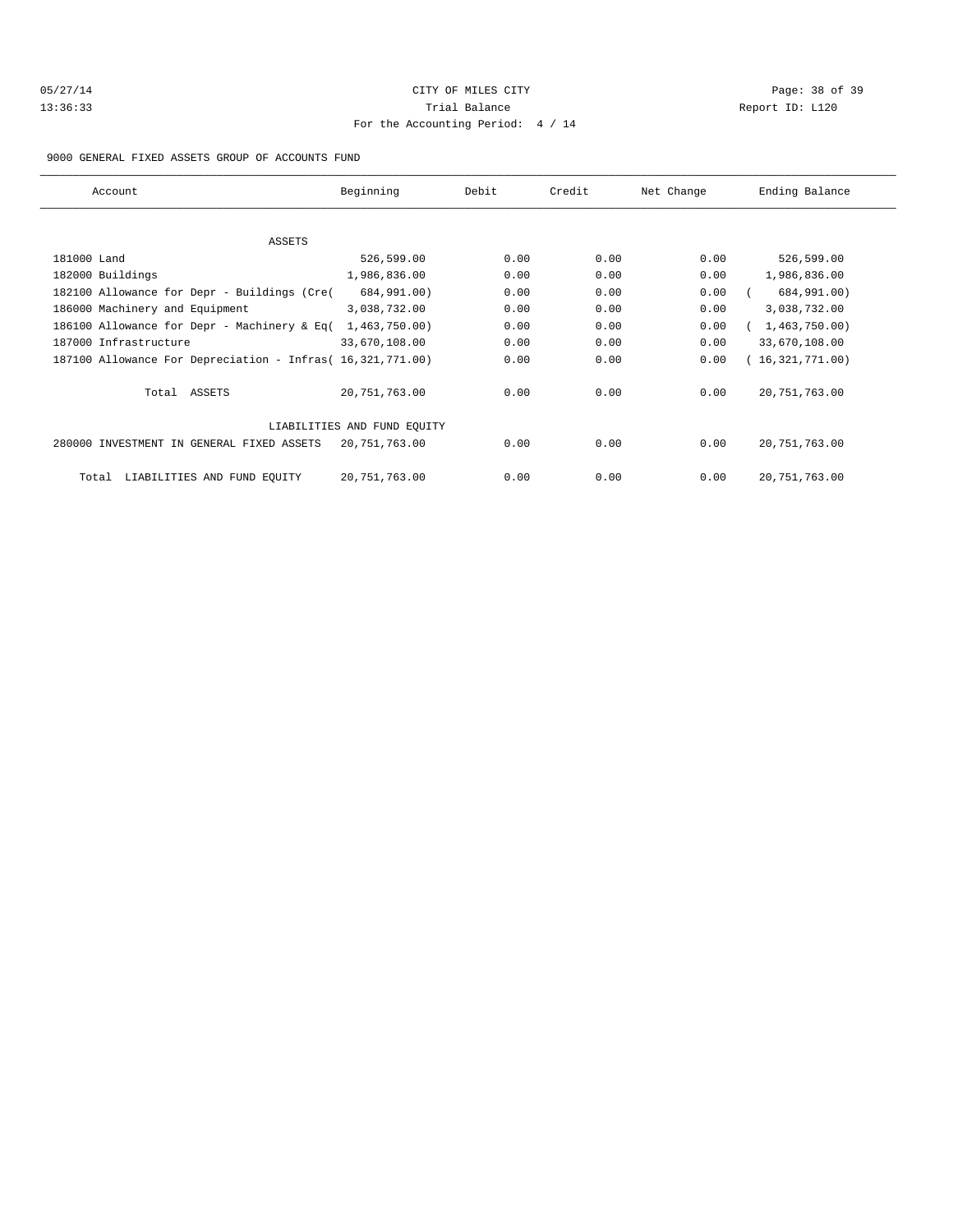| 05/27/14 |  |
|----------|--|
| 13:36:33 |  |

# CITY OF MILES CITY CONTROL CONTROL CONTROL CONTROL CONTROL PAGE: 38 of 39 Trial Balance **13:33** Report ID: L120 For the Accounting Period: 4 / 14

#### 9000 GENERAL FIXED ASSETS GROUP OF ACCOUNTS FUND

| Account                                                    | Beginning                   | Debit | Credit | Net Change | Ending Balance  |
|------------------------------------------------------------|-----------------------------|-------|--------|------------|-----------------|
|                                                            |                             |       |        |            |                 |
| ASSETS                                                     |                             |       |        |            |                 |
| 181000 Land                                                | 526,599.00                  | 0.00  | 0.00   | 0.00       | 526,599.00      |
| 182000 Buildings                                           | 1,986,836.00                | 0.00  | 0.00   | 0.00       | 1,986,836.00    |
| 182100 Allowance for Depr - Buildings (Cre(                | 684,991.00)                 | 0.00  | 0.00   | 0.00       | 684,991.00)     |
| 186000 Machinery and Equipment                             | 3,038,732.00                | 0.00  | 0.00   | 0.00       | 3,038,732.00    |
| 186100 Allowance for Depr - Machinery & Eq(                | 1,463,750.00)               | 0.00  | 0.00   | 0.00       | 1,463,750.00)   |
| 187000 Infrastructure                                      | 33,670,108.00               | 0.00  | 0.00   | 0.00       | 33,670,108.00   |
| 187100 Allowance For Depreciation - Infras( 16,321,771.00) |                             | 0.00  | 0.00   | 0.00       | (16,321,771.00) |
| Total ASSETS                                               | 20,751,763.00               | 0.00  | 0.00   | 0.00       | 20, 751, 763.00 |
|                                                            | LIABILITIES AND FUND EQUITY |       |        |            |                 |
| 280000 INVESTMENT IN GENERAL FIXED ASSETS                  | 20,751,763.00               | 0.00  | 0.00   | 0.00       | 20, 751, 763.00 |
| LIABILITIES AND FUND EQUITY<br>Total                       | 20,751,763.00               | 0.00  | 0.00   | 0.00       | 20, 751, 763.00 |